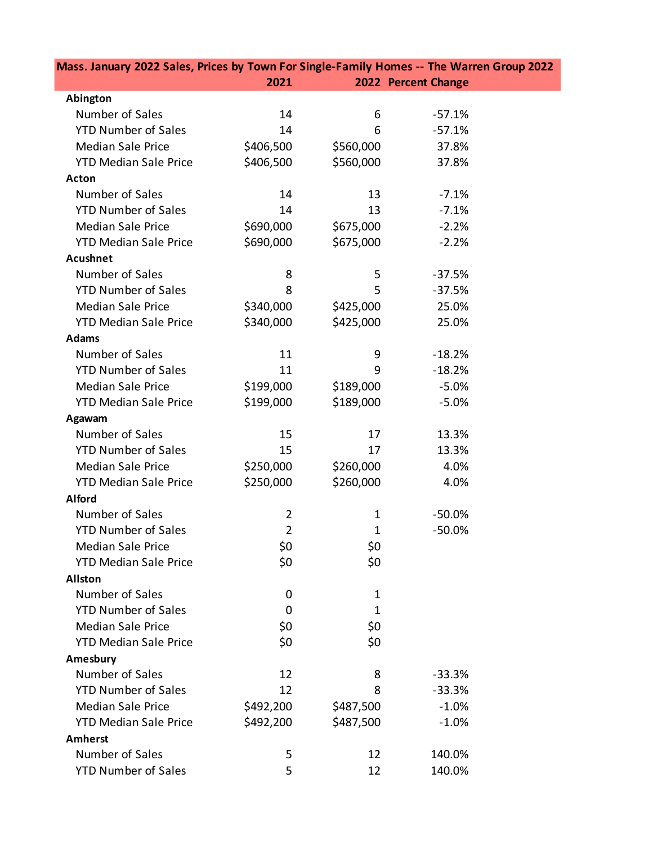| Mass. January 2022 Sales, Prices by Town For Single-Family Homes -- The Warren Group 2022 |                |              |                     |  |
|-------------------------------------------------------------------------------------------|----------------|--------------|---------------------|--|
|                                                                                           | 2021           |              | 2022 Percent Change |  |
| Abington                                                                                  |                |              |                     |  |
| Number of Sales                                                                           | 14             | 6            | $-57.1%$            |  |
| <b>YTD Number of Sales</b>                                                                | 14             | 6            | $-57.1%$            |  |
| <b>Median Sale Price</b>                                                                  | \$406,500      | \$560,000    | 37.8%               |  |
| <b>YTD Median Sale Price</b>                                                              | \$406,500      | \$560,000    | 37.8%               |  |
| <b>Acton</b>                                                                              |                |              |                     |  |
| Number of Sales                                                                           | 14             | 13           | $-7.1%$             |  |
| <b>YTD Number of Sales</b>                                                                | 14             | 13           | $-7.1%$             |  |
| <b>Median Sale Price</b>                                                                  | \$690,000      | \$675,000    | $-2.2%$             |  |
| <b>YTD Median Sale Price</b>                                                              | \$690,000      | \$675,000    | $-2.2%$             |  |
| <b>Acushnet</b>                                                                           |                |              |                     |  |
| Number of Sales                                                                           | 8              | 5            | $-37.5%$            |  |
| <b>YTD Number of Sales</b>                                                                | 8              | 5            | $-37.5%$            |  |
| <b>Median Sale Price</b>                                                                  | \$340,000      | \$425,000    | 25.0%               |  |
| <b>YTD Median Sale Price</b>                                                              | \$340,000      | \$425,000    | 25.0%               |  |
| <b>Adams</b>                                                                              |                |              |                     |  |
| Number of Sales                                                                           | 11             | 9            | $-18.2%$            |  |
| <b>YTD Number of Sales</b>                                                                | 11             | 9            | $-18.2%$            |  |
| <b>Median Sale Price</b>                                                                  | \$199,000      | \$189,000    | $-5.0%$             |  |
| <b>YTD Median Sale Price</b>                                                              | \$199,000      | \$189,000    | $-5.0%$             |  |
| Agawam                                                                                    |                |              |                     |  |
| Number of Sales                                                                           | 15             | 17           | 13.3%               |  |
| <b>YTD Number of Sales</b>                                                                | 15             | 17           | 13.3%               |  |
| <b>Median Sale Price</b>                                                                  | \$250,000      | \$260,000    | 4.0%                |  |
| <b>YTD Median Sale Price</b>                                                              | \$250,000      | \$260,000    | 4.0%                |  |
| <b>Alford</b>                                                                             |                |              |                     |  |
| Number of Sales                                                                           | $\overline{2}$ | $\mathbf{1}$ | $-50.0%$            |  |
| <b>YTD Number of Sales</b>                                                                | $\overline{2}$ | $\mathbf{1}$ | $-50.0%$            |  |
| <b>Median Sale Price</b>                                                                  | \$0            | \$0          |                     |  |
| <b>YTD Median Sale Price</b>                                                              | \$0            | \$0          |                     |  |
| <b>Allston</b>                                                                            |                |              |                     |  |
| Number of Sales                                                                           | 0              | 1            |                     |  |
| <b>YTD Number of Sales</b>                                                                | 0              | 1            |                     |  |
| <b>Median Sale Price</b>                                                                  | \$0            | \$0          |                     |  |
| <b>YTD Median Sale Price</b>                                                              | \$0            | \$0          |                     |  |
| Amesbury                                                                                  |                |              |                     |  |
| Number of Sales                                                                           | 12             | 8            | $-33.3%$            |  |
| <b>YTD Number of Sales</b>                                                                | 12             | 8            | $-33.3%$            |  |
| <b>Median Sale Price</b>                                                                  | \$492,200      | \$487,500    | $-1.0%$             |  |
| <b>YTD Median Sale Price</b>                                                              | \$492,200      | \$487,500    | $-1.0%$             |  |
| <b>Amherst</b>                                                                            |                |              |                     |  |
| Number of Sales                                                                           | 5              | 12           | 140.0%              |  |
| <b>YTD Number of Sales</b>                                                                | 5              | 12           | 140.0%              |  |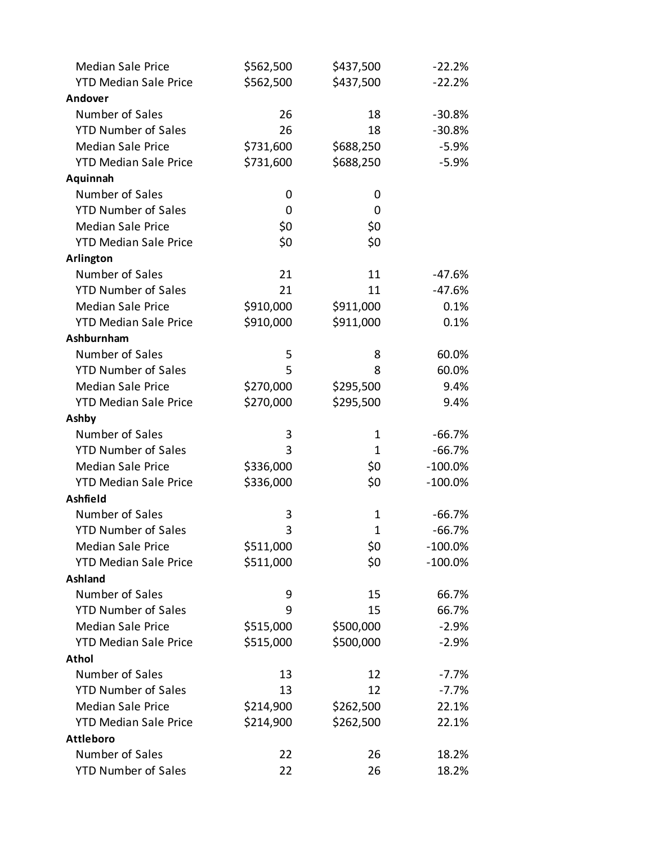| <b>Median Sale Price</b>     | \$562,500 | \$437,500    | $-22.2%$   |
|------------------------------|-----------|--------------|------------|
| <b>YTD Median Sale Price</b> | \$562,500 | \$437,500    | $-22.2%$   |
| Andover                      |           |              |            |
| Number of Sales              | 26        | 18           | $-30.8%$   |
| <b>YTD Number of Sales</b>   | 26        | 18           | $-30.8%$   |
| <b>Median Sale Price</b>     | \$731,600 | \$688,250    | $-5.9%$    |
| <b>YTD Median Sale Price</b> | \$731,600 | \$688,250    | $-5.9%$    |
| Aquinnah                     |           |              |            |
| Number of Sales              | 0         | 0            |            |
| <b>YTD Number of Sales</b>   | 0         | 0            |            |
| <b>Median Sale Price</b>     | \$0       | \$0          |            |
| <b>YTD Median Sale Price</b> | \$0       | \$0          |            |
| Arlington                    |           |              |            |
| Number of Sales              | 21        | 11           | $-47.6%$   |
| <b>YTD Number of Sales</b>   | 21        | 11           | $-47.6%$   |
| <b>Median Sale Price</b>     | \$910,000 | \$911,000    | 0.1%       |
| <b>YTD Median Sale Price</b> | \$910,000 | \$911,000    | 0.1%       |
| Ashburnham                   |           |              |            |
| Number of Sales              | 5         | 8            | 60.0%      |
| <b>YTD Number of Sales</b>   | 5         | 8            | 60.0%      |
| <b>Median Sale Price</b>     | \$270,000 | \$295,500    | 9.4%       |
| <b>YTD Median Sale Price</b> | \$270,000 | \$295,500    | 9.4%       |
| Ashby                        |           |              |            |
| Number of Sales              | 3         | 1            | $-66.7%$   |
| <b>YTD Number of Sales</b>   | 3         | 1            | $-66.7%$   |
| <b>Median Sale Price</b>     | \$336,000 | \$0\$        | $-100.0\%$ |
| <b>YTD Median Sale Price</b> | \$336,000 | \$0          | $-100.0%$  |
| Ashfield                     |           |              |            |
| Number of Sales              | 3         | 1            | $-66.7%$   |
| <b>YTD Number of Sales</b>   | 3         | $\mathbf{1}$ | $-66.7%$   |
| <b>Median Sale Price</b>     | \$511,000 | \$0          | $-100.0\%$ |
| <b>YTD Median Sale Price</b> | \$511,000 | \$0          | $-100.0%$  |
| Ashland                      |           |              |            |
| Number of Sales              | 9         | 15           | 66.7%      |
| <b>YTD Number of Sales</b>   | 9         | 15           | 66.7%      |
| <b>Median Sale Price</b>     | \$515,000 | \$500,000    | $-2.9%$    |
| <b>YTD Median Sale Price</b> | \$515,000 | \$500,000    | $-2.9%$    |
| <b>Athol</b>                 |           |              |            |
| Number of Sales              | 13        | 12           | $-7.7%$    |
| <b>YTD Number of Sales</b>   | 13        | 12           | $-7.7%$    |
| <b>Median Sale Price</b>     | \$214,900 | \$262,500    | 22.1%      |
| <b>YTD Median Sale Price</b> | \$214,900 | \$262,500    | 22.1%      |
| <b>Attleboro</b>             |           |              |            |
| Number of Sales              | 22        | 26           | 18.2%      |
| <b>YTD Number of Sales</b>   | 22        | 26           | 18.2%      |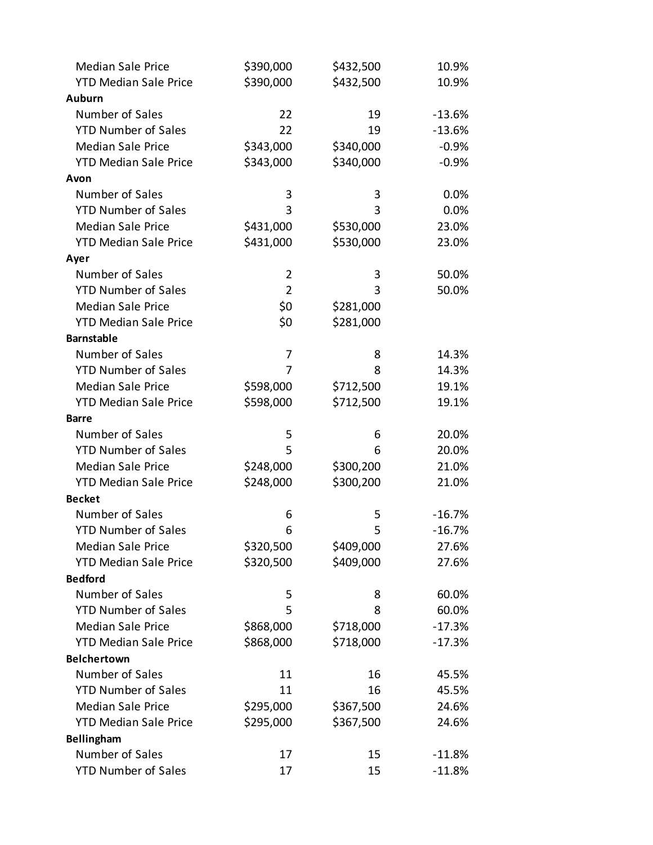| <b>Median Sale Price</b>     | \$390,000      | \$432,500 | 10.9%    |
|------------------------------|----------------|-----------|----------|
| <b>YTD Median Sale Price</b> | \$390,000      | \$432,500 | 10.9%    |
| <b>Auburn</b>                |                |           |          |
| Number of Sales              | 22             | 19        | $-13.6%$ |
| <b>YTD Number of Sales</b>   | 22             | 19        | $-13.6%$ |
| <b>Median Sale Price</b>     | \$343,000      | \$340,000 | $-0.9%$  |
| <b>YTD Median Sale Price</b> | \$343,000      | \$340,000 | $-0.9%$  |
| Avon                         |                |           |          |
| Number of Sales              | 3              | 3         | 0.0%     |
| <b>YTD Number of Sales</b>   | 3              | 3         | 0.0%     |
| <b>Median Sale Price</b>     | \$431,000      | \$530,000 | 23.0%    |
| <b>YTD Median Sale Price</b> | \$431,000      | \$530,000 | 23.0%    |
| Ayer                         |                |           |          |
| Number of Sales              | $\overline{2}$ | 3         | 50.0%    |
| <b>YTD Number of Sales</b>   | $\overline{2}$ | 3         | 50.0%    |
| <b>Median Sale Price</b>     | \$0            | \$281,000 |          |
| <b>YTD Median Sale Price</b> | \$0            | \$281,000 |          |
| <b>Barnstable</b>            |                |           |          |
| Number of Sales              | 7              | 8         | 14.3%    |
| <b>YTD Number of Sales</b>   | 7              | 8         | 14.3%    |
| <b>Median Sale Price</b>     | \$598,000      | \$712,500 | 19.1%    |
| <b>YTD Median Sale Price</b> | \$598,000      | \$712,500 | 19.1%    |
| <b>Barre</b>                 |                |           |          |
| Number of Sales              | 5              | 6         | 20.0%    |
| <b>YTD Number of Sales</b>   | 5              | 6         | 20.0%    |
| <b>Median Sale Price</b>     | \$248,000      | \$300,200 | 21.0%    |
| <b>YTD Median Sale Price</b> | \$248,000      | \$300,200 | 21.0%    |
| <b>Becket</b>                |                |           |          |
| Number of Sales              | 6              | 5         | $-16.7%$ |
| <b>YTD Number of Sales</b>   | 6              | 5         | $-16.7%$ |
| <b>Median Sale Price</b>     | \$320,500      | \$409,000 | 27.6%    |
| <b>YTD Median Sale Price</b> | \$320,500      | \$409,000 | 27.6%    |
| <b>Bedford</b>               |                |           |          |
| Number of Sales              | 5              | 8         | 60.0%    |
| <b>YTD Number of Sales</b>   | 5              | 8         | 60.0%    |
| <b>Median Sale Price</b>     | \$868,000      | \$718,000 | $-17.3%$ |
| <b>YTD Median Sale Price</b> | \$868,000      | \$718,000 | $-17.3%$ |
| <b>Belchertown</b>           |                |           |          |
| Number of Sales              | 11             | 16        | 45.5%    |
| <b>YTD Number of Sales</b>   | 11             | 16        | 45.5%    |
| <b>Median Sale Price</b>     | \$295,000      | \$367,500 | 24.6%    |
| <b>YTD Median Sale Price</b> | \$295,000      | \$367,500 | 24.6%    |
| Bellingham                   |                |           |          |
| Number of Sales              | 17             | 15        | $-11.8%$ |
| <b>YTD Number of Sales</b>   | 17             | 15        | $-11.8%$ |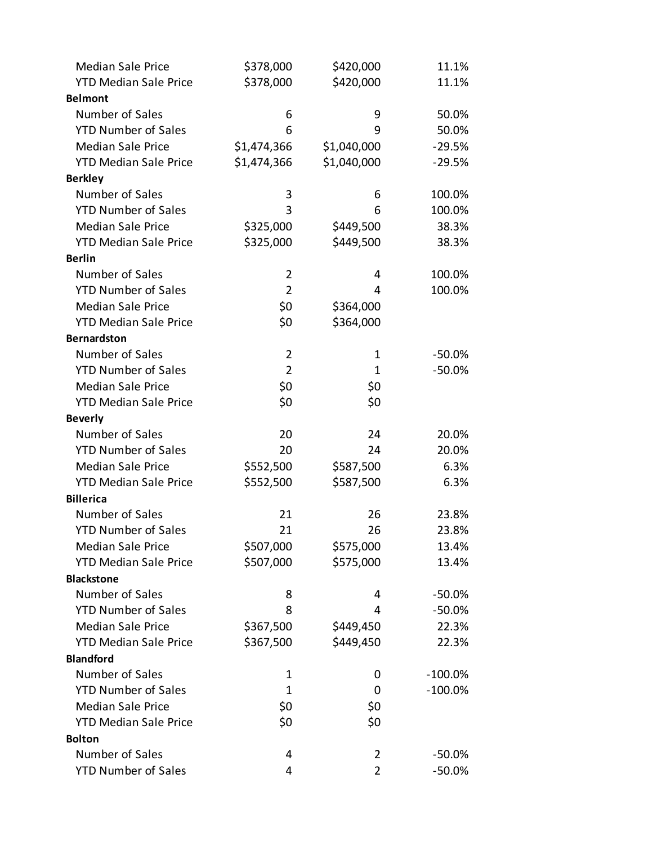| <b>Median Sale Price</b>     | \$378,000      | \$420,000      | 11.1%      |
|------------------------------|----------------|----------------|------------|
| <b>YTD Median Sale Price</b> | \$378,000      | \$420,000      | 11.1%      |
| <b>Belmont</b>               |                |                |            |
| Number of Sales              | 6              | 9              | 50.0%      |
| <b>YTD Number of Sales</b>   | 6              | 9              | 50.0%      |
| <b>Median Sale Price</b>     | \$1,474,366    | \$1,040,000    | $-29.5%$   |
| <b>YTD Median Sale Price</b> | \$1,474,366    | \$1,040,000    | $-29.5%$   |
| <b>Berkley</b>               |                |                |            |
| Number of Sales              | 3              | 6              | 100.0%     |
| <b>YTD Number of Sales</b>   | 3              | 6              | 100.0%     |
| <b>Median Sale Price</b>     | \$325,000      | \$449,500      | 38.3%      |
| <b>YTD Median Sale Price</b> | \$325,000      | \$449,500      | 38.3%      |
| <b>Berlin</b>                |                |                |            |
| Number of Sales              | $\overline{2}$ | 4              | 100.0%     |
| <b>YTD Number of Sales</b>   | $\overline{2}$ | 4              | 100.0%     |
| <b>Median Sale Price</b>     | \$0            | \$364,000      |            |
| <b>YTD Median Sale Price</b> | \$0            | \$364,000      |            |
| <b>Bernardston</b>           |                |                |            |
| Number of Sales              | $\overline{2}$ | $\mathbf 1$    | $-50.0\%$  |
| <b>YTD Number of Sales</b>   | $\overline{2}$ | 1              | $-50.0%$   |
| <b>Median Sale Price</b>     | \$0            | \$0            |            |
| <b>YTD Median Sale Price</b> | \$0            | \$0            |            |
| <b>Beverly</b>               |                |                |            |
| Number of Sales              | 20             | 24             | 20.0%      |
| <b>YTD Number of Sales</b>   | 20             | 24             | 20.0%      |
| <b>Median Sale Price</b>     | \$552,500      | \$587,500      | 6.3%       |
| <b>YTD Median Sale Price</b> | \$552,500      | \$587,500      | 6.3%       |
| <b>Billerica</b>             |                |                |            |
| Number of Sales              | 21             | 26             | 23.8%      |
| <b>YTD Number of Sales</b>   | 21             | 26             | 23.8%      |
| <b>Median Sale Price</b>     | \$507,000      | \$575,000      | 13.4%      |
| <b>YTD Median Sale Price</b> | \$507,000      | \$575,000      | 13.4%      |
| <b>Blackstone</b>            |                |                |            |
| Number of Sales              | 8              | 4              | $-50.0\%$  |
| <b>YTD Number of Sales</b>   | 8              | 4              | $-50.0%$   |
| <b>Median Sale Price</b>     | \$367,500      | \$449,450      | 22.3%      |
| <b>YTD Median Sale Price</b> | \$367,500      | \$449,450      | 22.3%      |
| <b>Blandford</b>             |                |                |            |
| Number of Sales              | 1              | 0              | $-100.0\%$ |
| <b>YTD Number of Sales</b>   | 1              | 0              | $-100.0\%$ |
| <b>Median Sale Price</b>     | \$0            | \$0            |            |
| <b>YTD Median Sale Price</b> | \$0            | \$0            |            |
| <b>Bolton</b>                |                |                |            |
| Number of Sales              | 4              | $\overline{2}$ | $-50.0\%$  |
| <b>YTD Number of Sales</b>   | 4              | $\overline{2}$ | $-50.0%$   |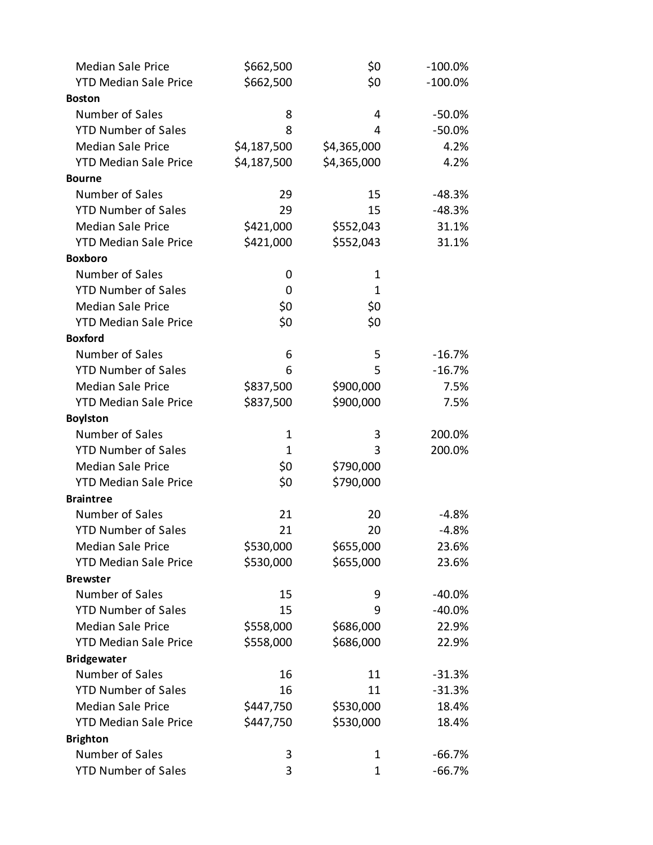| <b>Median Sale Price</b>     | \$662,500    | \$0         | $-100.0\%$ |
|------------------------------|--------------|-------------|------------|
| <b>YTD Median Sale Price</b> | \$662,500    | \$0         | $-100.0%$  |
| <b>Boston</b>                |              |             |            |
| Number of Sales              | 8            | 4           | $-50.0%$   |
| <b>YTD Number of Sales</b>   | 8            | 4           | $-50.0%$   |
| <b>Median Sale Price</b>     | \$4,187,500  | \$4,365,000 | 4.2%       |
| <b>YTD Median Sale Price</b> | \$4,187,500  | \$4,365,000 | 4.2%       |
| <b>Bourne</b>                |              |             |            |
| Number of Sales              | 29           | 15          | $-48.3%$   |
| <b>YTD Number of Sales</b>   | 29           | 15          | $-48.3%$   |
| <b>Median Sale Price</b>     | \$421,000    | \$552,043   | 31.1%      |
| <b>YTD Median Sale Price</b> | \$421,000    | \$552,043   | 31.1%      |
| <b>Boxboro</b>               |              |             |            |
| Number of Sales              | 0            | 1           |            |
| <b>YTD Number of Sales</b>   | 0            | 1           |            |
| <b>Median Sale Price</b>     | \$0          | \$0         |            |
| <b>YTD Median Sale Price</b> | \$0          | \$0         |            |
| <b>Boxford</b>               |              |             |            |
| Number of Sales              | 6            | 5           | $-16.7%$   |
| <b>YTD Number of Sales</b>   | 6            | 5           | $-16.7%$   |
| <b>Median Sale Price</b>     | \$837,500    | \$900,000   | 7.5%       |
| <b>YTD Median Sale Price</b> | \$837,500    | \$900,000   | 7.5%       |
| <b>Boylston</b>              |              |             |            |
| Number of Sales              | $\mathbf{1}$ | 3           | 200.0%     |
| <b>YTD Number of Sales</b>   | $\mathbf{1}$ | 3           | 200.0%     |
| <b>Median Sale Price</b>     | \$0          | \$790,000   |            |
| <b>YTD Median Sale Price</b> | \$0          | \$790,000   |            |
| <b>Braintree</b>             |              |             |            |
| Number of Sales              | 21           | 20          | $-4.8%$    |
| <b>YTD Number of Sales</b>   | 21           | 20          | $-4.8%$    |
| <b>Median Sale Price</b>     | \$530,000    | \$655,000   | 23.6%      |
| <b>YTD Median Sale Price</b> | \$530,000    | \$655,000   | 23.6%      |
| <b>Brewster</b>              |              |             |            |
| Number of Sales              | 15           | 9           | $-40.0%$   |
| <b>YTD Number of Sales</b>   | 15           | 9           | $-40.0%$   |
| <b>Median Sale Price</b>     | \$558,000    | \$686,000   | 22.9%      |
| <b>YTD Median Sale Price</b> | \$558,000    | \$686,000   | 22.9%      |
| <b>Bridgewater</b>           |              |             |            |
| Number of Sales              | 16           | 11          | $-31.3%$   |
| <b>YTD Number of Sales</b>   | 16           | 11          | $-31.3%$   |
| <b>Median Sale Price</b>     | \$447,750    | \$530,000   | 18.4%      |
| <b>YTD Median Sale Price</b> | \$447,750    | \$530,000   | 18.4%      |
| <b>Brighton</b>              |              |             |            |
| Number of Sales              | 3            | 1           | $-66.7%$   |
| <b>YTD Number of Sales</b>   | 3            | $\mathbf 1$ | $-66.7%$   |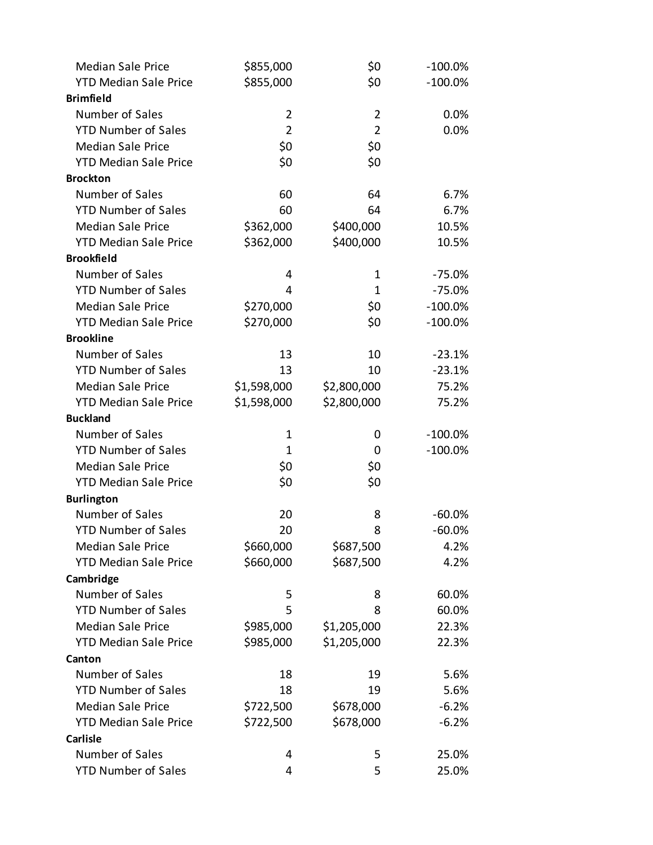| <b>Median Sale Price</b>     | \$855,000      | \$0            | $-100.0\%$ |
|------------------------------|----------------|----------------|------------|
| <b>YTD Median Sale Price</b> | \$855,000      | \$0            | $-100.0%$  |
| <b>Brimfield</b>             |                |                |            |
| Number of Sales              | $\overline{2}$ | $\overline{2}$ | 0.0%       |
| <b>YTD Number of Sales</b>   | $\overline{2}$ | $\overline{2}$ | 0.0%       |
| <b>Median Sale Price</b>     | \$0            | \$0            |            |
| <b>YTD Median Sale Price</b> | \$0            | \$0            |            |
| <b>Brockton</b>              |                |                |            |
| Number of Sales              | 60             | 64             | 6.7%       |
| <b>YTD Number of Sales</b>   | 60             | 64             | 6.7%       |
| <b>Median Sale Price</b>     | \$362,000      | \$400,000      | 10.5%      |
| <b>YTD Median Sale Price</b> | \$362,000      | \$400,000      | 10.5%      |
| <b>Brookfield</b>            |                |                |            |
| Number of Sales              | 4              | $\mathbf 1$    | $-75.0%$   |
| <b>YTD Number of Sales</b>   | 4              | $\mathbf{1}$   | $-75.0%$   |
| <b>Median Sale Price</b>     | \$270,000      | \$0            | $-100.0\%$ |
| <b>YTD Median Sale Price</b> | \$270,000      | \$0            | $-100.0%$  |
| <b>Brookline</b>             |                |                |            |
| Number of Sales              | 13             | 10             | $-23.1%$   |
| <b>YTD Number of Sales</b>   | 13             | 10             | $-23.1%$   |
| <b>Median Sale Price</b>     | \$1,598,000    | \$2,800,000    | 75.2%      |
| <b>YTD Median Sale Price</b> | \$1,598,000    | \$2,800,000    | 75.2%      |
| <b>Buckland</b>              |                |                |            |
| Number of Sales              | $\mathbf 1$    | 0              | $-100.0\%$ |
| <b>YTD Number of Sales</b>   | 1              | 0              | $-100.0%$  |
| <b>Median Sale Price</b>     | \$0            | \$0            |            |
| <b>YTD Median Sale Price</b> | \$0            | \$0            |            |
| <b>Burlington</b>            |                |                |            |
| Number of Sales              | 20             | 8              | $-60.0\%$  |
| <b>YTD Number of Sales</b>   | 20             | 8              | $-60.0%$   |
| <b>Median Sale Price</b>     | \$660,000      | \$687,500      | 4.2%       |
| <b>YTD Median Sale Price</b> | \$660,000      | \$687,500      | 4.2%       |
| Cambridge                    |                |                |            |
| Number of Sales              | 5              | 8              | 60.0%      |
| <b>YTD Number of Sales</b>   | 5              | 8              | 60.0%      |
| <b>Median Sale Price</b>     | \$985,000      | \$1,205,000    | 22.3%      |
| <b>YTD Median Sale Price</b> | \$985,000      | \$1,205,000    | 22.3%      |
| Canton                       |                |                |            |
| Number of Sales              | 18             | 19             | 5.6%       |
| <b>YTD Number of Sales</b>   | 18             | 19             | 5.6%       |
| <b>Median Sale Price</b>     | \$722,500      | \$678,000      | $-6.2%$    |
| <b>YTD Median Sale Price</b> | \$722,500      | \$678,000      | $-6.2%$    |
| <b>Carlisle</b>              |                |                |            |
| Number of Sales              | 4              | 5              | 25.0%      |
| <b>YTD Number of Sales</b>   | 4              | 5              | 25.0%      |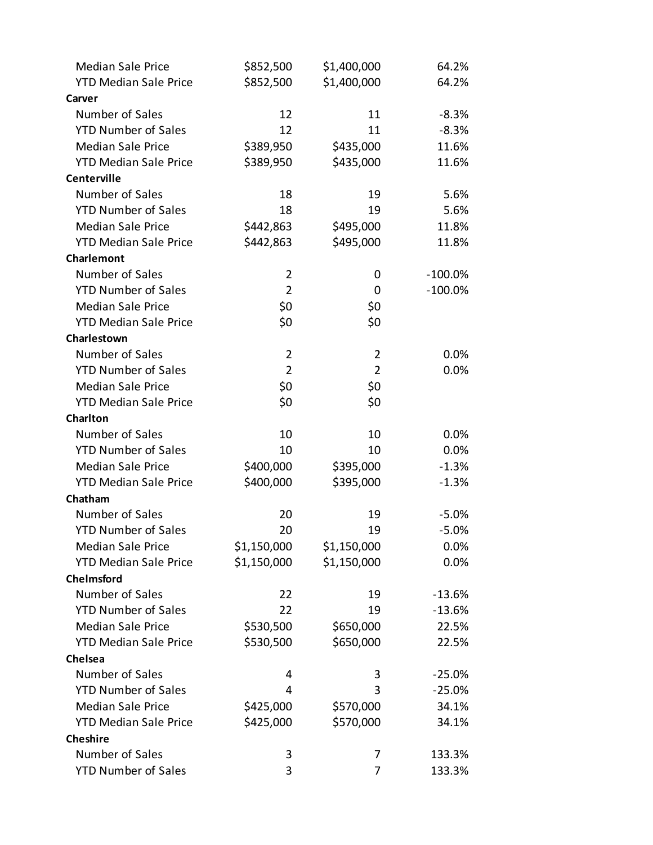| <b>Median Sale Price</b>     | \$852,500      | \$1,400,000    | 64.2%      |
|------------------------------|----------------|----------------|------------|
| <b>YTD Median Sale Price</b> | \$852,500      | \$1,400,000    | 64.2%      |
| Carver                       |                |                |            |
| Number of Sales              | 12             | 11             | $-8.3%$    |
| <b>YTD Number of Sales</b>   | 12             | 11             | $-8.3%$    |
| <b>Median Sale Price</b>     | \$389,950      | \$435,000      | 11.6%      |
| <b>YTD Median Sale Price</b> | \$389,950      | \$435,000      | 11.6%      |
| <b>Centerville</b>           |                |                |            |
| Number of Sales              | 18             | 19             | 5.6%       |
| <b>YTD Number of Sales</b>   | 18             | 19             | 5.6%       |
| <b>Median Sale Price</b>     | \$442,863      | \$495,000      | 11.8%      |
| <b>YTD Median Sale Price</b> | \$442,863      | \$495,000      | 11.8%      |
| Charlemont                   |                |                |            |
| Number of Sales              | $\overline{2}$ | 0              | $-100.0\%$ |
| <b>YTD Number of Sales</b>   | $\overline{2}$ | 0              | $-100.0\%$ |
| <b>Median Sale Price</b>     | \$0            | \$0            |            |
| <b>YTD Median Sale Price</b> | \$0            | \$0            |            |
| Charlestown                  |                |                |            |
| Number of Sales              | $\overline{2}$ | $\overline{2}$ | 0.0%       |
| <b>YTD Number of Sales</b>   | $\overline{2}$ | $\overline{2}$ | 0.0%       |
| <b>Median Sale Price</b>     | \$0            | \$0            |            |
| <b>YTD Median Sale Price</b> | \$0            | \$0            |            |
| Charlton                     |                |                |            |
| Number of Sales              | 10             | 10             | $0.0\%$    |
| <b>YTD Number of Sales</b>   | 10             | 10             | 0.0%       |
| <b>Median Sale Price</b>     | \$400,000      | \$395,000      | $-1.3%$    |
| <b>YTD Median Sale Price</b> | \$400,000      | \$395,000      | $-1.3%$    |
| Chatham                      |                |                |            |
| Number of Sales              | 20             | 19             | $-5.0\%$   |
| <b>YTD Number of Sales</b>   | 20             | 19             | $-5.0%$    |
| <b>Median Sale Price</b>     | \$1,150,000    | \$1,150,000    | 0.0%       |
| <b>YTD Median Sale Price</b> | \$1,150,000    | \$1,150,000    | 0.0%       |
| Chelmsford                   |                |                |            |
| Number of Sales              | 22             | 19             | $-13.6%$   |
| <b>YTD Number of Sales</b>   | 22             | 19             | $-13.6%$   |
| <b>Median Sale Price</b>     | \$530,500      | \$650,000      | 22.5%      |
| <b>YTD Median Sale Price</b> | \$530,500      | \$650,000      | 22.5%      |
| Chelsea                      |                |                |            |
| Number of Sales              | 4              | 3              | $-25.0%$   |
| <b>YTD Number of Sales</b>   | 4              | 3              | $-25.0%$   |
| <b>Median Sale Price</b>     | \$425,000      | \$570,000      | 34.1%      |
| <b>YTD Median Sale Price</b> | \$425,000      | \$570,000      | 34.1%      |
| <b>Cheshire</b>              |                |                |            |
| Number of Sales              | 3              | 7              | 133.3%     |
| <b>YTD Number of Sales</b>   | 3              | 7              | 133.3%     |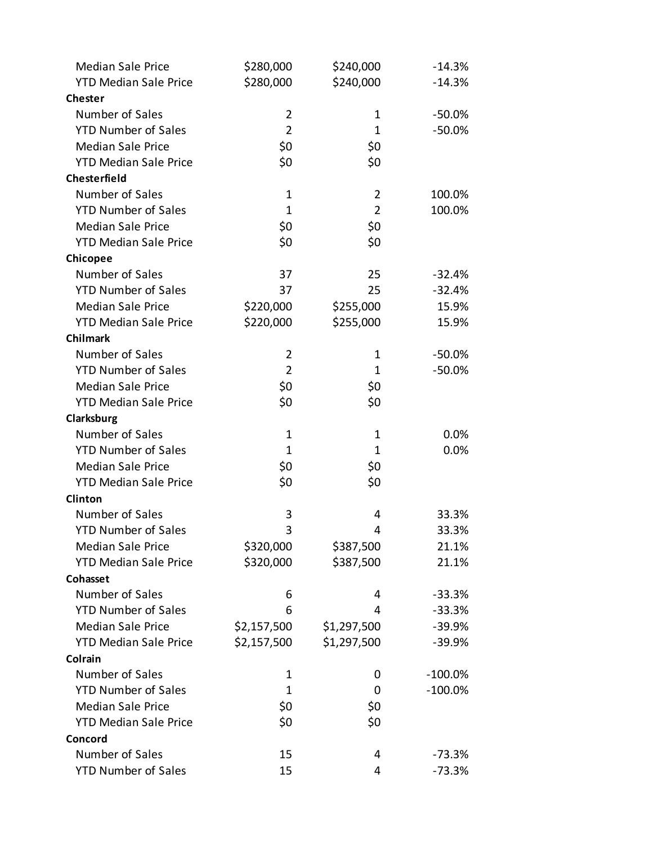| <b>Median Sale Price</b>     | \$280,000      | \$240,000      | $-14.3%$   |
|------------------------------|----------------|----------------|------------|
| <b>YTD Median Sale Price</b> | \$280,000      | \$240,000      | $-14.3%$   |
| <b>Chester</b>               |                |                |            |
| Number of Sales              | $\overline{2}$ | 1              | $-50.0%$   |
| <b>YTD Number of Sales</b>   | $\overline{2}$ | 1              | $-50.0%$   |
| <b>Median Sale Price</b>     | \$0            | \$0            |            |
| <b>YTD Median Sale Price</b> | \$0            | \$0            |            |
| <b>Chesterfield</b>          |                |                |            |
| Number of Sales              | 1              | $\overline{2}$ | 100.0%     |
| <b>YTD Number of Sales</b>   | $\mathbf{1}$   | $\overline{2}$ | 100.0%     |
| <b>Median Sale Price</b>     | \$0            | \$0            |            |
| <b>YTD Median Sale Price</b> | \$0            | \$0            |            |
| Chicopee                     |                |                |            |
| Number of Sales              | 37             | 25             | $-32.4%$   |
| <b>YTD Number of Sales</b>   | 37             | 25             | $-32.4%$   |
| <b>Median Sale Price</b>     | \$220,000      | \$255,000      | 15.9%      |
| <b>YTD Median Sale Price</b> | \$220,000      | \$255,000      | 15.9%      |
| <b>Chilmark</b>              |                |                |            |
| Number of Sales              | $\overline{2}$ | 1              | $-50.0%$   |
| <b>YTD Number of Sales</b>   | $\overline{2}$ | $\mathbf{1}$   | $-50.0%$   |
| <b>Median Sale Price</b>     | \$0            | \$0            |            |
| <b>YTD Median Sale Price</b> | \$0            | \$0            |            |
| Clarksburg                   |                |                |            |
| Number of Sales              | $\mathbf 1$    | 1              | 0.0%       |
| <b>YTD Number of Sales</b>   | 1              | 1              | 0.0%       |
| <b>Median Sale Price</b>     | \$0            | \$0            |            |
| <b>YTD Median Sale Price</b> | \$0            | \$0            |            |
| Clinton                      |                |                |            |
| Number of Sales              | 3              | 4              | 33.3%      |
| <b>YTD Number of Sales</b>   | 3              | 4              | 33.3%      |
| <b>Median Sale Price</b>     | \$320,000      | \$387,500      | 21.1%      |
| <b>YTD Median Sale Price</b> | \$320,000      | \$387,500      | 21.1%      |
| Cohasset                     |                |                |            |
| Number of Sales              | 6              | 4              | $-33.3%$   |
| <b>YTD Number of Sales</b>   | 6              | 4              | $-33.3%$   |
| <b>Median Sale Price</b>     | \$2,157,500    | \$1,297,500    | $-39.9%$   |
| <b>YTD Median Sale Price</b> | \$2,157,500    | \$1,297,500    | $-39.9%$   |
| Colrain                      |                |                |            |
| Number of Sales              | 1              | 0              | $-100.0\%$ |
| <b>YTD Number of Sales</b>   | 1              | 0              | $-100.0%$  |
| <b>Median Sale Price</b>     | \$0            | \$0            |            |
| <b>YTD Median Sale Price</b> | \$0            | \$0            |            |
| Concord                      |                |                |            |
| Number of Sales              | 15             | 4              | $-73.3%$   |
| <b>YTD Number of Sales</b>   | 15             | 4              | $-73.3%$   |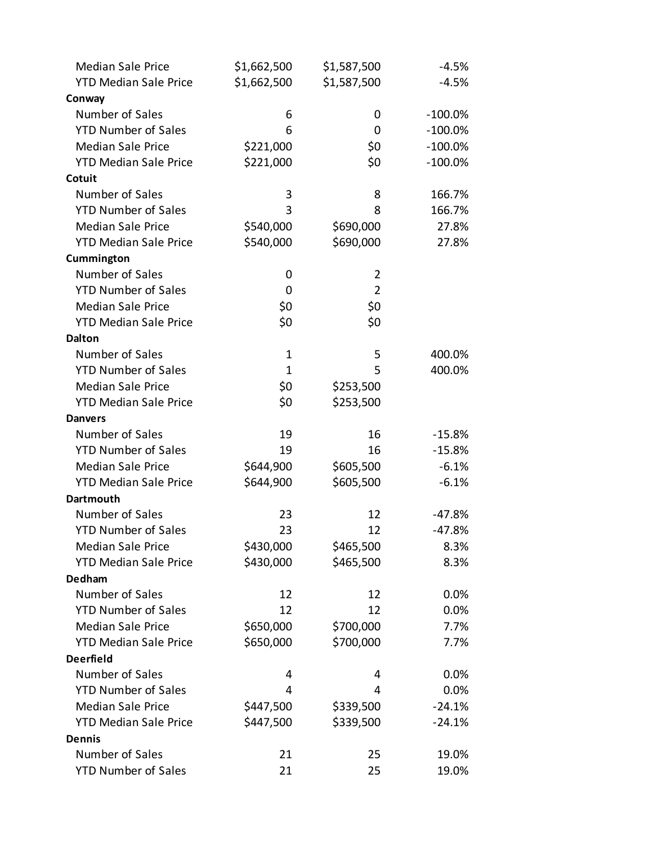| <b>Median Sale Price</b>     | \$1,662,500  | \$1,587,500    | $-4.5%$    |
|------------------------------|--------------|----------------|------------|
| <b>YTD Median Sale Price</b> | \$1,662,500  | \$1,587,500    | $-4.5%$    |
| Conway                       |              |                |            |
| Number of Sales              | 6            | 0              | $-100.0\%$ |
| <b>YTD Number of Sales</b>   | 6            | 0              | $-100.0%$  |
| <b>Median Sale Price</b>     | \$221,000    | \$0            | $-100.0\%$ |
| <b>YTD Median Sale Price</b> | \$221,000    | \$0            | $-100.0%$  |
| Cotuit                       |              |                |            |
| Number of Sales              | 3            | 8              | 166.7%     |
| <b>YTD Number of Sales</b>   | 3            | 8              | 166.7%     |
| <b>Median Sale Price</b>     | \$540,000    | \$690,000      | 27.8%      |
| <b>YTD Median Sale Price</b> | \$540,000    | \$690,000      | 27.8%      |
| Cummington                   |              |                |            |
| Number of Sales              | 0            | $\overline{2}$ |            |
| <b>YTD Number of Sales</b>   | 0            | $\overline{2}$ |            |
| <b>Median Sale Price</b>     | \$0          | \$0            |            |
| <b>YTD Median Sale Price</b> | \$0          | \$0            |            |
| <b>Dalton</b>                |              |                |            |
| Number of Sales              | $\mathbf 1$  | 5              | 400.0%     |
| <b>YTD Number of Sales</b>   | $\mathbf{1}$ | 5              | 400.0%     |
| <b>Median Sale Price</b>     | \$0          | \$253,500      |            |
| <b>YTD Median Sale Price</b> | \$0          | \$253,500      |            |
| <b>Danvers</b>               |              |                |            |
| Number of Sales              | 19           | 16             | $-15.8%$   |
| <b>YTD Number of Sales</b>   | 19           | 16             | $-15.8%$   |
| <b>Median Sale Price</b>     | \$644,900    | \$605,500      | $-6.1%$    |
| <b>YTD Median Sale Price</b> | \$644,900    | \$605,500      | $-6.1%$    |
| <b>Dartmouth</b>             |              |                |            |
| Number of Sales              | 23           | 12             | $-47.8%$   |
| <b>YTD Number of Sales</b>   | 23           | 12             | $-47.8%$   |
| <b>Median Sale Price</b>     | \$430,000    | \$465,500      | 8.3%       |
| <b>YTD Median Sale Price</b> | \$430,000    | \$465,500      | 8.3%       |
| <b>Dedham</b>                |              |                |            |
| Number of Sales              | 12           | 12             | 0.0%       |
| <b>YTD Number of Sales</b>   | 12           | 12             | 0.0%       |
| <b>Median Sale Price</b>     | \$650,000    | \$700,000      | 7.7%       |
| <b>YTD Median Sale Price</b> | \$650,000    | \$700,000      | 7.7%       |
| <b>Deerfield</b>             |              |                |            |
| Number of Sales              | 4            | 4              | 0.0%       |
| <b>YTD Number of Sales</b>   | 4            | 4              | 0.0%       |
| <b>Median Sale Price</b>     | \$447,500    | \$339,500      | $-24.1%$   |
| <b>YTD Median Sale Price</b> | \$447,500    | \$339,500      | $-24.1%$   |
| <b>Dennis</b>                |              |                |            |
| Number of Sales              | 21           | 25             | 19.0%      |
| <b>YTD Number of Sales</b>   | 21           | 25             | 19.0%      |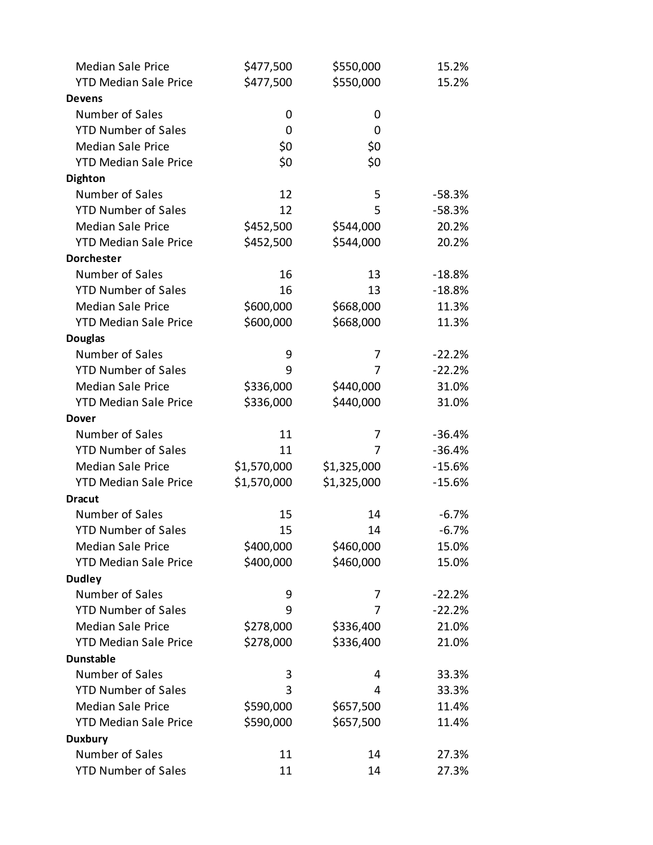| <b>Median Sale Price</b>     | \$477,500   | \$550,000   | 15.2%    |
|------------------------------|-------------|-------------|----------|
| <b>YTD Median Sale Price</b> | \$477,500   | \$550,000   | 15.2%    |
| <b>Devens</b>                |             |             |          |
| Number of Sales              | 0           | 0           |          |
| <b>YTD Number of Sales</b>   | 0           | 0           |          |
| <b>Median Sale Price</b>     | \$0         | \$0         |          |
| <b>YTD Median Sale Price</b> | \$0         | \$0         |          |
| <b>Dighton</b>               |             |             |          |
| Number of Sales              | 12          | 5           | $-58.3%$ |
| <b>YTD Number of Sales</b>   | 12          | 5           | $-58.3%$ |
| <b>Median Sale Price</b>     | \$452,500   | \$544,000   | 20.2%    |
| <b>YTD Median Sale Price</b> | \$452,500   | \$544,000   | 20.2%    |
| <b>Dorchester</b>            |             |             |          |
| Number of Sales              | 16          | 13          | $-18.8%$ |
| <b>YTD Number of Sales</b>   | 16          | 13          | $-18.8%$ |
| <b>Median Sale Price</b>     | \$600,000   | \$668,000   | 11.3%    |
| <b>YTD Median Sale Price</b> | \$600,000   | \$668,000   | 11.3%    |
| <b>Douglas</b>               |             |             |          |
| Number of Sales              | 9           | 7           | $-22.2%$ |
| <b>YTD Number of Sales</b>   | 9           | 7           | $-22.2%$ |
| <b>Median Sale Price</b>     | \$336,000   | \$440,000   | 31.0%    |
| <b>YTD Median Sale Price</b> | \$336,000   | \$440,000   | 31.0%    |
| <b>Dover</b>                 |             |             |          |
| Number of Sales              | 11          | 7           | $-36.4%$ |
| <b>YTD Number of Sales</b>   | 11          | 7           | $-36.4%$ |
| <b>Median Sale Price</b>     | \$1,570,000 | \$1,325,000 | $-15.6%$ |
| <b>YTD Median Sale Price</b> | \$1,570,000 | \$1,325,000 | $-15.6%$ |
| <b>Dracut</b>                |             |             |          |
| Number of Sales              | 15          | 14          | $-6.7\%$ |
| <b>YTD Number of Sales</b>   | 15          | 14          | $-6.7%$  |
| <b>Median Sale Price</b>     | \$400,000   | \$460,000   | 15.0%    |
| <b>YTD Median Sale Price</b> | \$400,000   | \$460,000   | 15.0%    |
| <b>Dudley</b>                |             |             |          |
| Number of Sales              | 9           | 7           | $-22.2%$ |
| <b>YTD Number of Sales</b>   | 9           | 7           | $-22.2%$ |
| <b>Median Sale Price</b>     | \$278,000   | \$336,400   | 21.0%    |
| <b>YTD Median Sale Price</b> | \$278,000   | \$336,400   | 21.0%    |
| <b>Dunstable</b>             |             |             |          |
| Number of Sales              | 3           | 4           | 33.3%    |
| <b>YTD Number of Sales</b>   | 3           | 4           | 33.3%    |
| <b>Median Sale Price</b>     | \$590,000   | \$657,500   | 11.4%    |
| <b>YTD Median Sale Price</b> | \$590,000   | \$657,500   | 11.4%    |
| <b>Duxbury</b>               |             |             |          |
| Number of Sales              | 11          | 14          | 27.3%    |
| <b>YTD Number of Sales</b>   | 11          | 14          | 27.3%    |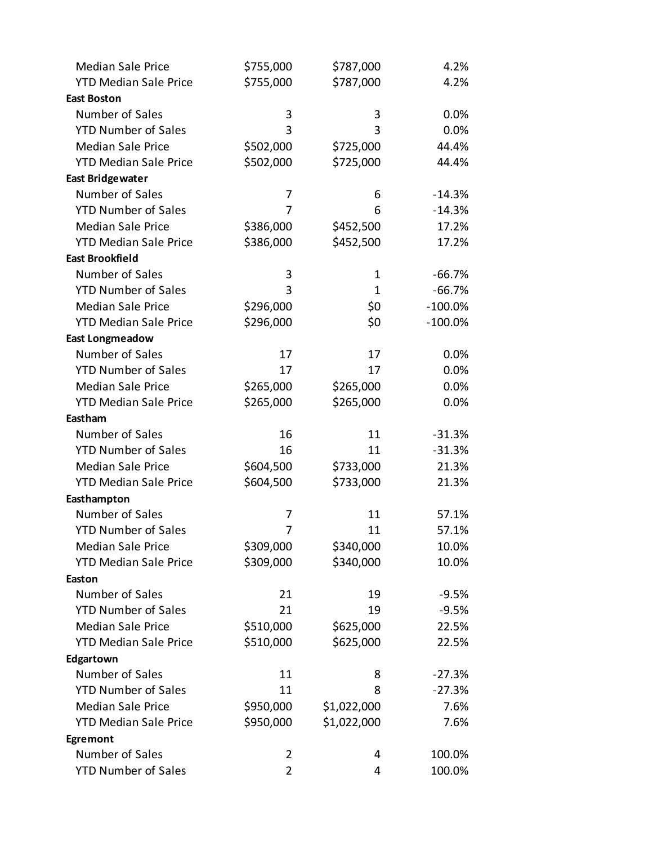| <b>Median Sale Price</b>     | \$755,000      | \$787,000   | 4.2%       |
|------------------------------|----------------|-------------|------------|
| <b>YTD Median Sale Price</b> | \$755,000      | \$787,000   | 4.2%       |
| <b>East Boston</b>           |                |             |            |
| Number of Sales              | 3              | 3           | 0.0%       |
| <b>YTD Number of Sales</b>   | 3              | 3           | 0.0%       |
| <b>Median Sale Price</b>     | \$502,000      | \$725,000   | 44.4%      |
| <b>YTD Median Sale Price</b> | \$502,000      | \$725,000   | 44.4%      |
| <b>East Bridgewater</b>      |                |             |            |
| Number of Sales              | 7              | 6           | $-14.3%$   |
| <b>YTD Number of Sales</b>   | 7              | 6           | $-14.3%$   |
| <b>Median Sale Price</b>     | \$386,000      | \$452,500   | 17.2%      |
| <b>YTD Median Sale Price</b> | \$386,000      | \$452,500   | 17.2%      |
| <b>East Brookfield</b>       |                |             |            |
| Number of Sales              | 3              | 1           | $-66.7%$   |
| <b>YTD Number of Sales</b>   | 3              | 1           | $-66.7%$   |
| <b>Median Sale Price</b>     | \$296,000      | \$0         | $-100.0\%$ |
| <b>YTD Median Sale Price</b> | \$296,000      | \$0         | $-100.0\%$ |
| <b>East Longmeadow</b>       |                |             |            |
| Number of Sales              | 17             | 17          | 0.0%       |
| <b>YTD Number of Sales</b>   | 17             | 17          | 0.0%       |
| <b>Median Sale Price</b>     | \$265,000      | \$265,000   | 0.0%       |
| <b>YTD Median Sale Price</b> | \$265,000      | \$265,000   | 0.0%       |
| Eastham                      |                |             |            |
| Number of Sales              | 16             | 11          | $-31.3%$   |
| <b>YTD Number of Sales</b>   | 16             | 11          | $-31.3%$   |
| <b>Median Sale Price</b>     | \$604,500      | \$733,000   | 21.3%      |
| <b>YTD Median Sale Price</b> | \$604,500      | \$733,000   | 21.3%      |
| Easthampton                  |                |             |            |
| Number of Sales              | 7              | 11          | 57.1%      |
| <b>YTD Number of Sales</b>   | 7              | 11          | 57.1%      |
| <b>Median Sale Price</b>     | \$309,000      | \$340,000   | 10.0%      |
| <b>YTD Median Sale Price</b> | \$309,000      | \$340,000   | 10.0%      |
| Easton                       |                |             |            |
| Number of Sales              | 21             | 19          | $-9.5%$    |
| <b>YTD Number of Sales</b>   | 21             | 19          | $-9.5%$    |
| <b>Median Sale Price</b>     | \$510,000      | \$625,000   | 22.5%      |
| <b>YTD Median Sale Price</b> | \$510,000      | \$625,000   | 22.5%      |
| Edgartown                    |                |             |            |
| Number of Sales              | 11             | 8           | $-27.3%$   |
| <b>YTD Number of Sales</b>   | 11             | 8           | $-27.3%$   |
| <b>Median Sale Price</b>     | \$950,000      | \$1,022,000 | 7.6%       |
| <b>YTD Median Sale Price</b> | \$950,000      | \$1,022,000 | 7.6%       |
| Egremont                     |                |             |            |
| Number of Sales              | 2              | 4           | 100.0%     |
| <b>YTD Number of Sales</b>   | $\overline{2}$ | 4           | 100.0%     |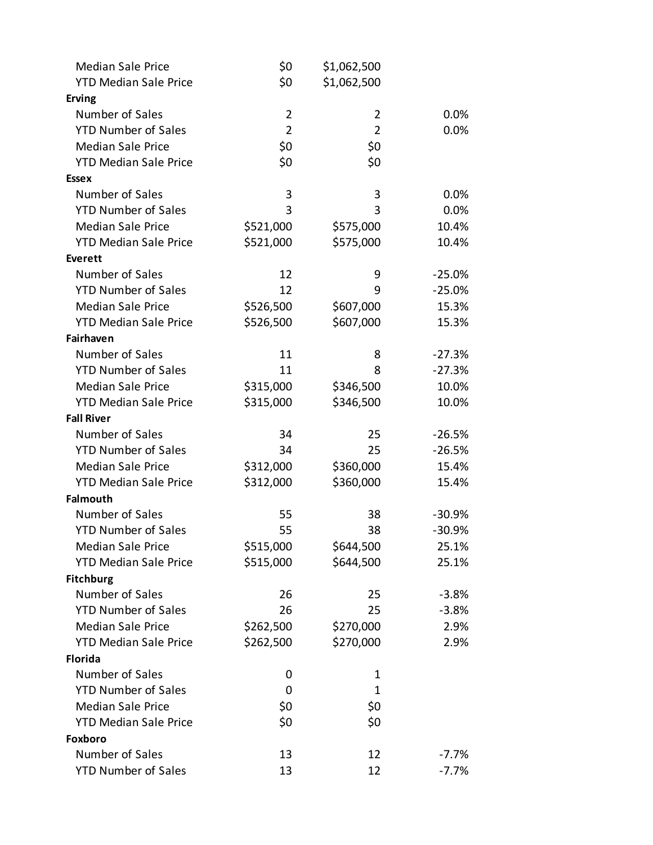| <b>Median Sale Price</b>     | \$0            | \$1,062,500    |          |
|------------------------------|----------------|----------------|----------|
| <b>YTD Median Sale Price</b> | \$0            | \$1,062,500    |          |
| <b>Erving</b>                |                |                |          |
| Number of Sales              | 2              | 2              | 0.0%     |
| <b>YTD Number of Sales</b>   | $\overline{2}$ | $\overline{2}$ | 0.0%     |
| <b>Median Sale Price</b>     | \$0            | \$0            |          |
| <b>YTD Median Sale Price</b> | \$0            | \$0            |          |
| <b>Essex</b>                 |                |                |          |
| Number of Sales              | 3              | 3              | 0.0%     |
| <b>YTD Number of Sales</b>   | 3              | 3              | 0.0%     |
| <b>Median Sale Price</b>     | \$521,000      | \$575,000      | 10.4%    |
| <b>YTD Median Sale Price</b> | \$521,000      | \$575,000      | 10.4%    |
| Everett                      |                |                |          |
| Number of Sales              | 12             | 9              | $-25.0%$ |
| <b>YTD Number of Sales</b>   | 12             | 9              | $-25.0%$ |
| <b>Median Sale Price</b>     | \$526,500      | \$607,000      | 15.3%    |
| <b>YTD Median Sale Price</b> | \$526,500      | \$607,000      | 15.3%    |
| Fairhaven                    |                |                |          |
| Number of Sales              | 11             | 8              | $-27.3%$ |
| <b>YTD Number of Sales</b>   | 11             | 8              | $-27.3%$ |
| <b>Median Sale Price</b>     | \$315,000      | \$346,500      | 10.0%    |
| <b>YTD Median Sale Price</b> | \$315,000      | \$346,500      | 10.0%    |
| <b>Fall River</b>            |                |                |          |
| Number of Sales              | 34             | 25             | $-26.5%$ |
| <b>YTD Number of Sales</b>   | 34             | 25             | $-26.5%$ |
| <b>Median Sale Price</b>     | \$312,000      | \$360,000      | 15.4%    |
| <b>YTD Median Sale Price</b> | \$312,000      | \$360,000      | 15.4%    |
| <b>Falmouth</b>              |                |                |          |
| Number of Sales              | 55             | 38             | $-30.9%$ |
| <b>YTD Number of Sales</b>   | 55             | 38             | $-30.9%$ |
| <b>Median Sale Price</b>     | \$515,000      | \$644,500      | 25.1%    |
| <b>YTD Median Sale Price</b> | \$515,000      | \$644,500      | 25.1%    |
| <b>Fitchburg</b>             |                |                |          |
| Number of Sales              | 26             | 25             | $-3.8%$  |
| <b>YTD Number of Sales</b>   | 26             | 25             | $-3.8%$  |
| <b>Median Sale Price</b>     | \$262,500      | \$270,000      | 2.9%     |
| <b>YTD Median Sale Price</b> | \$262,500      | \$270,000      | 2.9%     |
| <b>Florida</b>               |                |                |          |
| Number of Sales              | 0              | 1              |          |
| <b>YTD Number of Sales</b>   | 0              | 1              |          |
| <b>Median Sale Price</b>     | \$0            | \$0            |          |
| <b>YTD Median Sale Price</b> | \$0            | \$0            |          |
| Foxboro                      |                |                |          |
| Number of Sales              | 13             | 12             | $-7.7%$  |
| <b>YTD Number of Sales</b>   | 13             | 12             | $-7.7%$  |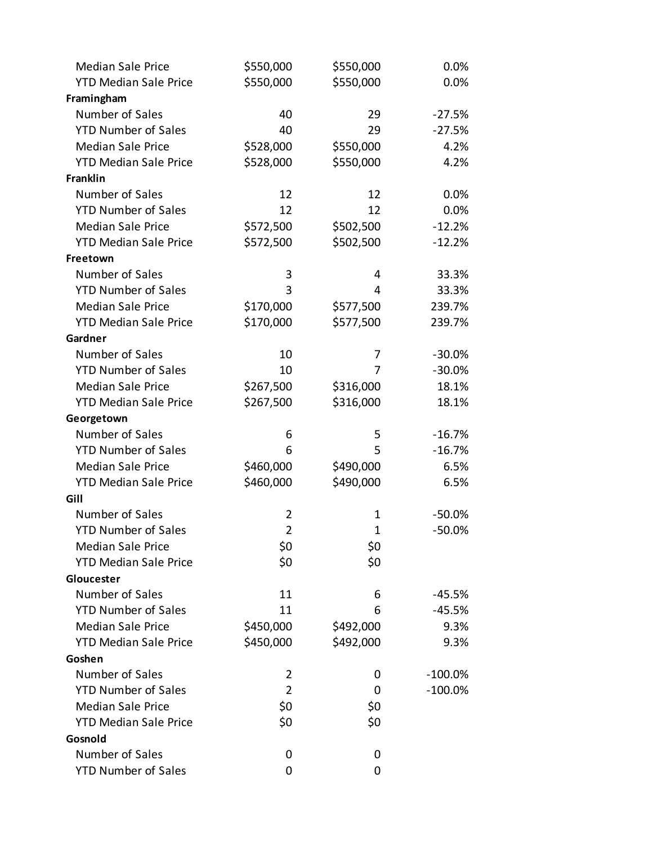| <b>Median Sale Price</b>     | \$550,000      | \$550,000 | 0.0%       |
|------------------------------|----------------|-----------|------------|
| <b>YTD Median Sale Price</b> | \$550,000      | \$550,000 | 0.0%       |
| Framingham                   |                |           |            |
| Number of Sales              | 40             | 29        | $-27.5%$   |
| <b>YTD Number of Sales</b>   | 40             | 29        | $-27.5%$   |
| <b>Median Sale Price</b>     | \$528,000      | \$550,000 | 4.2%       |
| <b>YTD Median Sale Price</b> | \$528,000      | \$550,000 | 4.2%       |
| <b>Franklin</b>              |                |           |            |
| Number of Sales              | 12             | 12        | 0.0%       |
| <b>YTD Number of Sales</b>   | 12             | 12        | 0.0%       |
| <b>Median Sale Price</b>     | \$572,500      | \$502,500 | $-12.2%$   |
| <b>YTD Median Sale Price</b> | \$572,500      | \$502,500 | $-12.2%$   |
| Freetown                     |                |           |            |
| Number of Sales              | 3              | 4         | 33.3%      |
| <b>YTD Number of Sales</b>   | 3              | 4         | 33.3%      |
| <b>Median Sale Price</b>     | \$170,000      | \$577,500 | 239.7%     |
| <b>YTD Median Sale Price</b> | \$170,000      | \$577,500 | 239.7%     |
| Gardner                      |                |           |            |
| Number of Sales              | 10             | 7         | $-30.0%$   |
| <b>YTD Number of Sales</b>   | 10             | 7         | $-30.0%$   |
| <b>Median Sale Price</b>     | \$267,500      | \$316,000 | 18.1%      |
| <b>YTD Median Sale Price</b> | \$267,500      | \$316,000 | 18.1%      |
| Georgetown                   |                |           |            |
| Number of Sales              | 6              | 5         | $-16.7%$   |
| <b>YTD Number of Sales</b>   | 6              | 5         | $-16.7%$   |
| <b>Median Sale Price</b>     | \$460,000      | \$490,000 | 6.5%       |
| <b>YTD Median Sale Price</b> | \$460,000      | \$490,000 | 6.5%       |
| Gill                         |                |           |            |
| Number of Sales              | 2              | 1         | $-50.0%$   |
| <b>YTD Number of Sales</b>   | $\overline{2}$ | 1         | $-50.0%$   |
| <b>Median Sale Price</b>     | \$0            | \$0       |            |
| <b>YTD Median Sale Price</b> | \$0            | \$0       |            |
| Gloucester                   |                |           |            |
| Number of Sales              | 11             | 6         | $-45.5%$   |
| <b>YTD Number of Sales</b>   | 11             | 6         | $-45.5%$   |
| <b>Median Sale Price</b>     | \$450,000      | \$492,000 | 9.3%       |
| <b>YTD Median Sale Price</b> | \$450,000      | \$492,000 | 9.3%       |
| Goshen                       |                |           |            |
| Number of Sales              | 2              | 0         | $-100.0\%$ |
| <b>YTD Number of Sales</b>   | $\overline{2}$ | 0         | $-100.0%$  |
| <b>Median Sale Price</b>     | \$0            | \$0       |            |
| <b>YTD Median Sale Price</b> | \$0            | \$0       |            |
| Gosnold                      |                |           |            |
| Number of Sales              | 0              | 0         |            |
| <b>YTD Number of Sales</b>   | 0              | 0         |            |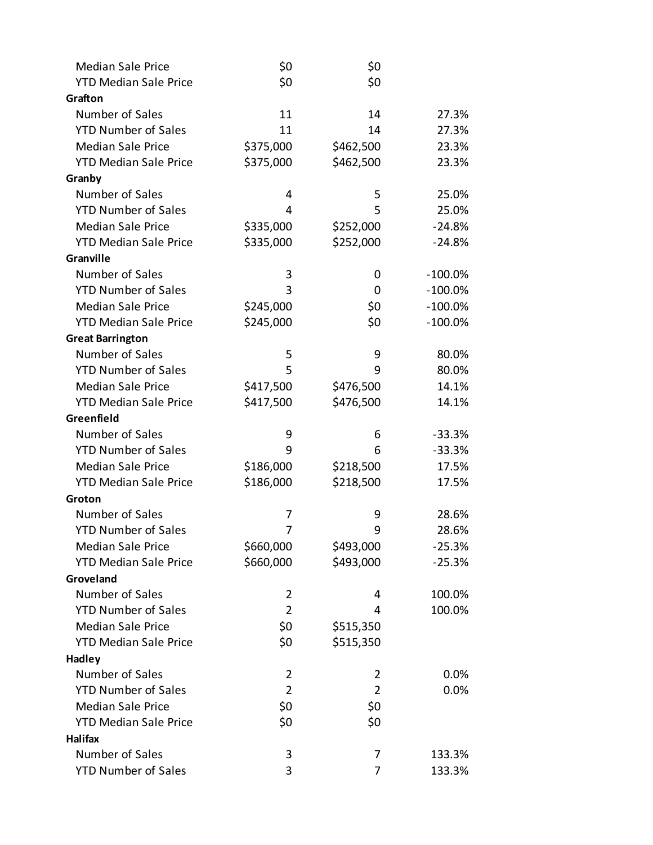| <b>Median Sale Price</b>     | \$0            | \$0            |            |
|------------------------------|----------------|----------------|------------|
| <b>YTD Median Sale Price</b> | \$0            | \$0            |            |
| Grafton                      |                |                |            |
| Number of Sales              | 11             | 14             | 27.3%      |
| <b>YTD Number of Sales</b>   | 11             | 14             | 27.3%      |
| <b>Median Sale Price</b>     | \$375,000      | \$462,500      | 23.3%      |
| <b>YTD Median Sale Price</b> | \$375,000      | \$462,500      | 23.3%      |
| Granby                       |                |                |            |
| Number of Sales              | 4              | 5              | 25.0%      |
| <b>YTD Number of Sales</b>   | 4              | 5              | 25.0%      |
| <b>Median Sale Price</b>     | \$335,000      | \$252,000      | $-24.8%$   |
| <b>YTD Median Sale Price</b> | \$335,000      | \$252,000      | $-24.8%$   |
| Granville                    |                |                |            |
| Number of Sales              | 3              | 0              | $-100.0\%$ |
| <b>YTD Number of Sales</b>   | 3              | 0              | $-100.0%$  |
| <b>Median Sale Price</b>     | \$245,000      | \$0            | $-100.0\%$ |
| <b>YTD Median Sale Price</b> | \$245,000      | \$0            | $-100.0%$  |
| <b>Great Barrington</b>      |                |                |            |
| Number of Sales              | 5              | 9              | 80.0%      |
| <b>YTD Number of Sales</b>   | 5              | 9              | 80.0%      |
| <b>Median Sale Price</b>     | \$417,500      | \$476,500      | 14.1%      |
| <b>YTD Median Sale Price</b> | \$417,500      | \$476,500      | 14.1%      |
| Greenfield                   |                |                |            |
| Number of Sales              | 9              | 6              | $-33.3%$   |
| <b>YTD Number of Sales</b>   | 9              | 6              | $-33.3%$   |
| <b>Median Sale Price</b>     | \$186,000      | \$218,500      | 17.5%      |
| <b>YTD Median Sale Price</b> | \$186,000      | \$218,500      | 17.5%      |
| Groton                       |                |                |            |
| Number of Sales              | 7              | 9              | 28.6%      |
| <b>YTD Number of Sales</b>   | 7              | 9              | 28.6%      |
| <b>Median Sale Price</b>     | \$660,000      | \$493,000      | $-25.3%$   |
| <b>YTD Median Sale Price</b> | \$660,000      | \$493,000      | $-25.3%$   |
| Groveland                    |                |                |            |
| Number of Sales              | $\overline{2}$ | 4              | 100.0%     |
| <b>YTD Number of Sales</b>   | $\overline{2}$ | 4              | 100.0%     |
| <b>Median Sale Price</b>     | \$0            | \$515,350      |            |
| <b>YTD Median Sale Price</b> | \$0            | \$515,350      |            |
| Hadley                       |                |                |            |
| Number of Sales              | $\overline{2}$ | 2              | 0.0%       |
| <b>YTD Number of Sales</b>   | $\overline{2}$ | $\overline{2}$ | 0.0%       |
| <b>Median Sale Price</b>     | \$0            | \$0            |            |
| <b>YTD Median Sale Price</b> | \$0            | \$0            |            |
| Halifax                      |                |                |            |
| Number of Sales              | 3              | 7              | 133.3%     |
| <b>YTD Number of Sales</b>   | 3              | 7              | 133.3%     |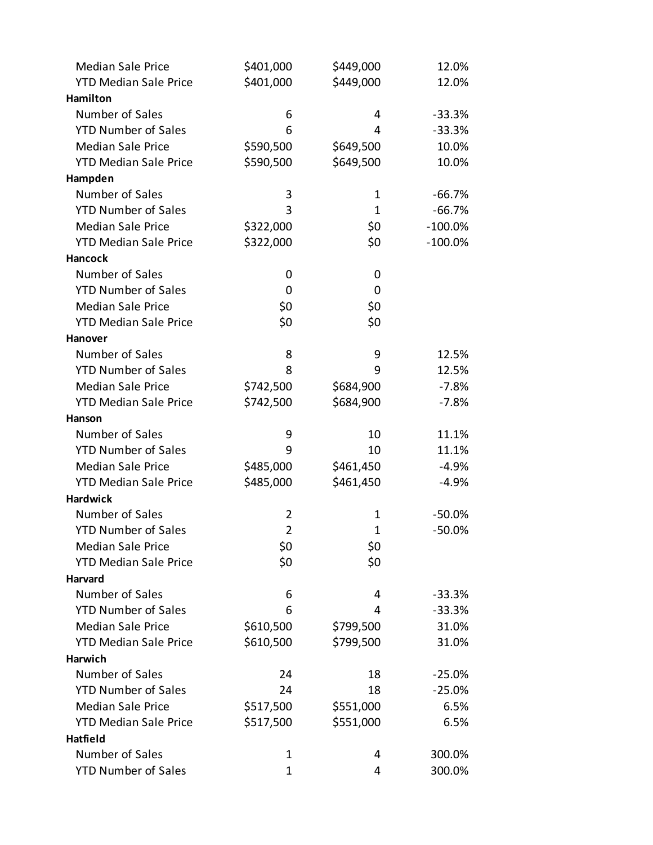| <b>Median Sale Price</b>                               | \$401,000      | \$449,000   | 12.0%      |
|--------------------------------------------------------|----------------|-------------|------------|
| <b>YTD Median Sale Price</b>                           | \$401,000      | \$449,000   | 12.0%      |
| Hamilton                                               |                |             |            |
| Number of Sales                                        | 6              | 4           | $-33.3%$   |
| <b>YTD Number of Sales</b>                             | 6              | 4           | $-33.3%$   |
| <b>Median Sale Price</b>                               | \$590,500      | \$649,500   | 10.0%      |
| <b>YTD Median Sale Price</b>                           | \$590,500      | \$649,500   | 10.0%      |
| Hampden                                                |                |             |            |
| Number of Sales                                        | 3              | 1           | $-66.7%$   |
| <b>YTD Number of Sales</b>                             | 3              | $\mathbf 1$ | $-66.7%$   |
| <b>Median Sale Price</b>                               | \$322,000      | \$0         | $-100.0\%$ |
| <b>YTD Median Sale Price</b>                           | \$322,000      | \$0         | $-100.0\%$ |
| <b>Hancock</b>                                         |                |             |            |
| Number of Sales                                        | 0              | 0           |            |
| <b>YTD Number of Sales</b>                             | 0              | 0           |            |
| <b>Median Sale Price</b>                               | \$0            | \$0         |            |
| <b>YTD Median Sale Price</b>                           | \$0            | \$0         |            |
| <b>Hanover</b>                                         |                |             |            |
| Number of Sales                                        | 8              | 9           | 12.5%      |
| <b>YTD Number of Sales</b>                             | 8              | 9           | 12.5%      |
| <b>Median Sale Price</b>                               | \$742,500      | \$684,900   | $-7.8\%$   |
| <b>YTD Median Sale Price</b>                           | \$742,500      | \$684,900   | $-7.8%$    |
| Hanson                                                 |                |             |            |
| Number of Sales                                        | 9              | 10          | 11.1%      |
| <b>YTD Number of Sales</b>                             | 9              | 10          | 11.1%      |
| <b>Median Sale Price</b>                               | \$485,000      | \$461,450   | $-4.9%$    |
| <b>YTD Median Sale Price</b>                           | \$485,000      | \$461,450   | $-4.9%$    |
| <b>Hardwick</b>                                        |                |             |            |
| Number of Sales                                        | 2              | 1           | $-50.0%$   |
| <b>YTD Number of Sales</b>                             | $\overline{2}$ | $\mathbf 1$ | $-50.0%$   |
| <b>Median Sale Price</b>                               | \$0            | \$0         |            |
| <b>YTD Median Sale Price</b>                           | \$0            | \$0         |            |
| Harvard                                                |                |             |            |
| Number of Sales                                        | 6              | 4           | $-33.3%$   |
| <b>YTD Number of Sales</b>                             | 6              | 4           | $-33.3%$   |
| <b>Median Sale Price</b>                               | \$610,500      | \$799,500   | 31.0%      |
| <b>YTD Median Sale Price</b>                           | \$610,500      | \$799,500   | 31.0%      |
| <b>Harwich</b>                                         |                |             |            |
| Number of Sales                                        | 24             | 18          | $-25.0%$   |
| <b>YTD Number of Sales</b><br><b>Median Sale Price</b> | 24             | 18          | $-25.0%$   |
|                                                        | \$517,500      | \$551,000   | 6.5%       |
| <b>YTD Median Sale Price</b><br>Hatfield               | \$517,500      | \$551,000   | 6.5%       |
| Number of Sales                                        | $\mathbf 1$    | 4           | 300.0%     |
| <b>YTD Number of Sales</b>                             | 1              | 4           | 300.0%     |
|                                                        |                |             |            |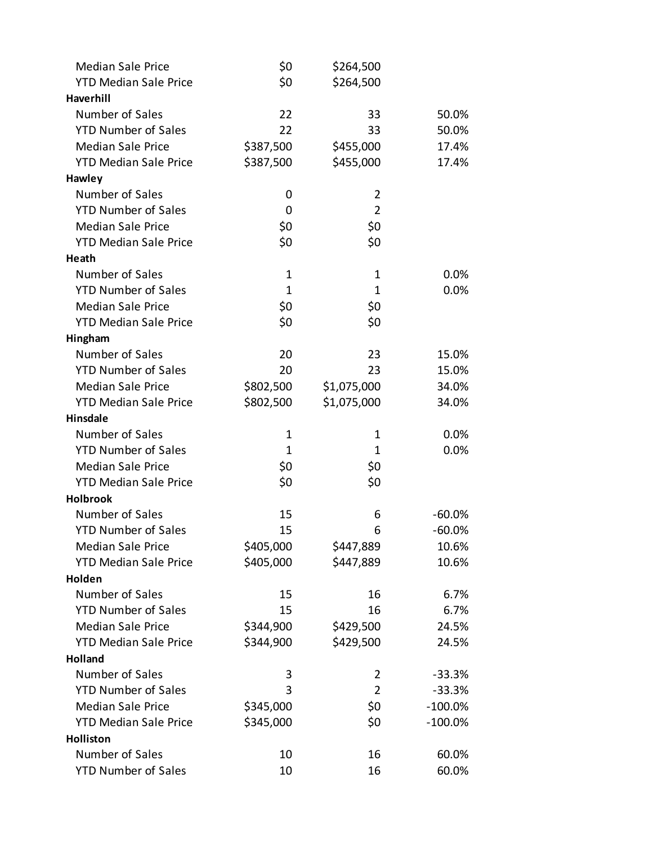| <b>Median Sale Price</b>     | \$0       | \$264,500      |            |
|------------------------------|-----------|----------------|------------|
| <b>YTD Median Sale Price</b> | \$0       | \$264,500      |            |
| Haverhill                    |           |                |            |
| Number of Sales              | 22        | 33             | 50.0%      |
| <b>YTD Number of Sales</b>   | 22        | 33             | 50.0%      |
| <b>Median Sale Price</b>     | \$387,500 | \$455,000      | 17.4%      |
| <b>YTD Median Sale Price</b> | \$387,500 | \$455,000      | 17.4%      |
| Hawley                       |           |                |            |
| Number of Sales              | 0         | 2              |            |
| <b>YTD Number of Sales</b>   | 0         | $\overline{2}$ |            |
| <b>Median Sale Price</b>     | \$0       | \$0            |            |
| <b>YTD Median Sale Price</b> | \$0       | \$0            |            |
| Heath                        |           |                |            |
| Number of Sales              | 1         | $\mathbf 1$    | 0.0%       |
| <b>YTD Number of Sales</b>   | 1         | $\mathbf 1$    | 0.0%       |
| <b>Median Sale Price</b>     | \$0       | \$0            |            |
| <b>YTD Median Sale Price</b> | \$0       | \$0            |            |
| Hingham                      |           |                |            |
| Number of Sales              | 20        | 23             | 15.0%      |
| <b>YTD Number of Sales</b>   | 20        | 23             | 15.0%      |
| <b>Median Sale Price</b>     | \$802,500 | \$1,075,000    | 34.0%      |
| <b>YTD Median Sale Price</b> | \$802,500 | \$1,075,000    | 34.0%      |
| <b>Hinsdale</b>              |           |                |            |
| Number of Sales              | 1         | 1              | 0.0%       |
| <b>YTD Number of Sales</b>   | 1         | 1              | 0.0%       |
| <b>Median Sale Price</b>     | \$0       | \$0            |            |
| <b>YTD Median Sale Price</b> | \$0       | \$0            |            |
| <b>Holbrook</b>              |           |                |            |
| Number of Sales              | 15        | 6              | -60.0%     |
| <b>YTD Number of Sales</b>   | 15        | 6              | $-60.0%$   |
| <b>Median Sale Price</b>     | \$405,000 | \$447,889      | 10.6%      |
| <b>YTD Median Sale Price</b> | \$405,000 | \$447,889      | 10.6%      |
| Holden                       |           |                |            |
| Number of Sales              | 15        | 16             | 6.7%       |
| <b>YTD Number of Sales</b>   | 15        | 16             | 6.7%       |
| <b>Median Sale Price</b>     | \$344,900 | \$429,500      | 24.5%      |
| <b>YTD Median Sale Price</b> | \$344,900 | \$429,500      | 24.5%      |
| <b>Holland</b>               |           |                |            |
| Number of Sales              | 3         | 2              | $-33.3%$   |
| <b>YTD Number of Sales</b>   | 3         | $\overline{2}$ | $-33.3%$   |
| <b>Median Sale Price</b>     | \$345,000 | \$0            | $-100.0%$  |
| <b>YTD Median Sale Price</b> | \$345,000 | \$0            | $-100.0\%$ |
| Holliston<br>Number of Sales | 10        | 16             |            |
| <b>YTD Number of Sales</b>   |           |                | 60.0%      |
|                              | 10        | 16             | 60.0%      |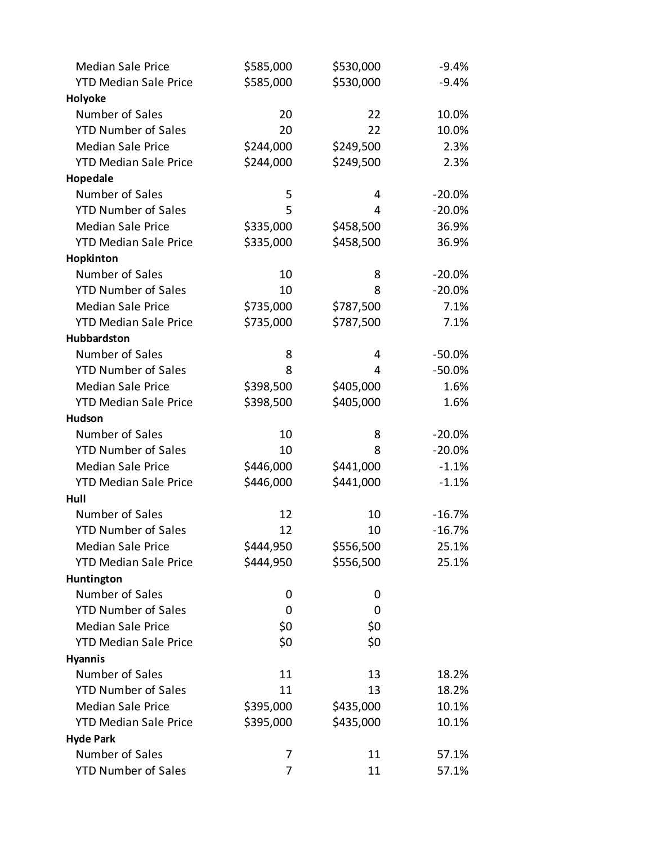| <b>Median Sale Price</b>     | \$585,000 | \$530,000 | $-9.4%$  |
|------------------------------|-----------|-----------|----------|
| <b>YTD Median Sale Price</b> | \$585,000 | \$530,000 | $-9.4%$  |
| Holyoke                      |           |           |          |
| Number of Sales              | 20        | 22        | 10.0%    |
| <b>YTD Number of Sales</b>   | 20        | 22        | 10.0%    |
| <b>Median Sale Price</b>     | \$244,000 | \$249,500 | 2.3%     |
| <b>YTD Median Sale Price</b> | \$244,000 | \$249,500 | 2.3%     |
| Hopedale                     |           |           |          |
| Number of Sales              | 5         | 4         | $-20.0%$ |
| <b>YTD Number of Sales</b>   | 5         | 4         | $-20.0%$ |
| <b>Median Sale Price</b>     | \$335,000 | \$458,500 | 36.9%    |
| <b>YTD Median Sale Price</b> | \$335,000 | \$458,500 | 36.9%    |
| Hopkinton                    |           |           |          |
| Number of Sales              | 10        | 8         | $-20.0%$ |
| <b>YTD Number of Sales</b>   | 10        | 8         | $-20.0%$ |
| <b>Median Sale Price</b>     | \$735,000 | \$787,500 | 7.1%     |
| <b>YTD Median Sale Price</b> | \$735,000 | \$787,500 | 7.1%     |
| Hubbardston                  |           |           |          |
| Number of Sales              | 8         | 4         | $-50.0%$ |
| <b>YTD Number of Sales</b>   | 8         | 4         | $-50.0%$ |
| <b>Median Sale Price</b>     | \$398,500 | \$405,000 | 1.6%     |
| <b>YTD Median Sale Price</b> | \$398,500 | \$405,000 | 1.6%     |
| <b>Hudson</b>                |           |           |          |
| Number of Sales              | 10        | 8         | $-20.0%$ |
| <b>YTD Number of Sales</b>   | 10        | 8         | $-20.0%$ |
| <b>Median Sale Price</b>     | \$446,000 | \$441,000 | $-1.1%$  |
| <b>YTD Median Sale Price</b> | \$446,000 | \$441,000 | $-1.1%$  |
| Hull                         |           |           |          |
| Number of Sales              | 12        | 10        | $-16.7%$ |
| <b>YTD Number of Sales</b>   | 12        | 10        | $-16.7%$ |
| <b>Median Sale Price</b>     | \$444,950 | \$556,500 | 25.1%    |
| <b>YTD Median Sale Price</b> | \$444,950 | \$556,500 | 25.1%    |
| Huntington                   |           |           |          |
| Number of Sales              | 0         | 0         |          |
| <b>YTD Number of Sales</b>   | 0         | 0         |          |
| <b>Median Sale Price</b>     | \$0       | \$0       |          |
| <b>YTD Median Sale Price</b> | \$0       | \$0       |          |
| <b>Hyannis</b>               |           |           |          |
| Number of Sales              | 11        | 13        | 18.2%    |
| <b>YTD Number of Sales</b>   | 11        | 13        | 18.2%    |
| <b>Median Sale Price</b>     | \$395,000 | \$435,000 | 10.1%    |
| <b>YTD Median Sale Price</b> | \$395,000 | \$435,000 | 10.1%    |
| <b>Hyde Park</b>             |           |           |          |
| Number of Sales              | 7         | 11        | 57.1%    |
| <b>YTD Number of Sales</b>   | 7         | 11        | 57.1%    |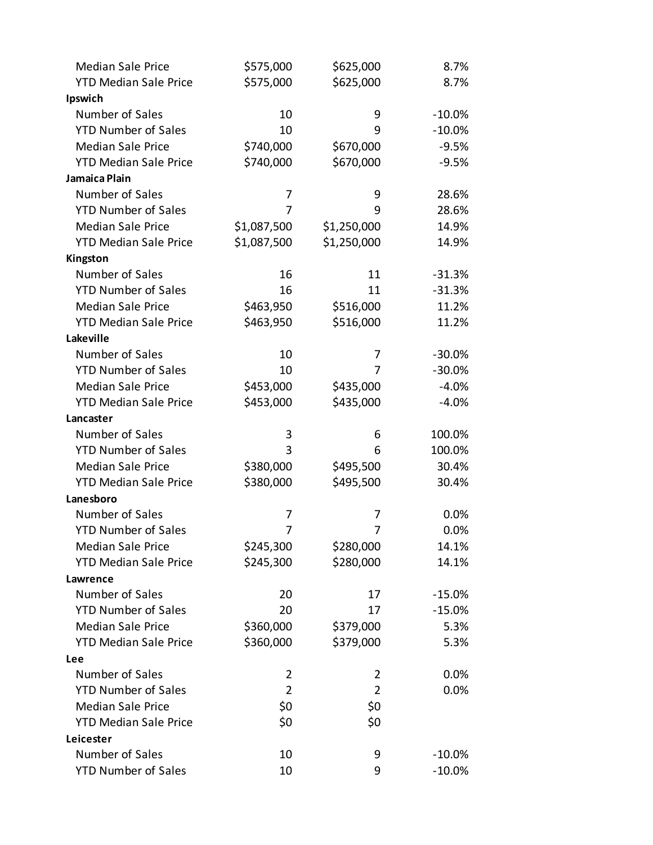| <b>Median Sale Price</b>     | \$575,000      | \$625,000      | 8.7%      |
|------------------------------|----------------|----------------|-----------|
| <b>YTD Median Sale Price</b> | \$575,000      | \$625,000      | 8.7%      |
| Ipswich                      |                |                |           |
| Number of Sales              | 10             | 9              | $-10.0\%$ |
| <b>YTD Number of Sales</b>   | 10             | 9              | $-10.0%$  |
| <b>Median Sale Price</b>     | \$740,000      | \$670,000      | $-9.5%$   |
| <b>YTD Median Sale Price</b> | \$740,000      | \$670,000      | $-9.5%$   |
| Jamaica Plain                |                |                |           |
| Number of Sales              | 7              | 9              | 28.6%     |
| <b>YTD Number of Sales</b>   | 7              | 9              | 28.6%     |
| <b>Median Sale Price</b>     | \$1,087,500    | \$1,250,000    | 14.9%     |
| <b>YTD Median Sale Price</b> | \$1,087,500    | \$1,250,000    | 14.9%     |
| Kingston                     |                |                |           |
| Number of Sales              | 16             | 11             | $-31.3%$  |
| <b>YTD Number of Sales</b>   | 16             | 11             | $-31.3%$  |
| <b>Median Sale Price</b>     | \$463,950      | \$516,000      | 11.2%     |
| <b>YTD Median Sale Price</b> | \$463,950      | \$516,000      | 11.2%     |
| Lakeville                    |                |                |           |
| Number of Sales              | 10             | 7              | $-30.0%$  |
| <b>YTD Number of Sales</b>   | 10             | 7              | $-30.0%$  |
| <b>Median Sale Price</b>     | \$453,000      | \$435,000      | $-4.0%$   |
| <b>YTD Median Sale Price</b> | \$453,000      | \$435,000      | $-4.0%$   |
| Lancaster                    |                |                |           |
| Number of Sales              | 3              | 6              | 100.0%    |
| <b>YTD Number of Sales</b>   | 3              | 6              | 100.0%    |
| <b>Median Sale Price</b>     | \$380,000      | \$495,500      | 30.4%     |
| <b>YTD Median Sale Price</b> | \$380,000      | \$495,500      | 30.4%     |
| Lanesboro                    |                |                |           |
| Number of Sales              | 7              | 7              | 0.0%      |
| <b>YTD Number of Sales</b>   | 7              | 7              | 0.0%      |
| <b>Median Sale Price</b>     | \$245,300      | \$280,000      | 14.1%     |
| <b>YTD Median Sale Price</b> | \$245,300      | \$280,000      | 14.1%     |
| Lawrence                     |                |                |           |
| Number of Sales              | 20             | 17             | $-15.0%$  |
| <b>YTD Number of Sales</b>   | 20             | 17             | $-15.0%$  |
| <b>Median Sale Price</b>     | \$360,000      | \$379,000      | 5.3%      |
| <b>YTD Median Sale Price</b> | \$360,000      | \$379,000      | 5.3%      |
| Lee                          |                |                |           |
| Number of Sales              | 2              | 2              | $0.0\%$   |
| <b>YTD Number of Sales</b>   | $\overline{2}$ | $\overline{2}$ | 0.0%      |
| <b>Median Sale Price</b>     | \$0            | \$0            |           |
| <b>YTD Median Sale Price</b> | \$0            | \$0            |           |
| Leicester                    |                |                |           |
| Number of Sales              | 10             | 9              | $-10.0\%$ |
| <b>YTD Number of Sales</b>   | 10             | 9              | $-10.0%$  |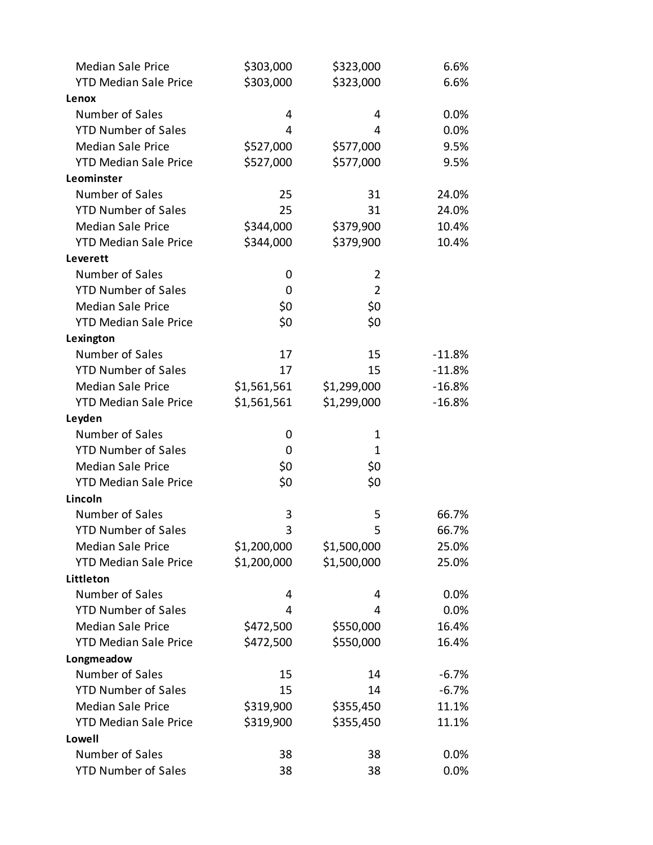| <b>Median Sale Price</b>     | \$303,000   | \$323,000      | 6.6%     |
|------------------------------|-------------|----------------|----------|
| <b>YTD Median Sale Price</b> | \$303,000   | \$323,000      | 6.6%     |
| Lenox                        |             |                |          |
| Number of Sales              | 4           | 4              | 0.0%     |
| <b>YTD Number of Sales</b>   | 4           | 4              | 0.0%     |
| <b>Median Sale Price</b>     | \$527,000   | \$577,000      | 9.5%     |
| <b>YTD Median Sale Price</b> | \$527,000   | \$577,000      | 9.5%     |
| Leominster                   |             |                |          |
| Number of Sales              | 25          | 31             | 24.0%    |
| <b>YTD Number of Sales</b>   | 25          | 31             | 24.0%    |
| <b>Median Sale Price</b>     | \$344,000   | \$379,900      | 10.4%    |
| <b>YTD Median Sale Price</b> | \$344,000   | \$379,900      | 10.4%    |
| Leverett                     |             |                |          |
| Number of Sales              | 0           | 2              |          |
| <b>YTD Number of Sales</b>   | 0           | $\overline{2}$ |          |
| <b>Median Sale Price</b>     | \$0         | \$0            |          |
| <b>YTD Median Sale Price</b> | \$0         | \$0            |          |
| Lexington                    |             |                |          |
| Number of Sales              | 17          | 15             | $-11.8%$ |
| <b>YTD Number of Sales</b>   | 17          | 15             | $-11.8%$ |
| <b>Median Sale Price</b>     | \$1,561,561 | \$1,299,000    | $-16.8%$ |
| <b>YTD Median Sale Price</b> | \$1,561,561 | \$1,299,000    | $-16.8%$ |
| Leyden                       |             |                |          |
| Number of Sales              | 0           | 1              |          |
| <b>YTD Number of Sales</b>   | 0           | 1              |          |
| <b>Median Sale Price</b>     | \$0         | \$0            |          |
| <b>YTD Median Sale Price</b> | \$0         | \$0            |          |
| Lincoln                      |             |                |          |
| Number of Sales              | 3           | 5              | 66.7%    |
| <b>YTD Number of Sales</b>   | 3           | 5              | 66.7%    |
| <b>Median Sale Price</b>     | \$1,200,000 | \$1,500,000    | 25.0%    |
| <b>YTD Median Sale Price</b> | \$1,200,000 | \$1,500,000    | 25.0%    |
| Littleton                    |             |                |          |
| Number of Sales              | 4           | 4              | 0.0%     |
| <b>YTD Number of Sales</b>   | 4           | 4              | 0.0%     |
| <b>Median Sale Price</b>     | \$472,500   | \$550,000      | 16.4%    |
| <b>YTD Median Sale Price</b> | \$472,500   | \$550,000      | 16.4%    |
| Longmeadow                   |             |                |          |
| Number of Sales              | 15          | 14             | $-6.7%$  |
| <b>YTD Number of Sales</b>   | 15          | 14             | $-6.7%$  |
| <b>Median Sale Price</b>     | \$319,900   | \$355,450      | 11.1%    |
| <b>YTD Median Sale Price</b> | \$319,900   | \$355,450      | 11.1%    |
| Lowell                       |             |                |          |
| Number of Sales              | 38          | 38             | 0.0%     |
| <b>YTD Number of Sales</b>   | 38          | 38             | 0.0%     |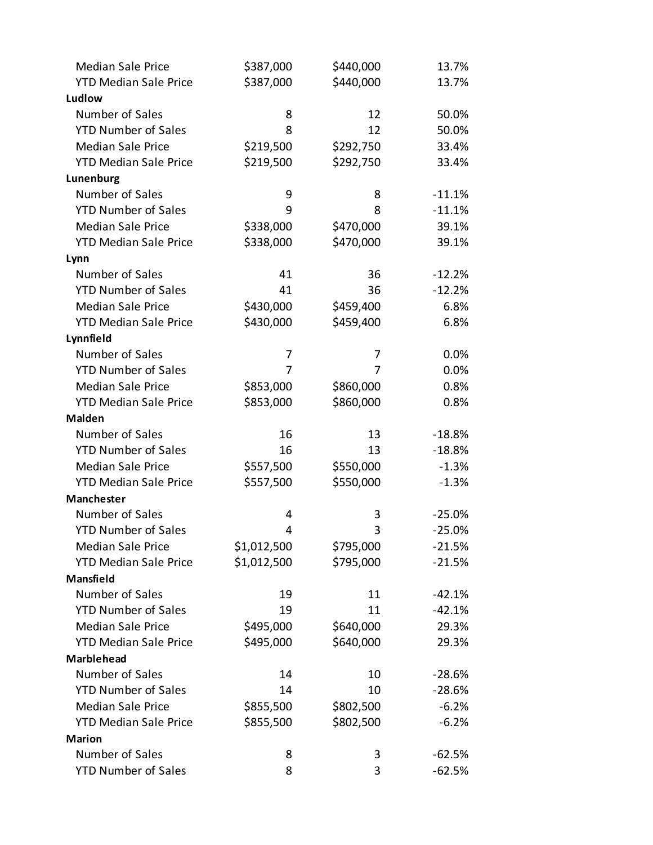| <b>Median Sale Price</b>     | \$387,000   | \$440,000 | 13.7%    |
|------------------------------|-------------|-----------|----------|
| <b>YTD Median Sale Price</b> | \$387,000   | \$440,000 | 13.7%    |
| Ludlow                       |             |           |          |
| Number of Sales              | 8           | 12        | 50.0%    |
| <b>YTD Number of Sales</b>   | 8           | 12        | 50.0%    |
| <b>Median Sale Price</b>     | \$219,500   | \$292,750 | 33.4%    |
| <b>YTD Median Sale Price</b> | \$219,500   | \$292,750 | 33.4%    |
| Lunenburg                    |             |           |          |
| Number of Sales              | 9           | 8         | $-11.1%$ |
| <b>YTD Number of Sales</b>   | 9           | 8         | $-11.1%$ |
| <b>Median Sale Price</b>     | \$338,000   | \$470,000 | 39.1%    |
| <b>YTD Median Sale Price</b> | \$338,000   | \$470,000 | 39.1%    |
| Lynn                         |             |           |          |
| Number of Sales              | 41          | 36        | $-12.2%$ |
| <b>YTD Number of Sales</b>   | 41          | 36        | $-12.2%$ |
| <b>Median Sale Price</b>     | \$430,000   | \$459,400 | 6.8%     |
| <b>YTD Median Sale Price</b> | \$430,000   | \$459,400 | 6.8%     |
| Lynnfield                    |             |           |          |
| Number of Sales              | 7           | 7         | 0.0%     |
| <b>YTD Number of Sales</b>   | 7           | 7         | 0.0%     |
| <b>Median Sale Price</b>     | \$853,000   | \$860,000 | 0.8%     |
| <b>YTD Median Sale Price</b> | \$853,000   | \$860,000 | 0.8%     |
| <b>Malden</b>                |             |           |          |
| Number of Sales              | 16          | 13        | $-18.8%$ |
| <b>YTD Number of Sales</b>   | 16          | 13        | $-18.8%$ |
| <b>Median Sale Price</b>     | \$557,500   | \$550,000 | $-1.3%$  |
| <b>YTD Median Sale Price</b> | \$557,500   | \$550,000 | $-1.3%$  |
| Manchester                   |             |           |          |
| Number of Sales              | 4           | 3         | $-25.0%$ |
| <b>YTD Number of Sales</b>   | 4           | 3         | $-25.0%$ |
| <b>Median Sale Price</b>     | \$1,012,500 | \$795,000 | $-21.5%$ |
| <b>YTD Median Sale Price</b> | \$1,012,500 | \$795,000 | $-21.5%$ |
| <b>Mansfield</b>             |             |           |          |
| Number of Sales              | 19          | 11        | $-42.1%$ |
| <b>YTD Number of Sales</b>   | 19          | 11        | $-42.1%$ |
| <b>Median Sale Price</b>     | \$495,000   | \$640,000 | 29.3%    |
| <b>YTD Median Sale Price</b> | \$495,000   | \$640,000 | 29.3%    |
| <b>Marblehead</b>            |             |           |          |
| Number of Sales              | 14          | 10        | $-28.6%$ |
| <b>YTD Number of Sales</b>   | 14          | 10        | $-28.6%$ |
| <b>Median Sale Price</b>     | \$855,500   | \$802,500 | $-6.2%$  |
| <b>YTD Median Sale Price</b> | \$855,500   | \$802,500 | $-6.2%$  |
| <b>Marion</b>                |             |           |          |
| Number of Sales              | 8           | 3         | $-62.5%$ |
| <b>YTD Number of Sales</b>   | 8           | 3         | $-62.5%$ |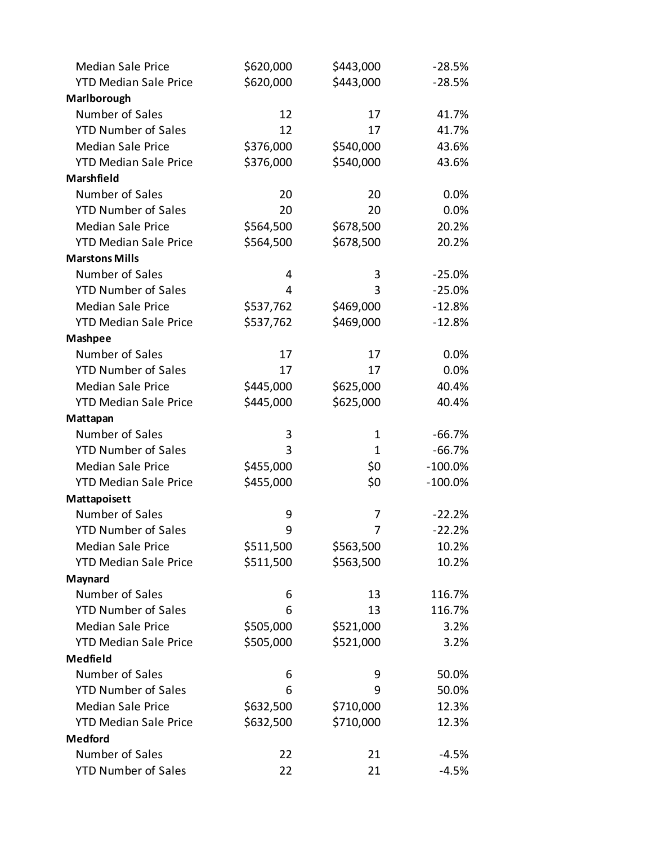| <b>Median Sale Price</b>     | \$620,000 | \$443,000 | $-28.5%$   |
|------------------------------|-----------|-----------|------------|
| <b>YTD Median Sale Price</b> | \$620,000 | \$443,000 | $-28.5%$   |
| Marlborough                  |           |           |            |
| Number of Sales              | 12        | 17        | 41.7%      |
| <b>YTD Number of Sales</b>   | 12        | 17        | 41.7%      |
| <b>Median Sale Price</b>     | \$376,000 | \$540,000 | 43.6%      |
| <b>YTD Median Sale Price</b> | \$376,000 | \$540,000 | 43.6%      |
| Marshfield                   |           |           |            |
| Number of Sales              | 20        | 20        | 0.0%       |
| <b>YTD Number of Sales</b>   | 20        | 20        | 0.0%       |
| <b>Median Sale Price</b>     | \$564,500 | \$678,500 | 20.2%      |
| <b>YTD Median Sale Price</b> | \$564,500 | \$678,500 | 20.2%      |
| <b>Marstons Mills</b>        |           |           |            |
| Number of Sales              | 4         | 3         | $-25.0%$   |
| <b>YTD Number of Sales</b>   | 4         | 3         | $-25.0%$   |
| <b>Median Sale Price</b>     | \$537,762 | \$469,000 | $-12.8%$   |
| <b>YTD Median Sale Price</b> | \$537,762 | \$469,000 | $-12.8%$   |
| <b>Mashpee</b>               |           |           |            |
| Number of Sales              | 17        | 17        | 0.0%       |
| <b>YTD Number of Sales</b>   | 17        | 17        | 0.0%       |
| <b>Median Sale Price</b>     | \$445,000 | \$625,000 | 40.4%      |
| <b>YTD Median Sale Price</b> | \$445,000 | \$625,000 | 40.4%      |
| Mattapan                     |           |           |            |
| Number of Sales              | 3         | 1         | $-66.7%$   |
| <b>YTD Number of Sales</b>   | 3         | 1         | $-66.7%$   |
| <b>Median Sale Price</b>     | \$455,000 | \$0       | $-100.0\%$ |
| <b>YTD Median Sale Price</b> | \$455,000 | \$0       | $-100.0\%$ |
| Mattapoisett                 |           |           |            |
| Number of Sales              | 9         | 7         | $-22.2%$   |
| <b>YTD Number of Sales</b>   | 9         | 7         | $-22.2%$   |
| <b>Median Sale Price</b>     | \$511,500 | \$563,500 | 10.2%      |
| <b>YTD Median Sale Price</b> | \$511,500 | \$563,500 | 10.2%      |
| Maynard                      |           |           |            |
| Number of Sales              | 6         | 13        | 116.7%     |
| <b>YTD Number of Sales</b>   | 6         | 13        | 116.7%     |
| <b>Median Sale Price</b>     | \$505,000 | \$521,000 | 3.2%       |
| <b>YTD Median Sale Price</b> | \$505,000 | \$521,000 | 3.2%       |
| Medfield                     |           |           |            |
| Number of Sales              | 6         | 9         | 50.0%      |
| <b>YTD Number of Sales</b>   | 6         | 9         | 50.0%      |
| <b>Median Sale Price</b>     | \$632,500 | \$710,000 | 12.3%      |
| <b>YTD Median Sale Price</b> | \$632,500 | \$710,000 | 12.3%      |
| <b>Medford</b>               |           |           |            |
| Number of Sales              | 22        | 21        | $-4.5%$    |
| <b>YTD Number of Sales</b>   | 22        | 21        | $-4.5%$    |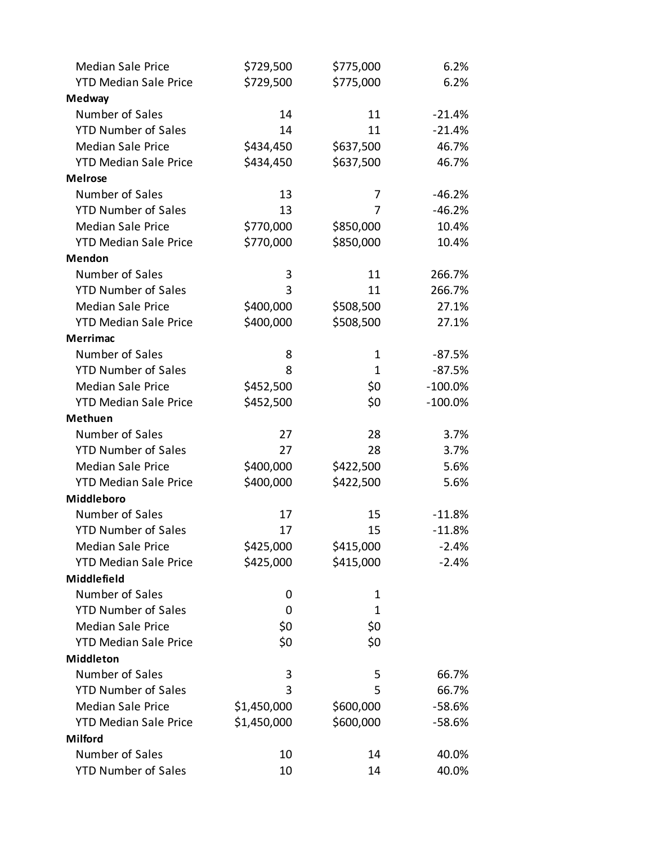| <b>Median Sale Price</b>     | \$729,500   | \$775,000    | 6.2%       |
|------------------------------|-------------|--------------|------------|
| <b>YTD Median Sale Price</b> | \$729,500   | \$775,000    | 6.2%       |
| <b>Medway</b>                |             |              |            |
| Number of Sales              | 14          | 11           | $-21.4%$   |
| <b>YTD Number of Sales</b>   | 14          | 11           | $-21.4%$   |
| <b>Median Sale Price</b>     | \$434,450   | \$637,500    | 46.7%      |
| <b>YTD Median Sale Price</b> | \$434,450   | \$637,500    | 46.7%      |
| <b>Melrose</b>               |             |              |            |
| Number of Sales              | 13          | 7            | $-46.2%$   |
| <b>YTD Number of Sales</b>   | 13          | 7            | $-46.2%$   |
| <b>Median Sale Price</b>     | \$770,000   | \$850,000    | 10.4%      |
| <b>YTD Median Sale Price</b> | \$770,000   | \$850,000    | 10.4%      |
| <b>Mendon</b>                |             |              |            |
| Number of Sales              | 3           | 11           | 266.7%     |
| <b>YTD Number of Sales</b>   | 3           | 11           | 266.7%     |
| <b>Median Sale Price</b>     | \$400,000   | \$508,500    | 27.1%      |
| <b>YTD Median Sale Price</b> | \$400,000   | \$508,500    | 27.1%      |
| <b>Merrimac</b>              |             |              |            |
| Number of Sales              | 8           | 1            | $-87.5%$   |
| <b>YTD Number of Sales</b>   | 8           | $\mathbf{1}$ | $-87.5%$   |
| <b>Median Sale Price</b>     | \$452,500   | \$0          | $-100.0\%$ |
| <b>YTD Median Sale Price</b> | \$452,500   | \$0          | $-100.0\%$ |
| <b>Methuen</b>               |             |              |            |
| Number of Sales              | 27          | 28           | 3.7%       |
| <b>YTD Number of Sales</b>   | 27          | 28           | 3.7%       |
| <b>Median Sale Price</b>     | \$400,000   | \$422,500    | 5.6%       |
| <b>YTD Median Sale Price</b> | \$400,000   | \$422,500    | 5.6%       |
| Middleboro                   |             |              |            |
| Number of Sales              | 17          | 15           | $-11.8%$   |
| <b>YTD Number of Sales</b>   | 17          | 15           | $-11.8%$   |
| <b>Median Sale Price</b>     | \$425,000   | \$415,000    | $-2.4%$    |
| <b>YTD Median Sale Price</b> | \$425,000   | \$415,000    | $-2.4%$    |
| Middlefield                  |             |              |            |
| Number of Sales              | 0           | 1            |            |
| <b>YTD Number of Sales</b>   | 0           | 1            |            |
| <b>Median Sale Price</b>     | \$0         | \$0          |            |
| <b>YTD Median Sale Price</b> | \$0         | \$0          |            |
| <b>Middleton</b>             |             |              |            |
| Number of Sales              | 3           | 5            | 66.7%      |
| <b>YTD Number of Sales</b>   | 3           | 5            | 66.7%      |
| <b>Median Sale Price</b>     | \$1,450,000 | \$600,000    | $-58.6%$   |
| <b>YTD Median Sale Price</b> | \$1,450,000 | \$600,000    | $-58.6%$   |
| <b>Milford</b>               |             |              |            |
| Number of Sales              | 10          | 14           | 40.0%      |
| <b>YTD Number of Sales</b>   | 10          | 14           | 40.0%      |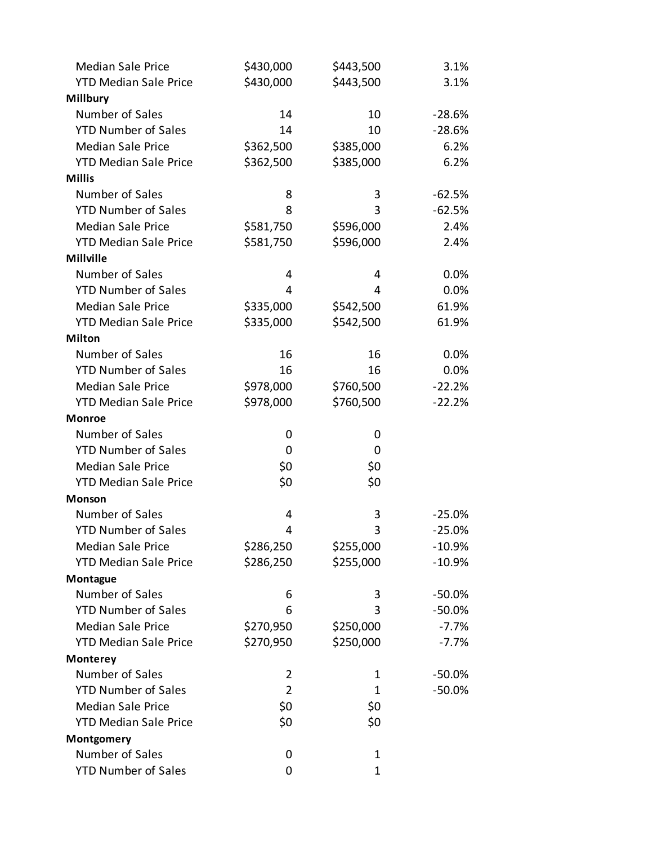| <b>Median Sale Price</b>     | \$430,000      | \$443,500   | 3.1%     |
|------------------------------|----------------|-------------|----------|
| <b>YTD Median Sale Price</b> | \$430,000      | \$443,500   | 3.1%     |
| <b>Millbury</b>              |                |             |          |
| Number of Sales              | 14             | 10          | $-28.6%$ |
| <b>YTD Number of Sales</b>   | 14             | 10          | $-28.6%$ |
| <b>Median Sale Price</b>     | \$362,500      | \$385,000   | 6.2%     |
| <b>YTD Median Sale Price</b> | \$362,500      | \$385,000   | 6.2%     |
| <b>Millis</b>                |                |             |          |
| Number of Sales              | 8              | 3           | $-62.5%$ |
| <b>YTD Number of Sales</b>   | 8              | 3           | $-62.5%$ |
| <b>Median Sale Price</b>     | \$581,750      | \$596,000   | 2.4%     |
| <b>YTD Median Sale Price</b> | \$581,750      | \$596,000   | 2.4%     |
| <b>Millville</b>             |                |             |          |
| Number of Sales              | 4              | 4           | 0.0%     |
| <b>YTD Number of Sales</b>   | 4              | 4           | 0.0%     |
| <b>Median Sale Price</b>     | \$335,000      | \$542,500   | 61.9%    |
| <b>YTD Median Sale Price</b> | \$335,000      | \$542,500   | 61.9%    |
| <b>Milton</b>                |                |             |          |
| Number of Sales              | 16             | 16          | 0.0%     |
| <b>YTD Number of Sales</b>   | 16             | 16          | 0.0%     |
| <b>Median Sale Price</b>     | \$978,000      | \$760,500   | $-22.2%$ |
| <b>YTD Median Sale Price</b> | \$978,000      | \$760,500   | $-22.2%$ |
| <b>Monroe</b>                |                |             |          |
| Number of Sales              | 0              | 0           |          |
| <b>YTD Number of Sales</b>   | 0              | 0           |          |
| <b>Median Sale Price</b>     | \$0            | \$0         |          |
| <b>YTD Median Sale Price</b> | \$0            | \$0         |          |
| <b>Monson</b>                |                |             |          |
| Number of Sales              | 4              | 3           | $-25.0%$ |
| <b>YTD Number of Sales</b>   | $\overline{4}$ | 3           | $-25.0%$ |
| <b>Median Sale Price</b>     | \$286,250      | \$255,000   | $-10.9%$ |
| <b>YTD Median Sale Price</b> | \$286,250      | \$255,000   | $-10.9%$ |
| Montague                     |                |             |          |
| Number of Sales              | 6              | 3           | $-50.0%$ |
| <b>YTD Number of Sales</b>   | 6              | 3           | $-50.0%$ |
| <b>Median Sale Price</b>     | \$270,950      | \$250,000   | $-7.7%$  |
| <b>YTD Median Sale Price</b> | \$270,950      | \$250,000   | $-7.7%$  |
| <b>Monterey</b>              |                |             |          |
| Number of Sales              | 2              | 1           | $-50.0%$ |
| <b>YTD Number of Sales</b>   | $\overline{2}$ | 1           | $-50.0%$ |
| <b>Median Sale Price</b>     | \$0            | \$0         |          |
| <b>YTD Median Sale Price</b> | \$0            | \$0         |          |
| Montgomery                   |                |             |          |
| Number of Sales              | 0              | 1           |          |
| <b>YTD Number of Sales</b>   | 0              | $\mathbf 1$ |          |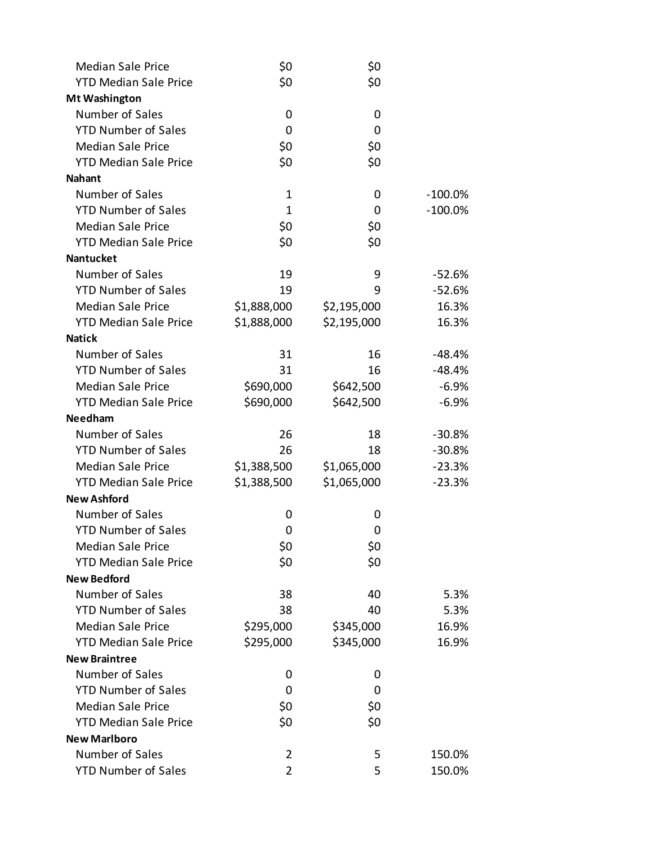| <b>Median Sale Price</b>     | \$0            | \$0         |            |
|------------------------------|----------------|-------------|------------|
| <b>YTD Median Sale Price</b> | \$0            | \$0         |            |
| <b>Mt Washington</b>         |                |             |            |
| Number of Sales              | 0              | 0           |            |
| <b>YTD Number of Sales</b>   | 0              | 0           |            |
| <b>Median Sale Price</b>     | \$0            | \$0         |            |
| <b>YTD Median Sale Price</b> | \$0            | \$0         |            |
| <b>Nahant</b>                |                |             |            |
| Number of Sales              | 1              | 0           | $-100.0\%$ |
| <b>YTD Number of Sales</b>   | $\mathbf{1}$   | 0           | $-100.0%$  |
| <b>Median Sale Price</b>     | \$0            | \$0         |            |
| <b>YTD Median Sale Price</b> | \$0            | \$0         |            |
| <b>Nantucket</b>             |                |             |            |
| Number of Sales              | 19             | 9           | $-52.6%$   |
| <b>YTD Number of Sales</b>   | 19             | 9           | $-52.6%$   |
| <b>Median Sale Price</b>     | \$1,888,000    | \$2,195,000 | 16.3%      |
| <b>YTD Median Sale Price</b> | \$1,888,000    | \$2,195,000 | 16.3%      |
| <b>Natick</b>                |                |             |            |
| Number of Sales              | 31             | 16          | $-48.4%$   |
| <b>YTD Number of Sales</b>   | 31             | 16          | $-48.4%$   |
| <b>Median Sale Price</b>     | \$690,000      | \$642,500   | $-6.9%$    |
| <b>YTD Median Sale Price</b> | \$690,000      | \$642,500   | $-6.9%$    |
| <b>Needham</b>               |                |             |            |
| Number of Sales              | 26             | 18          | $-30.8%$   |
| <b>YTD Number of Sales</b>   | 26             | 18          | $-30.8%$   |
| <b>Median Sale Price</b>     | \$1,388,500    | \$1,065,000 | $-23.3%$   |
| <b>YTD Median Sale Price</b> | \$1,388,500    | \$1,065,000 | $-23.3%$   |
| <b>New Ashford</b>           |                |             |            |
| Number of Sales              | 0              | 0           |            |
| <b>YTD Number of Sales</b>   | 0              | 0           |            |
| <b>Median Sale Price</b>     | \$0            | \$0         |            |
| <b>YTD Median Sale Price</b> | \$0            | \$0         |            |
| <b>New Bedford</b>           |                |             |            |
| Number of Sales              | 38             | 40          | 5.3%       |
| <b>YTD Number of Sales</b>   | 38             | 40          | 5.3%       |
| <b>Median Sale Price</b>     | \$295,000      | \$345,000   | 16.9%      |
| <b>YTD Median Sale Price</b> | \$295,000      | \$345,000   | 16.9%      |
| <b>New Braintree</b>         |                |             |            |
| Number of Sales              | 0              | 0           |            |
| <b>YTD Number of Sales</b>   | 0              | 0           |            |
| <b>Median Sale Price</b>     | \$0            | \$0         |            |
| <b>YTD Median Sale Price</b> | \$0            | \$0         |            |
| <b>New Marlboro</b>          |                |             |            |
| Number of Sales              | 2              | 5           | 150.0%     |
| <b>YTD Number of Sales</b>   | $\overline{2}$ | 5           | 150.0%     |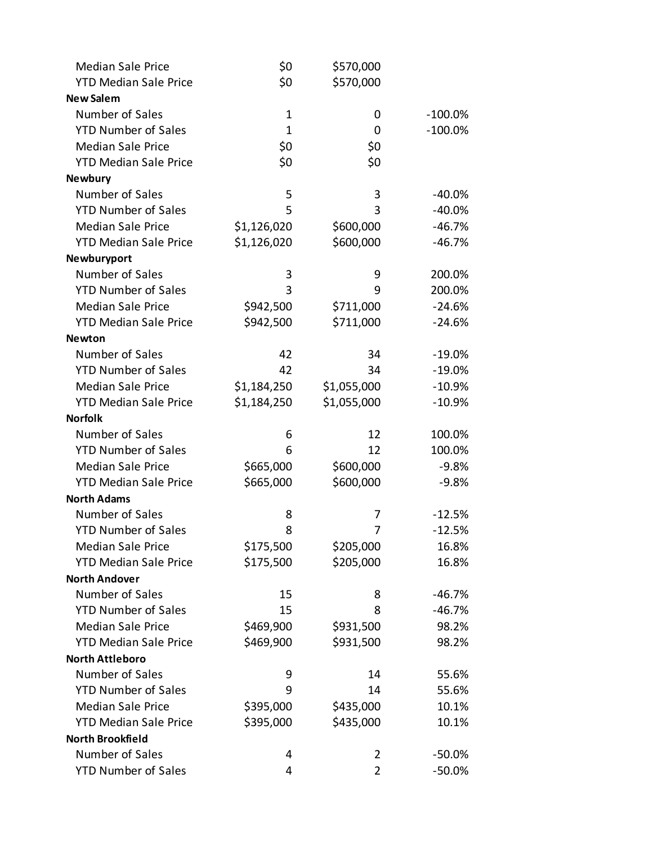| <b>Median Sale Price</b>                   | \$0          | \$570,000   |            |
|--------------------------------------------|--------------|-------------|------------|
| <b>YTD Median Sale Price</b>               | \$0          | \$570,000   |            |
| <b>New Salem</b>                           |              |             |            |
| Number of Sales                            | $\mathbf{1}$ | 0           | $-100.0\%$ |
| <b>YTD Number of Sales</b>                 | $\mathbf{1}$ | 0           | $-100.0\%$ |
| <b>Median Sale Price</b>                   | \$0          | \$0         |            |
| <b>YTD Median Sale Price</b>               | \$0          | \$0         |            |
| <b>Newbury</b>                             |              |             |            |
| Number of Sales                            | 5            | 3           | $-40.0%$   |
| <b>YTD Number of Sales</b>                 | 5            | 3           | $-40.0%$   |
| <b>Median Sale Price</b>                   | \$1,126,020  | \$600,000   | $-46.7%$   |
| <b>YTD Median Sale Price</b>               | \$1,126,020  | \$600,000   | $-46.7%$   |
| Newburyport                                |              |             |            |
| Number of Sales                            | 3            | 9           | 200.0%     |
| <b>YTD Number of Sales</b>                 | 3            | 9           | 200.0%     |
| <b>Median Sale Price</b>                   | \$942,500    | \$711,000   | $-24.6%$   |
| <b>YTD Median Sale Price</b>               | \$942,500    | \$711,000   | $-24.6%$   |
| <b>Newton</b>                              |              |             |            |
| Number of Sales                            | 42           | 34          | $-19.0%$   |
| <b>YTD Number of Sales</b>                 | 42           | 34          | $-19.0%$   |
| <b>Median Sale Price</b>                   | \$1,184,250  | \$1,055,000 | $-10.9%$   |
| <b>YTD Median Sale Price</b>               | \$1,184,250  | \$1,055,000 | $-10.9%$   |
| <b>Norfolk</b>                             |              |             |            |
| Number of Sales                            | 6            | 12          | 100.0%     |
| <b>YTD Number of Sales</b>                 | 6            | 12          | 100.0%     |
| <b>Median Sale Price</b>                   | \$665,000    | \$600,000   | $-9.8%$    |
| <b>YTD Median Sale Price</b>               | \$665,000    | \$600,000   | $-9.8%$    |
| <b>North Adams</b>                         |              |             |            |
| Number of Sales                            | 8            | 7           | $-12.5%$   |
| <b>YTD Number of Sales</b>                 | 8            | 7           | $-12.5%$   |
| <b>Median Sale Price</b>                   | \$175,500    | \$205,000   | 16.8%      |
| <b>YTD Median Sale Price</b>               | \$175,500    | \$205,000   | 16.8%      |
| <b>North Andover</b>                       |              |             |            |
| Number of Sales                            | 15           | 8           | $-46.7%$   |
| <b>YTD Number of Sales</b>                 | 15           | 8           | $-46.7%$   |
| <b>Median Sale Price</b>                   | \$469,900    | \$931,500   | 98.2%      |
| <b>YTD Median Sale Price</b>               | \$469,900    | \$931,500   | 98.2%      |
| <b>North Attleboro</b>                     |              |             |            |
| Number of Sales                            | 9            | 14          | 55.6%      |
| <b>YTD Number of Sales</b>                 | 9            | 14          | 55.6%      |
| <b>Median Sale Price</b>                   | \$395,000    | \$435,000   | 10.1%      |
| <b>YTD Median Sale Price</b>               | \$395,000    | \$435,000   | 10.1%      |
| <b>North Brookfield</b><br>Number of Sales |              |             |            |
|                                            | 4            | 2<br>2      | -50.0%     |
| <b>YTD Number of Sales</b>                 | 4            |             | $-50.0\%$  |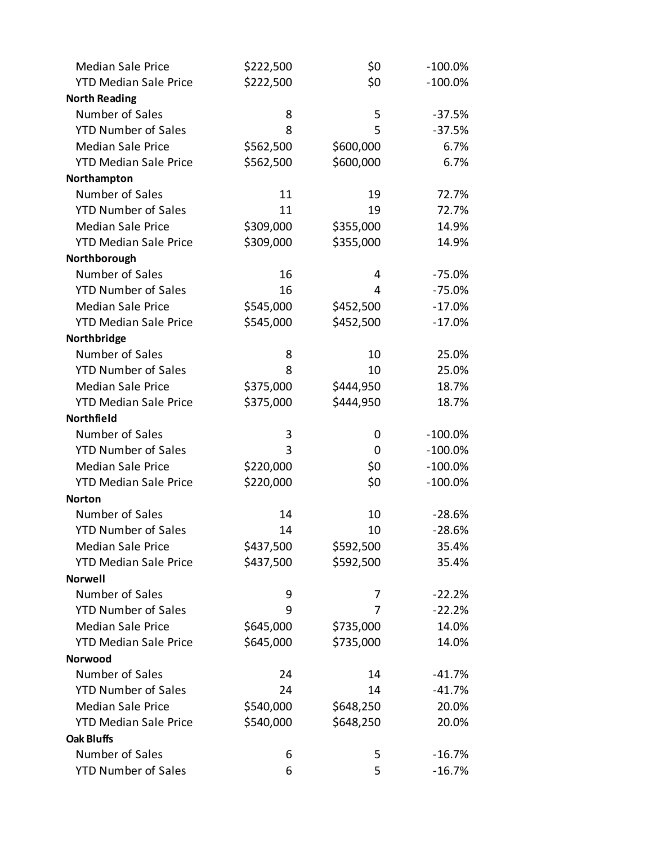| <b>Median Sale Price</b>     | \$222,500 | \$0       | $-100.0\%$ |
|------------------------------|-----------|-----------|------------|
| <b>YTD Median Sale Price</b> | \$222,500 | \$0       | $-100.0%$  |
| <b>North Reading</b>         |           |           |            |
| Number of Sales              | 8         | 5         | $-37.5%$   |
| <b>YTD Number of Sales</b>   | 8         | 5         | $-37.5%$   |
| <b>Median Sale Price</b>     | \$562,500 | \$600,000 | 6.7%       |
| <b>YTD Median Sale Price</b> | \$562,500 | \$600,000 | 6.7%       |
| Northampton                  |           |           |            |
| Number of Sales              | 11        | 19        | 72.7%      |
| <b>YTD Number of Sales</b>   | 11        | 19        | 72.7%      |
| <b>Median Sale Price</b>     | \$309,000 | \$355,000 | 14.9%      |
| <b>YTD Median Sale Price</b> | \$309,000 | \$355,000 | 14.9%      |
| Northborough                 |           |           |            |
| Number of Sales              | 16        | 4         | $-75.0%$   |
| <b>YTD Number of Sales</b>   | 16        | 4         | $-75.0%$   |
| <b>Median Sale Price</b>     | \$545,000 | \$452,500 | $-17.0%$   |
| <b>YTD Median Sale Price</b> | \$545,000 | \$452,500 | $-17.0%$   |
| Northbridge                  |           |           |            |
| Number of Sales              | 8         | 10        | 25.0%      |
| <b>YTD Number of Sales</b>   | 8         | 10        | 25.0%      |
| <b>Median Sale Price</b>     | \$375,000 | \$444,950 | 18.7%      |
| <b>YTD Median Sale Price</b> | \$375,000 | \$444,950 | 18.7%      |
| Northfield                   |           |           |            |
| Number of Sales              | 3         | 0         | $-100.0\%$ |
| <b>YTD Number of Sales</b>   | 3         | 0         | $-100.0\%$ |
| <b>Median Sale Price</b>     | \$220,000 | \$0       | $-100.0\%$ |
| <b>YTD Median Sale Price</b> | \$220,000 | \$0       | $-100.0%$  |
| <b>Norton</b>                |           |           |            |
| Number of Sales              | 14        | 10        | $-28.6%$   |
| <b>YTD Number of Sales</b>   | 14        | 10        | $-28.6%$   |
| <b>Median Sale Price</b>     | \$437,500 | \$592,500 | 35.4%      |
| <b>YTD Median Sale Price</b> | \$437,500 | \$592,500 | 35.4%      |
| <b>Norwell</b>               |           |           |            |
| Number of Sales              | 9         | 7         | $-22.2%$   |
| <b>YTD Number of Sales</b>   | 9         | 7         | $-22.2%$   |
| <b>Median Sale Price</b>     | \$645,000 | \$735,000 | 14.0%      |
| <b>YTD Median Sale Price</b> | \$645,000 | \$735,000 | 14.0%      |
| Norwood                      |           |           |            |
| Number of Sales              | 24        | 14        | $-41.7%$   |
| <b>YTD Number of Sales</b>   | 24        | 14        | $-41.7%$   |
| <b>Median Sale Price</b>     | \$540,000 | \$648,250 | 20.0%      |
| <b>YTD Median Sale Price</b> | \$540,000 | \$648,250 | 20.0%      |
| <b>Oak Bluffs</b>            |           |           |            |
| Number of Sales              | 6         | 5         | $-16.7%$   |
| <b>YTD Number of Sales</b>   | 6         | 5         | $-16.7%$   |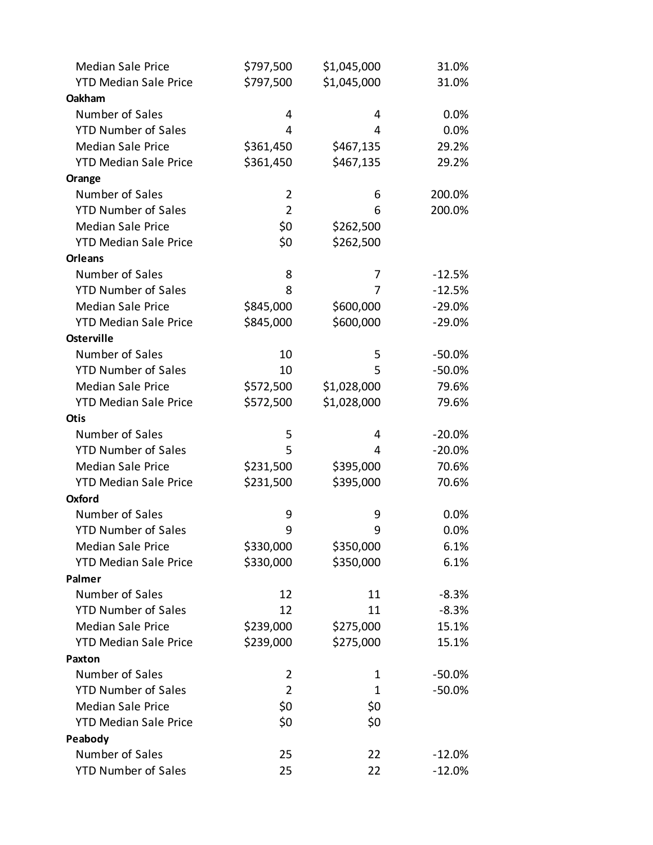| <b>Median Sale Price</b>     | \$797,500      | \$1,045,000 | 31.0%    |
|------------------------------|----------------|-------------|----------|
| <b>YTD Median Sale Price</b> | \$797,500      | \$1,045,000 | 31.0%    |
| Oakham                       |                |             |          |
| Number of Sales              | 4              | 4           | 0.0%     |
| <b>YTD Number of Sales</b>   | 4              | 4           | 0.0%     |
| <b>Median Sale Price</b>     | \$361,450      | \$467,135   | 29.2%    |
| <b>YTD Median Sale Price</b> | \$361,450      | \$467,135   | 29.2%    |
| Orange                       |                |             |          |
| Number of Sales              | 2              | 6           | 200.0%   |
| <b>YTD Number of Sales</b>   | $\overline{2}$ | 6           | 200.0%   |
| <b>Median Sale Price</b>     | \$0            | \$262,500   |          |
| <b>YTD Median Sale Price</b> | \$0            | \$262,500   |          |
| <b>Orleans</b>               |                |             |          |
| Number of Sales              | 8              | 7           | $-12.5%$ |
| <b>YTD Number of Sales</b>   | 8              | 7           | $-12.5%$ |
| <b>Median Sale Price</b>     | \$845,000      | \$600,000   | $-29.0%$ |
| <b>YTD Median Sale Price</b> | \$845,000      | \$600,000   | $-29.0%$ |
| <b>Osterville</b>            |                |             |          |
| Number of Sales              | 10             | 5           | $-50.0%$ |
| <b>YTD Number of Sales</b>   | 10             | 5           | $-50.0%$ |
| <b>Median Sale Price</b>     | \$572,500      | \$1,028,000 | 79.6%    |
| <b>YTD Median Sale Price</b> | \$572,500      | \$1,028,000 | 79.6%    |
| <b>Otis</b>                  |                |             |          |
| Number of Sales              | 5              | 4           | $-20.0%$ |
| <b>YTD Number of Sales</b>   | 5              | 4           | $-20.0%$ |
| <b>Median Sale Price</b>     | \$231,500      | \$395,000   | 70.6%    |
| <b>YTD Median Sale Price</b> | \$231,500      | \$395,000   | 70.6%    |
| <b>Oxford</b>                |                |             |          |
| Number of Sales              | 9              | 9           | 0.0%     |
| <b>YTD Number of Sales</b>   | 9              | 9           | 0.0%     |
| <b>Median Sale Price</b>     | \$330,000      | \$350,000   | 6.1%     |
| <b>YTD Median Sale Price</b> | \$330,000      | \$350,000   | 6.1%     |
| Palmer                       |                |             |          |
| Number of Sales              | 12             | 11          | $-8.3%$  |
| <b>YTD Number of Sales</b>   | 12             | 11          | $-8.3%$  |
| <b>Median Sale Price</b>     | \$239,000      | \$275,000   | 15.1%    |
| <b>YTD Median Sale Price</b> | \$239,000      | \$275,000   | 15.1%    |
| <b>Paxton</b>                |                |             |          |
| Number of Sales              | 2              | 1           | $-50.0%$ |
| <b>YTD Number of Sales</b>   | $\overline{2}$ | 1           | $-50.0%$ |
| <b>Median Sale Price</b>     | \$0            | \$0         |          |
| <b>YTD Median Sale Price</b> | \$0            | \$0         |          |
| Peabody                      |                |             |          |
| Number of Sales              | 25             | 22          | $-12.0%$ |
| <b>YTD Number of Sales</b>   | 25             | 22          | $-12.0%$ |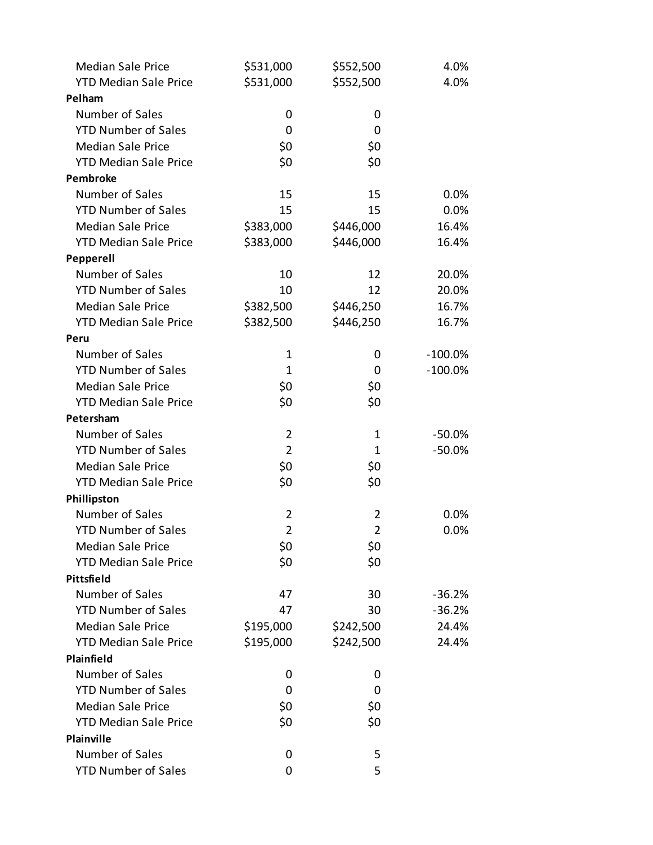| <b>Median Sale Price</b>     | \$531,000      | \$552,500      | 4.0%       |
|------------------------------|----------------|----------------|------------|
| <b>YTD Median Sale Price</b> | \$531,000      | \$552,500      | 4.0%       |
| Pelham                       |                |                |            |
| Number of Sales              | 0              | 0              |            |
| <b>YTD Number of Sales</b>   | 0              | 0              |            |
| <b>Median Sale Price</b>     | \$0            | \$0            |            |
| <b>YTD Median Sale Price</b> | \$0            | \$0            |            |
| <b>Pembroke</b>              |                |                |            |
| Number of Sales              | 15             | 15             | 0.0%       |
| <b>YTD Number of Sales</b>   | 15             | 15             | 0.0%       |
| <b>Median Sale Price</b>     | \$383,000      | \$446,000      | 16.4%      |
| <b>YTD Median Sale Price</b> | \$383,000      | \$446,000      | 16.4%      |
| Pepperell                    |                |                |            |
| Number of Sales              | 10             | 12             | 20.0%      |
| <b>YTD Number of Sales</b>   | 10             | 12             | 20.0%      |
| <b>Median Sale Price</b>     | \$382,500      | \$446,250      | 16.7%      |
| <b>YTD Median Sale Price</b> | \$382,500      | \$446,250      | 16.7%      |
| Peru                         |                |                |            |
| Number of Sales              | 1              | 0              | $-100.0\%$ |
| <b>YTD Number of Sales</b>   | $\mathbf{1}$   | 0              | $-100.0\%$ |
| <b>Median Sale Price</b>     | \$0            | \$0            |            |
| <b>YTD Median Sale Price</b> | \$0            | \$0            |            |
| Petersham                    |                |                |            |
| Number of Sales              | $\overline{2}$ | 1              | $-50.0%$   |
| <b>YTD Number of Sales</b>   | $\overline{2}$ | $\mathbf 1$    | $-50.0%$   |
| <b>Median Sale Price</b>     | \$0            | \$0            |            |
| <b>YTD Median Sale Price</b> | \$0            | \$0            |            |
| Phillipston                  |                |                |            |
| Number of Sales              | 2              | $\overline{2}$ | $0.0\%$    |
| <b>YTD Number of Sales</b>   | $\overline{2}$ | $\overline{2}$ | 0.0%       |
| <b>Median Sale Price</b>     | \$0            | \$0            |            |
| <b>YTD Median Sale Price</b> | \$0            | \$0            |            |
| Pittsfield                   |                |                |            |
| Number of Sales              | 47             | 30             | $-36.2%$   |
| <b>YTD Number of Sales</b>   | 47             | 30             | $-36.2%$   |
| <b>Median Sale Price</b>     | \$195,000      | \$242,500      | 24.4%      |
| <b>YTD Median Sale Price</b> | \$195,000      | \$242,500      | 24.4%      |
| Plainfield                   |                |                |            |
| Number of Sales              | 0              | 0              |            |
| <b>YTD Number of Sales</b>   | 0              | 0              |            |
| <b>Median Sale Price</b>     | \$0            | \$0            |            |
| <b>YTD Median Sale Price</b> | \$0            | \$0            |            |
| Plainville                   |                |                |            |
| Number of Sales              | 0              | 5              |            |
| <b>YTD Number of Sales</b>   | 0              | 5              |            |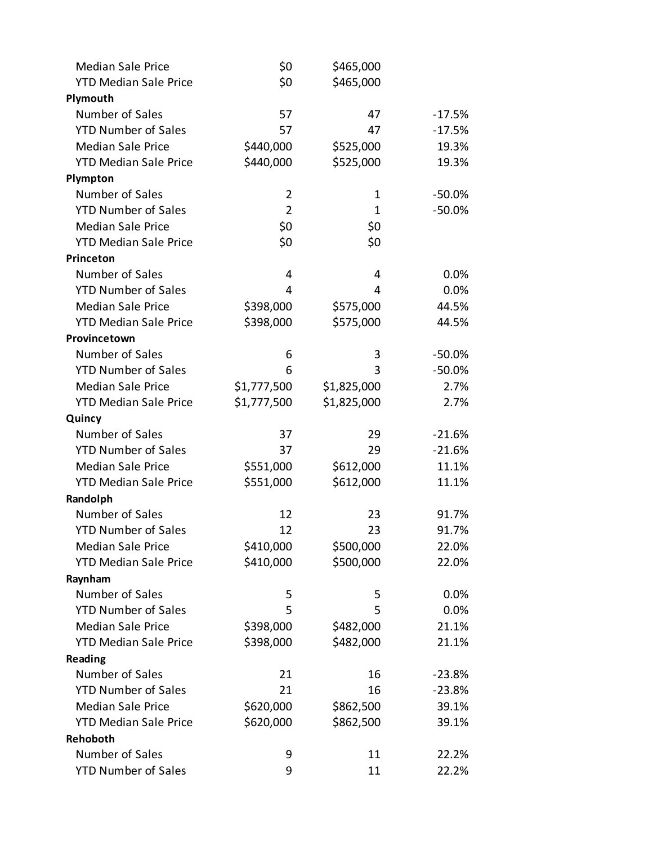| <b>Median Sale Price</b>     | \$0            | \$465,000   |           |
|------------------------------|----------------|-------------|-----------|
| <b>YTD Median Sale Price</b> | \$0            | \$465,000   |           |
| Plymouth                     |                |             |           |
| Number of Sales              | 57             | 47          | $-17.5%$  |
| <b>YTD Number of Sales</b>   | 57             | 47          | $-17.5%$  |
| <b>Median Sale Price</b>     | \$440,000      | \$525,000   | 19.3%     |
| <b>YTD Median Sale Price</b> | \$440,000      | \$525,000   | 19.3%     |
| Plympton                     |                |             |           |
| Number of Sales              | 2              | 1           | $-50.0\%$ |
| <b>YTD Number of Sales</b>   | $\overline{2}$ | 1           | $-50.0%$  |
| <b>Median Sale Price</b>     | \$0            | \$0         |           |
| <b>YTD Median Sale Price</b> | \$0            | \$0         |           |
| Princeton                    |                |             |           |
| Number of Sales              | 4              | 4           | 0.0%      |
| <b>YTD Number of Sales</b>   | 4              | 4           | 0.0%      |
| <b>Median Sale Price</b>     | \$398,000      | \$575,000   | 44.5%     |
| <b>YTD Median Sale Price</b> | \$398,000      | \$575,000   | 44.5%     |
| Provincetown                 |                |             |           |
| Number of Sales              | 6              | 3           | $-50.0%$  |
| <b>YTD Number of Sales</b>   | 6              | 3           | $-50.0%$  |
| <b>Median Sale Price</b>     | \$1,777,500    | \$1,825,000 | 2.7%      |
| <b>YTD Median Sale Price</b> | \$1,777,500    | \$1,825,000 | 2.7%      |
| Quincy                       |                |             |           |
| Number of Sales              | 37             | 29          | $-21.6%$  |
| <b>YTD Number of Sales</b>   | 37             | 29          | $-21.6%$  |
| <b>Median Sale Price</b>     | \$551,000      | \$612,000   | 11.1%     |
| <b>YTD Median Sale Price</b> | \$551,000      | \$612,000   | 11.1%     |
| Randolph                     |                |             |           |
| Number of Sales              | 12             | 23          | 91.7%     |
| <b>YTD Number of Sales</b>   | 12             | 23          | 91.7%     |
| <b>Median Sale Price</b>     | \$410,000      | \$500,000   | 22.0%     |
| <b>YTD Median Sale Price</b> | \$410,000      | \$500,000   | 22.0%     |
| Raynham                      |                |             |           |
| Number of Sales              | 5              | 5           | 0.0%      |
| <b>YTD Number of Sales</b>   | 5              | 5           | 0.0%      |
| <b>Median Sale Price</b>     | \$398,000      | \$482,000   | 21.1%     |
| <b>YTD Median Sale Price</b> | \$398,000      | \$482,000   | 21.1%     |
| Reading                      |                |             |           |
| Number of Sales              | 21             | 16          | $-23.8%$  |
| <b>YTD Number of Sales</b>   | 21             | 16          | $-23.8%$  |
| <b>Median Sale Price</b>     | \$620,000      | \$862,500   | 39.1%     |
| <b>YTD Median Sale Price</b> | \$620,000      | \$862,500   | 39.1%     |
| Rehoboth                     |                |             |           |
| Number of Sales              | 9              | 11          | 22.2%     |
| <b>YTD Number of Sales</b>   | 9              | 11          | 22.2%     |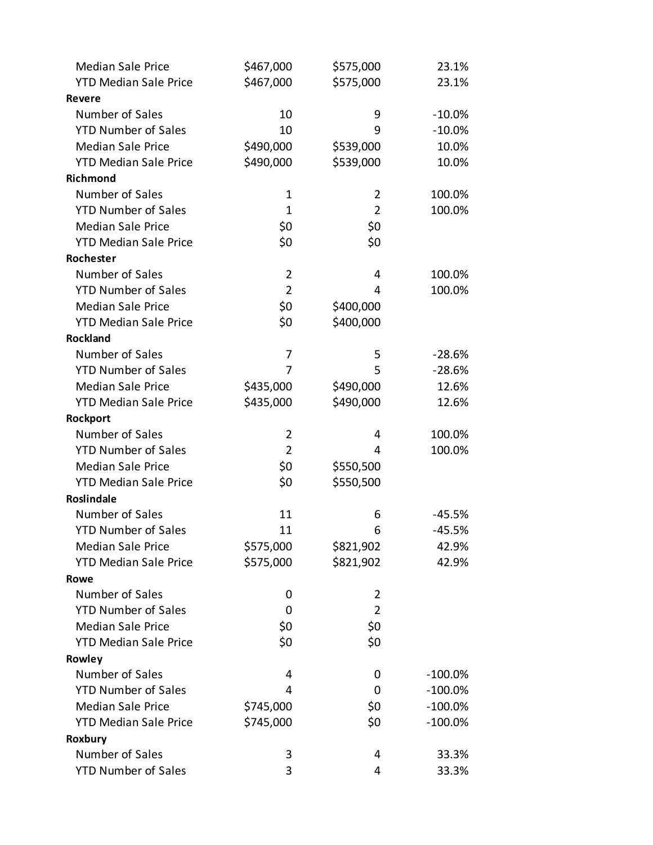| <b>Median Sale Price</b>     | \$467,000      | \$575,000      | 23.1%      |
|------------------------------|----------------|----------------|------------|
| <b>YTD Median Sale Price</b> | \$467,000      | \$575,000      | 23.1%      |
| Revere                       |                |                |            |
| Number of Sales              | 10             | 9              | $-10.0\%$  |
| <b>YTD Number of Sales</b>   | 10             | 9              | $-10.0\%$  |
| <b>Median Sale Price</b>     | \$490,000      | \$539,000      | 10.0%      |
| <b>YTD Median Sale Price</b> | \$490,000      | \$539,000      | 10.0%      |
| Richmond                     |                |                |            |
| Number of Sales              | 1              | 2              | 100.0%     |
| <b>YTD Number of Sales</b>   | $\mathbf{1}$   | $\overline{2}$ | 100.0%     |
| <b>Median Sale Price</b>     | \$0            | \$0            |            |
| <b>YTD Median Sale Price</b> | \$0            | \$0            |            |
| Rochester                    |                |                |            |
| Number of Sales              | $\overline{2}$ | 4              | 100.0%     |
| <b>YTD Number of Sales</b>   | $\overline{2}$ | 4              | 100.0%     |
| <b>Median Sale Price</b>     | \$0            | \$400,000      |            |
| <b>YTD Median Sale Price</b> | \$0            | \$400,000      |            |
| <b>Rockland</b>              |                |                |            |
| Number of Sales              | 7              | 5              | $-28.6%$   |
| <b>YTD Number of Sales</b>   | 7              | 5              | $-28.6%$   |
| <b>Median Sale Price</b>     | \$435,000      | \$490,000      | 12.6%      |
| <b>YTD Median Sale Price</b> | \$435,000      | \$490,000      | 12.6%      |
| Rockport                     |                |                |            |
| Number of Sales              | 2              | 4              | 100.0%     |
| <b>YTD Number of Sales</b>   | $\overline{2}$ | 4              | 100.0%     |
| <b>Median Sale Price</b>     | \$0            | \$550,500      |            |
| <b>YTD Median Sale Price</b> | \$0            | \$550,500      |            |
| <b>Roslindale</b>            |                |                |            |
| Number of Sales              | 11             | 6              | -45.5%     |
| <b>YTD Number of Sales</b>   | 11             | 6              | $-45.5%$   |
| <b>Median Sale Price</b>     | \$575,000      | \$821,902      | 42.9%      |
| <b>YTD Median Sale Price</b> | \$575,000      | \$821,902      | 42.9%      |
| Rowe                         |                |                |            |
| Number of Sales              | 0              | 2              |            |
| <b>YTD Number of Sales</b>   | 0              | $\overline{2}$ |            |
| <b>Median Sale Price</b>     | \$0            | \$0            |            |
| <b>YTD Median Sale Price</b> | \$0            | \$0            |            |
| Rowley                       |                |                |            |
| Number of Sales              | 4              | 0              | $-100.0\%$ |
| <b>YTD Number of Sales</b>   | 4              | 0              | $-100.0\%$ |
| <b>Median Sale Price</b>     | \$745,000      | \$0            | $-100.0\%$ |
| <b>YTD Median Sale Price</b> | \$745,000      | \$0            | $-100.0\%$ |
| Roxbury                      |                |                |            |
| Number of Sales              | 3              | 4              | 33.3%      |
| <b>YTD Number of Sales</b>   | 3              | 4              | 33.3%      |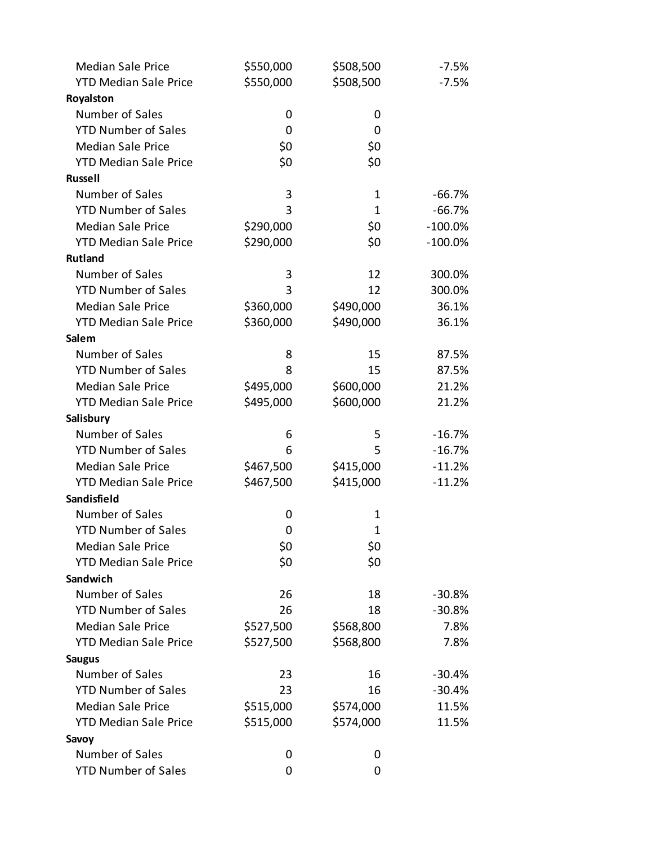| <b>Median Sale Price</b>     | \$550,000 | \$508,500    | $-7.5%$    |
|------------------------------|-----------|--------------|------------|
| <b>YTD Median Sale Price</b> | \$550,000 | \$508,500    | $-7.5%$    |
| Royalston                    |           |              |            |
| Number of Sales              | 0         | 0            |            |
| <b>YTD Number of Sales</b>   | 0         | 0            |            |
| <b>Median Sale Price</b>     | \$0       | \$0          |            |
| <b>YTD Median Sale Price</b> | \$0       | \$0          |            |
| <b>Russell</b>               |           |              |            |
| Number of Sales              | 3         | 1            | $-66.7%$   |
| <b>YTD Number of Sales</b>   | 3         | $\mathbf{1}$ | $-66.7%$   |
| <b>Median Sale Price</b>     | \$290,000 | \$0          | $-100.0\%$ |
| <b>YTD Median Sale Price</b> | \$290,000 | \$0          | $-100.0\%$ |
| <b>Rutland</b>               |           |              |            |
| Number of Sales              | 3         | 12           | 300.0%     |
| <b>YTD Number of Sales</b>   | 3         | 12           | 300.0%     |
| <b>Median Sale Price</b>     | \$360,000 | \$490,000    | 36.1%      |
| <b>YTD Median Sale Price</b> | \$360,000 | \$490,000    | 36.1%      |
| Salem                        |           |              |            |
| Number of Sales              | 8         | 15           | 87.5%      |
| <b>YTD Number of Sales</b>   | 8         | 15           | 87.5%      |
| <b>Median Sale Price</b>     | \$495,000 | \$600,000    | 21.2%      |
| <b>YTD Median Sale Price</b> | \$495,000 | \$600,000    | 21.2%      |
| Salisbury                    |           |              |            |
| Number of Sales              | 6         | 5            | $-16.7%$   |
| <b>YTD Number of Sales</b>   | 6         | 5            | $-16.7%$   |
| <b>Median Sale Price</b>     | \$467,500 | \$415,000    | $-11.2%$   |
| <b>YTD Median Sale Price</b> | \$467,500 | \$415,000    | $-11.2%$   |
| Sandisfield                  |           |              |            |
| Number of Sales              | 0         | 1            |            |
| <b>YTD Number of Sales</b>   | 0         | $\mathbf{1}$ |            |
| <b>Median Sale Price</b>     | \$0       | \$0          |            |
| <b>YTD Median Sale Price</b> | \$0       | \$0          |            |
| Sandwich                     |           |              |            |
| Number of Sales              | 26        | 18           | $-30.8%$   |
| <b>YTD Number of Sales</b>   | 26        | 18           | $-30.8%$   |
| <b>Median Sale Price</b>     | \$527,500 | \$568,800    | 7.8%       |
| <b>YTD Median Sale Price</b> | \$527,500 | \$568,800    | 7.8%       |
| <b>Saugus</b>                |           |              |            |
| Number of Sales              | 23        | 16           | $-30.4%$   |
| <b>YTD Number of Sales</b>   | 23        | 16           | $-30.4%$   |
| <b>Median Sale Price</b>     | \$515,000 | \$574,000    | 11.5%      |
| <b>YTD Median Sale Price</b> | \$515,000 | \$574,000    | 11.5%      |
| Savoy                        |           |              |            |
| Number of Sales              | 0         | 0            |            |
| <b>YTD Number of Sales</b>   | 0         | 0            |            |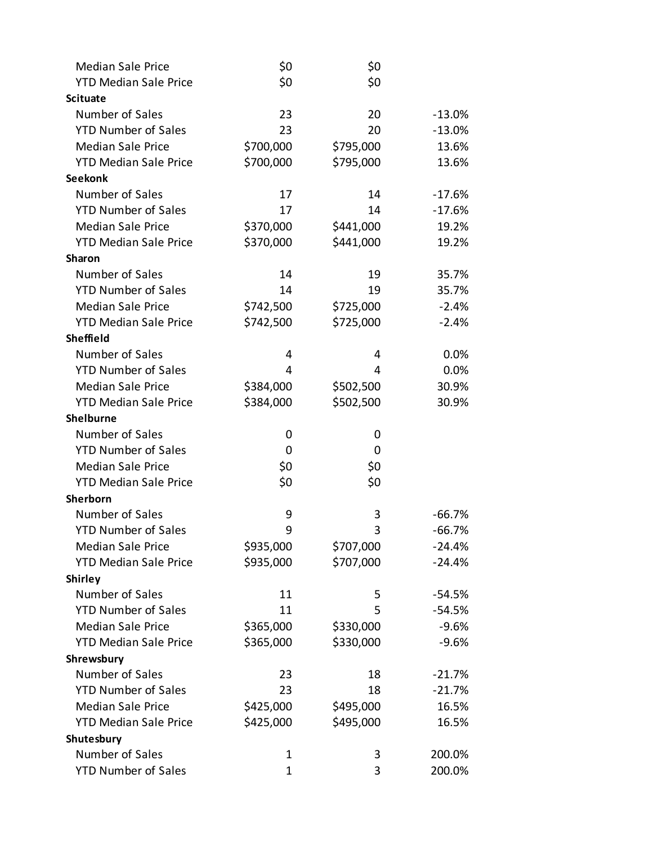| <b>Median Sale Price</b>     | \$0         | \$0       |          |
|------------------------------|-------------|-----------|----------|
| <b>YTD Median Sale Price</b> | \$0         | \$0       |          |
| <b>Scituate</b>              |             |           |          |
| Number of Sales              | 23          | 20        | $-13.0%$ |
| <b>YTD Number of Sales</b>   | 23          | 20        | $-13.0%$ |
| <b>Median Sale Price</b>     | \$700,000   | \$795,000 | 13.6%    |
| <b>YTD Median Sale Price</b> | \$700,000   | \$795,000 | 13.6%    |
| <b>Seekonk</b>               |             |           |          |
| Number of Sales              | 17          | 14        | $-17.6%$ |
| <b>YTD Number of Sales</b>   | 17          | 14        | $-17.6%$ |
| <b>Median Sale Price</b>     | \$370,000   | \$441,000 | 19.2%    |
| <b>YTD Median Sale Price</b> | \$370,000   | \$441,000 | 19.2%    |
| <b>Sharon</b>                |             |           |          |
| Number of Sales              | 14          | 19        | 35.7%    |
| <b>YTD Number of Sales</b>   | 14          | 19        | 35.7%    |
| <b>Median Sale Price</b>     | \$742,500   | \$725,000 | $-2.4%$  |
| <b>YTD Median Sale Price</b> | \$742,500   | \$725,000 | $-2.4%$  |
| <b>Sheffield</b>             |             |           |          |
| Number of Sales              | 4           | 4         | 0.0%     |
| <b>YTD Number of Sales</b>   | 4           | 4         | 0.0%     |
| <b>Median Sale Price</b>     | \$384,000   | \$502,500 | 30.9%    |
| <b>YTD Median Sale Price</b> | \$384,000   | \$502,500 | 30.9%    |
| <b>Shelburne</b>             |             |           |          |
| Number of Sales              | 0           | 0         |          |
| <b>YTD Number of Sales</b>   | 0           | 0         |          |
| <b>Median Sale Price</b>     | \$0         | \$0       |          |
| <b>YTD Median Sale Price</b> | \$0         | \$0       |          |
| Sherborn                     |             |           |          |
| Number of Sales              | 9           | 3         | $-66.7%$ |
| <b>YTD Number of Sales</b>   | 9           | 3         | $-66.7%$ |
| <b>Median Sale Price</b>     | \$935,000   | \$707,000 | $-24.4%$ |
| <b>YTD Median Sale Price</b> | \$935,000   | \$707,000 | $-24.4%$ |
| <b>Shirley</b>               |             |           |          |
| Number of Sales              | 11          | 5         | $-54.5%$ |
| <b>YTD Number of Sales</b>   | 11          | 5         | $-54.5%$ |
| <b>Median Sale Price</b>     | \$365,000   | \$330,000 | $-9.6%$  |
| <b>YTD Median Sale Price</b> | \$365,000   | \$330,000 | $-9.6%$  |
| Shrewsbury                   |             |           |          |
| Number of Sales              | 23          | 18        | $-21.7%$ |
| <b>YTD Number of Sales</b>   | 23          | 18        | $-21.7%$ |
| <b>Median Sale Price</b>     | \$425,000   | \$495,000 | 16.5%    |
| <b>YTD Median Sale Price</b> | \$425,000   | \$495,000 | 16.5%    |
| Shutesbury                   |             |           |          |
| Number of Sales              | $\mathbf 1$ | 3         | 200.0%   |
| <b>YTD Number of Sales</b>   | $\mathbf 1$ | 3         | 200.0%   |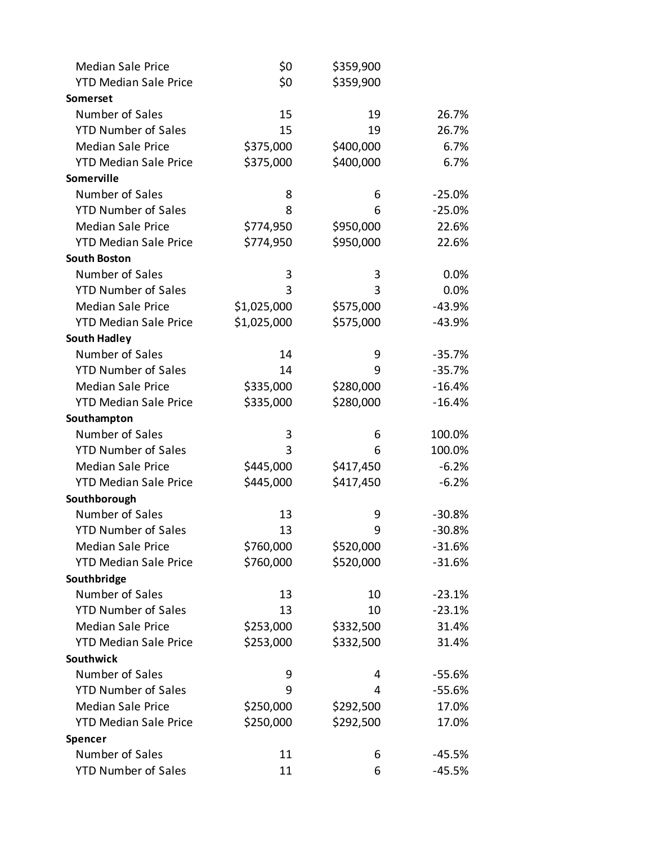| <b>Median Sale Price</b>     | \$0         | \$359,900 |          |
|------------------------------|-------------|-----------|----------|
| <b>YTD Median Sale Price</b> | \$0         | \$359,900 |          |
| Somerset                     |             |           |          |
| Number of Sales              | 15          | 19        | 26.7%    |
| <b>YTD Number of Sales</b>   | 15          | 19        | 26.7%    |
| <b>Median Sale Price</b>     | \$375,000   | \$400,000 | 6.7%     |
| <b>YTD Median Sale Price</b> | \$375,000   | \$400,000 | 6.7%     |
| Somerville                   |             |           |          |
| Number of Sales              | 8           | 6         | $-25.0%$ |
| <b>YTD Number of Sales</b>   | 8           | 6         | $-25.0%$ |
| <b>Median Sale Price</b>     | \$774,950   | \$950,000 | 22.6%    |
| <b>YTD Median Sale Price</b> | \$774,950   | \$950,000 | 22.6%    |
| <b>South Boston</b>          |             |           |          |
| Number of Sales              | 3           | 3         | 0.0%     |
| <b>YTD Number of Sales</b>   | 3           | 3         | 0.0%     |
| <b>Median Sale Price</b>     | \$1,025,000 | \$575,000 | $-43.9%$ |
| <b>YTD Median Sale Price</b> | \$1,025,000 | \$575,000 | $-43.9%$ |
| <b>South Hadley</b>          |             |           |          |
| Number of Sales              | 14          | 9         | $-35.7%$ |
| <b>YTD Number of Sales</b>   | 14          | 9         | $-35.7%$ |
| <b>Median Sale Price</b>     | \$335,000   | \$280,000 | $-16.4%$ |
| <b>YTD Median Sale Price</b> | \$335,000   | \$280,000 | $-16.4%$ |
| Southampton                  |             |           |          |
| Number of Sales              | 3           | 6         | 100.0%   |
| <b>YTD Number of Sales</b>   | 3           | 6         | 100.0%   |
| <b>Median Sale Price</b>     | \$445,000   | \$417,450 | $-6.2%$  |
| <b>YTD Median Sale Price</b> | \$445,000   | \$417,450 | $-6.2%$  |
| Southborough                 |             |           |          |
| Number of Sales              | 13          | 9         | $-30.8%$ |
| <b>YTD Number of Sales</b>   | 13          | 9         | $-30.8%$ |
| <b>Median Sale Price</b>     | \$760,000   | \$520,000 | $-31.6%$ |
| <b>YTD Median Sale Price</b> | \$760,000   | \$520,000 | $-31.6%$ |
| Southbridge                  |             |           |          |
| Number of Sales              | 13          | 10        | $-23.1%$ |
| <b>YTD Number of Sales</b>   | 13          | 10        | $-23.1%$ |
| <b>Median Sale Price</b>     | \$253,000   | \$332,500 | 31.4%    |
| <b>YTD Median Sale Price</b> | \$253,000   | \$332,500 | 31.4%    |
| <b>Southwick</b>             |             |           |          |
| Number of Sales              | 9           | 4         | $-55.6%$ |
| <b>YTD Number of Sales</b>   | 9           | 4         | $-55.6%$ |
| <b>Median Sale Price</b>     | \$250,000   | \$292,500 | 17.0%    |
| <b>YTD Median Sale Price</b> | \$250,000   | \$292,500 | 17.0%    |
| Spencer                      |             |           |          |
| Number of Sales              | 11          | 6         | $-45.5%$ |
| <b>YTD Number of Sales</b>   | 11          | 6         | $-45.5%$ |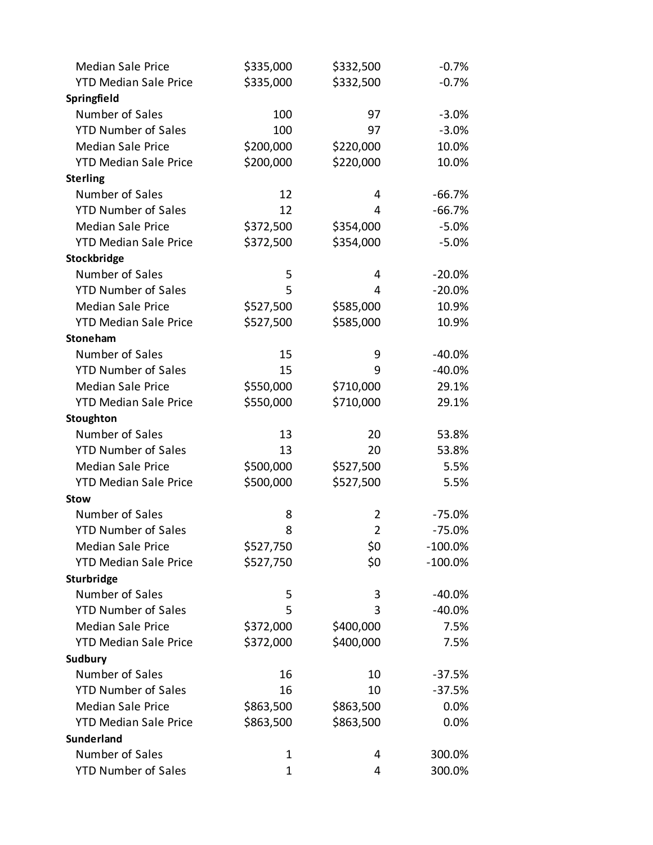| <b>Median Sale Price</b>     | \$335,000 | \$332,500      | $-0.7%$    |
|------------------------------|-----------|----------------|------------|
| <b>YTD Median Sale Price</b> | \$335,000 | \$332,500      | $-0.7%$    |
| Springfield                  |           |                |            |
| Number of Sales              | 100       | 97             | $-3.0%$    |
| <b>YTD Number of Sales</b>   | 100       | 97             | $-3.0%$    |
| <b>Median Sale Price</b>     | \$200,000 | \$220,000      | 10.0%      |
| <b>YTD Median Sale Price</b> | \$200,000 | \$220,000      | 10.0%      |
| <b>Sterling</b>              |           |                |            |
| Number of Sales              | 12        | 4              | $-66.7%$   |
| <b>YTD Number of Sales</b>   | 12        | 4              | $-66.7%$   |
| <b>Median Sale Price</b>     | \$372,500 | \$354,000      | $-5.0%$    |
| <b>YTD Median Sale Price</b> | \$372,500 | \$354,000      | $-5.0%$    |
| Stockbridge                  |           |                |            |
| Number of Sales              | 5         | 4              | $-20.0%$   |
| <b>YTD Number of Sales</b>   | 5         | 4              | $-20.0%$   |
| <b>Median Sale Price</b>     | \$527,500 | \$585,000      | 10.9%      |
| <b>YTD Median Sale Price</b> | \$527,500 | \$585,000      | 10.9%      |
| Stoneham                     |           |                |            |
| Number of Sales              | 15        | 9              | $-40.0%$   |
| <b>YTD Number of Sales</b>   | 15        | 9              | $-40.0%$   |
| <b>Median Sale Price</b>     | \$550,000 | \$710,000      | 29.1%      |
| <b>YTD Median Sale Price</b> | \$550,000 | \$710,000      | 29.1%      |
| Stoughton                    |           |                |            |
| Number of Sales              | 13        | 20             | 53.8%      |
| <b>YTD Number of Sales</b>   | 13        | 20             | 53.8%      |
| <b>Median Sale Price</b>     | \$500,000 | \$527,500      | 5.5%       |
| <b>YTD Median Sale Price</b> | \$500,000 | \$527,500      | 5.5%       |
| <b>Stow</b>                  |           |                |            |
| Number of Sales              | 8         | 2              | $-75.0%$   |
| <b>YTD Number of Sales</b>   | 8         | $\overline{2}$ | $-75.0%$   |
| <b>Median Sale Price</b>     | \$527,750 | \$0            | $-100.0\%$ |
| <b>YTD Median Sale Price</b> | \$527,750 | \$0            | $-100.0\%$ |
| Sturbridge                   |           |                |            |
| Number of Sales              | 5         | 3              | $-40.0%$   |
| <b>YTD Number of Sales</b>   | 5         | 3              | $-40.0%$   |
| <b>Median Sale Price</b>     | \$372,000 | \$400,000      | 7.5%       |
| <b>YTD Median Sale Price</b> | \$372,000 | \$400,000      | 7.5%       |
| Sudbury                      |           |                |            |
| Number of Sales              | 16        | 10             | $-37.5%$   |
| <b>YTD Number of Sales</b>   | 16        | 10             | $-37.5%$   |
| <b>Median Sale Price</b>     | \$863,500 | \$863,500      | 0.0%       |
| <b>YTD Median Sale Price</b> | \$863,500 | \$863,500      | 0.0%       |
| <b>Sunderland</b>            |           |                |            |
| Number of Sales              | 1         | 4              | 300.0%     |
| <b>YTD Number of Sales</b>   | 1         | 4              | 300.0%     |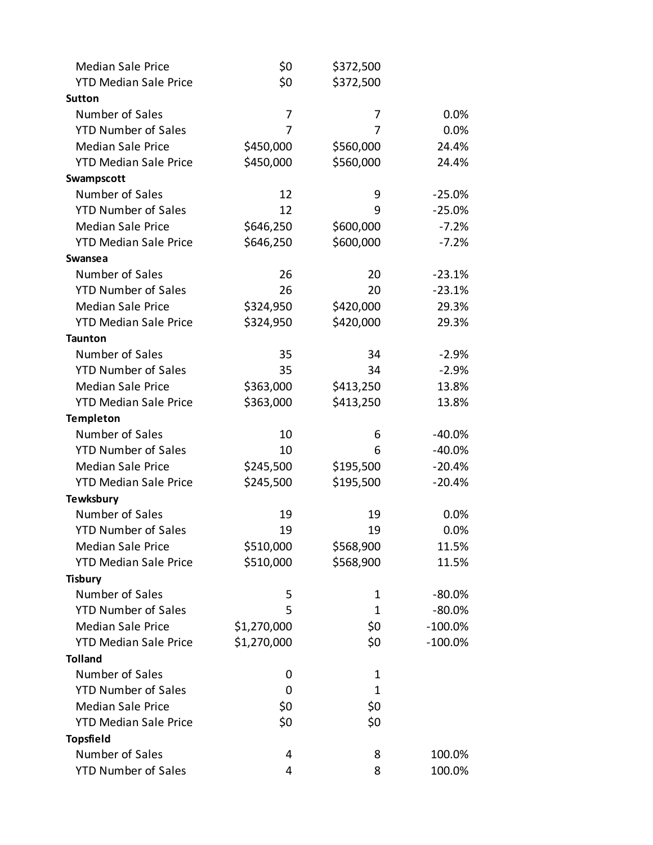| <b>Median Sale Price</b>     | \$0         | \$372,500   |            |
|------------------------------|-------------|-------------|------------|
| <b>YTD Median Sale Price</b> | \$0         | \$372,500   |            |
| <b>Sutton</b>                |             |             |            |
| Number of Sales              | 7           | 7           | 0.0%       |
| <b>YTD Number of Sales</b>   | 7           | 7           | 0.0%       |
| <b>Median Sale Price</b>     | \$450,000   | \$560,000   | 24.4%      |
| <b>YTD Median Sale Price</b> | \$450,000   | \$560,000   | 24.4%      |
| Swampscott                   |             |             |            |
| Number of Sales              | 12          | 9           | $-25.0%$   |
| <b>YTD Number of Sales</b>   | 12          | 9           | $-25.0%$   |
| <b>Median Sale Price</b>     | \$646,250   | \$600,000   | $-7.2%$    |
| <b>YTD Median Sale Price</b> | \$646,250   | \$600,000   | $-7.2%$    |
| <b>Swansea</b>               |             |             |            |
| Number of Sales              | 26          | 20          | $-23.1%$   |
| <b>YTD Number of Sales</b>   | 26          | 20          | $-23.1%$   |
| <b>Median Sale Price</b>     | \$324,950   | \$420,000   | 29.3%      |
| <b>YTD Median Sale Price</b> | \$324,950   | \$420,000   | 29.3%      |
| <b>Taunton</b>               |             |             |            |
| Number of Sales              | 35          | 34          | $-2.9%$    |
| <b>YTD Number of Sales</b>   | 35          | 34          | $-2.9%$    |
| <b>Median Sale Price</b>     | \$363,000   | \$413,250   | 13.8%      |
| <b>YTD Median Sale Price</b> | \$363,000   | \$413,250   | 13.8%      |
| <b>Templeton</b>             |             |             |            |
| Number of Sales              | 10          | 6           | $-40.0%$   |
| <b>YTD Number of Sales</b>   | 10          | 6           | $-40.0%$   |
| <b>Median Sale Price</b>     | \$245,500   | \$195,500   | $-20.4%$   |
| <b>YTD Median Sale Price</b> | \$245,500   | \$195,500   | $-20.4%$   |
| <b>Tewksbury</b>             |             |             |            |
| Number of Sales              | 19          | 19          | 0.0%       |
| <b>YTD Number of Sales</b>   | 19          | 19          | 0.0%       |
| <b>Median Sale Price</b>     | \$510,000   | \$568,900   | 11.5%      |
| <b>YTD Median Sale Price</b> | \$510,000   | \$568,900   | 11.5%      |
| <b>Tisbury</b>               |             |             |            |
| Number of Sales              | 5           | 1           | $-80.0\%$  |
| <b>YTD Number of Sales</b>   | 5           | 1           | $-80.0%$   |
| <b>Median Sale Price</b>     | \$1,270,000 | \$0\$       | $-100.0\%$ |
| <b>YTD Median Sale Price</b> | \$1,270,000 | \$0         | $-100.0\%$ |
| <b>Tolland</b>               |             |             |            |
| Number of Sales              | 0           | 1           |            |
| <b>YTD Number of Sales</b>   | 0           | $\mathbf 1$ |            |
| <b>Median Sale Price</b>     | \$0         | \$0         |            |
| <b>YTD Median Sale Price</b> | \$0         | \$0         |            |
| <b>Topsfield</b>             |             |             |            |
| Number of Sales              | 4           | 8           | 100.0%     |
| <b>YTD Number of Sales</b>   | 4           | 8           | 100.0%     |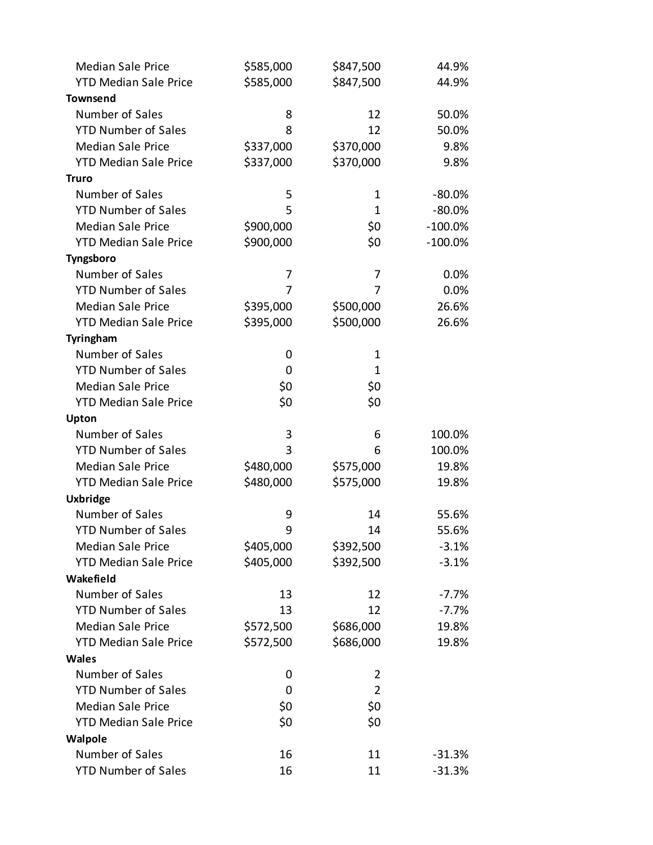| <b>Median Sale Price</b>     | \$585,000 | \$847,500      | 44.9%      |
|------------------------------|-----------|----------------|------------|
| <b>YTD Median Sale Price</b> | \$585,000 | \$847,500      | 44.9%      |
| <b>Townsend</b>              |           |                |            |
| Number of Sales              | 8         | 12             | 50.0%      |
| <b>YTD Number of Sales</b>   | 8         | 12             | 50.0%      |
| <b>Median Sale Price</b>     | \$337,000 | \$370,000      | 9.8%       |
| <b>YTD Median Sale Price</b> | \$337,000 | \$370,000      | 9.8%       |
| <b>Truro</b>                 |           |                |            |
| Number of Sales              | 5         | 1              | $-80.0%$   |
| <b>YTD Number of Sales</b>   | 5         | $\mathbf{1}$   | $-80.0%$   |
| <b>Median Sale Price</b>     | \$900,000 | \$0            | $-100.0\%$ |
| <b>YTD Median Sale Price</b> | \$900,000 | \$0            | $-100.0%$  |
| Tyngsboro                    |           |                |            |
| Number of Sales              | 7         | 7              | 0.0%       |
| <b>YTD Number of Sales</b>   | 7         | 7              | 0.0%       |
| <b>Median Sale Price</b>     | \$395,000 | \$500,000      | 26.6%      |
| <b>YTD Median Sale Price</b> | \$395,000 | \$500,000      | 26.6%      |
| Tyringham                    |           |                |            |
| Number of Sales              | 0         | 1              |            |
| <b>YTD Number of Sales</b>   | 0         | 1              |            |
| <b>Median Sale Price</b>     | \$0       | \$0            |            |
| <b>YTD Median Sale Price</b> | \$0       | \$0            |            |
| Upton                        |           |                |            |
| Number of Sales              | 3         | 6              | 100.0%     |
| <b>YTD Number of Sales</b>   | 3         | 6              | 100.0%     |
| <b>Median Sale Price</b>     | \$480,000 | \$575,000      | 19.8%      |
| <b>YTD Median Sale Price</b> | \$480,000 | \$575,000      | 19.8%      |
| <b>Uxbridge</b>              |           |                |            |
| Number of Sales              | 9         | 14             | 55.6%      |
| <b>YTD Number of Sales</b>   | 9         | 14             | 55.6%      |
| <b>Median Sale Price</b>     | \$405,000 | \$392,500      | $-3.1%$    |
| <b>YTD Median Sale Price</b> | \$405,000 | \$392,500      | $-3.1%$    |
| Wakefield                    |           |                |            |
| Number of Sales              | 13        | 12             | $-7.7%$    |
| <b>YTD Number of Sales</b>   | 13        | 12             | $-7.7%$    |
| <b>Median Sale Price</b>     | \$572,500 | \$686,000      | 19.8%      |
| <b>YTD Median Sale Price</b> | \$572,500 | \$686,000      | 19.8%      |
| <b>Wales</b>                 |           |                |            |
| Number of Sales              | 0         | 2              |            |
| <b>YTD Number of Sales</b>   | 0         | $\overline{2}$ |            |
| <b>Median Sale Price</b>     | \$0       | \$0            |            |
| <b>YTD Median Sale Price</b> | \$0       | \$0            |            |
| Walpole                      |           |                |            |
| Number of Sales              | 16        | 11             | $-31.3%$   |
| <b>YTD Number of Sales</b>   | 16        | 11             | $-31.3%$   |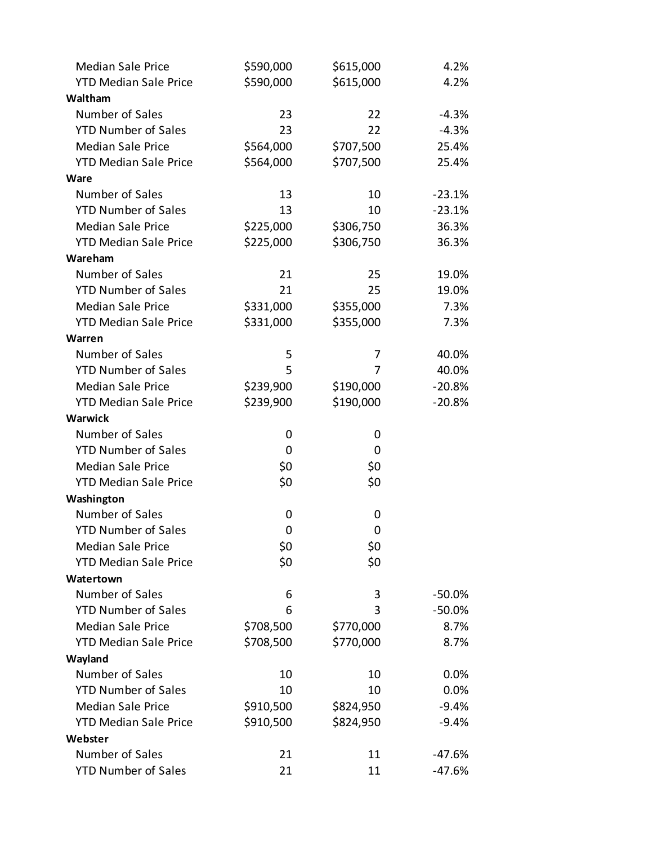| <b>Median Sale Price</b>     | \$590,000 | \$615,000 | 4.2%      |
|------------------------------|-----------|-----------|-----------|
| <b>YTD Median Sale Price</b> | \$590,000 | \$615,000 | 4.2%      |
| Waltham                      |           |           |           |
| Number of Sales              | 23        | 22        | $-4.3%$   |
| <b>YTD Number of Sales</b>   | 23        | 22        | $-4.3%$   |
| <b>Median Sale Price</b>     | \$564,000 | \$707,500 | 25.4%     |
| <b>YTD Median Sale Price</b> | \$564,000 | \$707,500 | 25.4%     |
| Ware                         |           |           |           |
| Number of Sales              | 13        | 10        | $-23.1%$  |
| <b>YTD Number of Sales</b>   | 13        | 10        | $-23.1%$  |
| <b>Median Sale Price</b>     | \$225,000 | \$306,750 | 36.3%     |
| <b>YTD Median Sale Price</b> | \$225,000 | \$306,750 | 36.3%     |
| Wareham                      |           |           |           |
| Number of Sales              | 21        | 25        | 19.0%     |
| <b>YTD Number of Sales</b>   | 21        | 25        | 19.0%     |
| <b>Median Sale Price</b>     | \$331,000 | \$355,000 | 7.3%      |
| <b>YTD Median Sale Price</b> | \$331,000 | \$355,000 | 7.3%      |
| Warren                       |           |           |           |
| Number of Sales              | 5         | 7         | 40.0%     |
| <b>YTD Number of Sales</b>   | 5         | 7         | 40.0%     |
| <b>Median Sale Price</b>     | \$239,900 | \$190,000 | $-20.8%$  |
| <b>YTD Median Sale Price</b> | \$239,900 | \$190,000 | $-20.8%$  |
| <b>Warwick</b>               |           |           |           |
| Number of Sales              | 0         | 0         |           |
| <b>YTD Number of Sales</b>   | 0         | 0         |           |
| <b>Median Sale Price</b>     | \$0       | \$0       |           |
| <b>YTD Median Sale Price</b> | \$0       | \$0       |           |
| Washington                   |           |           |           |
| Number of Sales              | 0         | 0         |           |
| <b>YTD Number of Sales</b>   | 0         | 0         |           |
| <b>Median Sale Price</b>     | \$0       | \$0       |           |
| <b>YTD Median Sale Price</b> | \$0       | \$0       |           |
| Watertown                    |           |           |           |
| Number of Sales              | 6         | 3         | $-50.0\%$ |
| <b>YTD Number of Sales</b>   | 6         | 3         | $-50.0%$  |
| <b>Median Sale Price</b>     | \$708,500 | \$770,000 | 8.7%      |
| <b>YTD Median Sale Price</b> | \$708,500 | \$770,000 | 8.7%      |
| Wayland                      |           |           |           |
| Number of Sales              | 10        | 10        | 0.0%      |
| <b>YTD Number of Sales</b>   | 10        | 10        | 0.0%      |
| <b>Median Sale Price</b>     | \$910,500 | \$824,950 | $-9.4%$   |
| <b>YTD Median Sale Price</b> | \$910,500 | \$824,950 | $-9.4%$   |
| Webster                      |           |           |           |
| Number of Sales              | 21        | 11        | $-47.6%$  |
| <b>YTD Number of Sales</b>   | 21        | 11        | $-47.6%$  |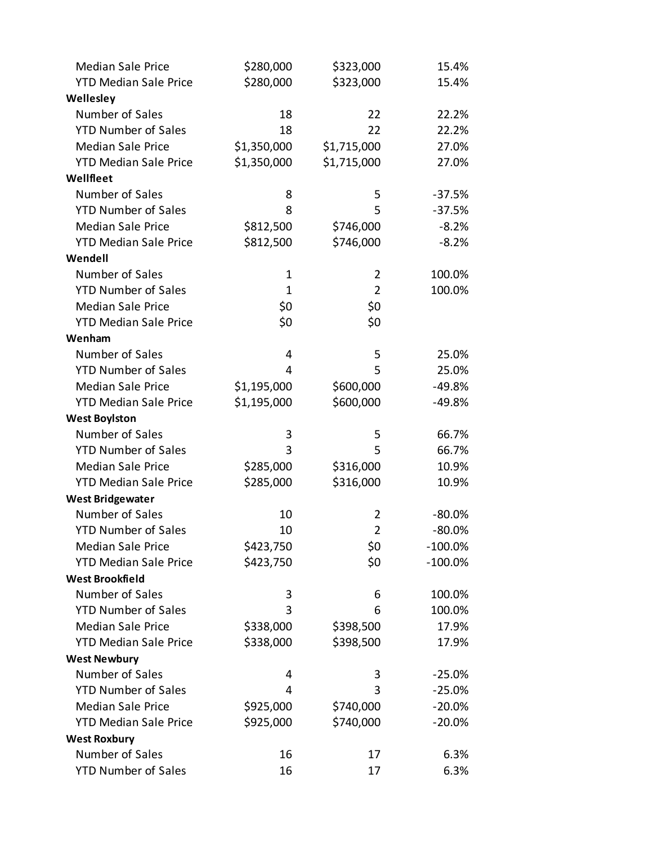| <b>Median Sale Price</b>     | \$280,000    | \$323,000      | 15.4%      |
|------------------------------|--------------|----------------|------------|
| <b>YTD Median Sale Price</b> | \$280,000    | \$323,000      | 15.4%      |
| Wellesley                    |              |                |            |
| Number of Sales              | 18           | 22             | 22.2%      |
| <b>YTD Number of Sales</b>   | 18           | 22             | 22.2%      |
| <b>Median Sale Price</b>     | \$1,350,000  | \$1,715,000    | 27.0%      |
| <b>YTD Median Sale Price</b> | \$1,350,000  | \$1,715,000    | 27.0%      |
| Wellfleet                    |              |                |            |
| Number of Sales              | 8            | 5              | $-37.5%$   |
| <b>YTD Number of Sales</b>   | 8            | 5              | $-37.5%$   |
| <b>Median Sale Price</b>     | \$812,500    | \$746,000      | $-8.2%$    |
| <b>YTD Median Sale Price</b> | \$812,500    | \$746,000      | $-8.2%$    |
| Wendell                      |              |                |            |
| Number of Sales              | $\mathbf{1}$ | $\overline{2}$ | 100.0%     |
| <b>YTD Number of Sales</b>   | $\mathbf 1$  | $\overline{2}$ | 100.0%     |
| <b>Median Sale Price</b>     | \$0          | \$0            |            |
| <b>YTD Median Sale Price</b> | \$0          | \$0            |            |
| Wenham                       |              |                |            |
| Number of Sales              | 4            | 5              | 25.0%      |
| <b>YTD Number of Sales</b>   | 4            | 5              | 25.0%      |
| <b>Median Sale Price</b>     | \$1,195,000  | \$600,000      | $-49.8%$   |
| <b>YTD Median Sale Price</b> | \$1,195,000  | \$600,000      | $-49.8%$   |
| <b>West Boylston</b>         |              |                |            |
| Number of Sales              | 3            | 5              | 66.7%      |
| <b>YTD Number of Sales</b>   | 3            | 5              | 66.7%      |
| <b>Median Sale Price</b>     | \$285,000    | \$316,000      | 10.9%      |
| <b>YTD Median Sale Price</b> | \$285,000    | \$316,000      | 10.9%      |
| <b>West Bridgewater</b>      |              |                |            |
| Number of Sales              | 10           | 2              | $-80.0%$   |
| <b>YTD Number of Sales</b>   | 10           | $\overline{2}$ | $-80.0%$   |
| <b>Median Sale Price</b>     | \$423,750    | \$0            | $-100.0\%$ |
| <b>YTD Median Sale Price</b> | \$423,750    | \$0            | $-100.0%$  |
| <b>West Brookfield</b>       |              |                |            |
| Number of Sales              | 3            | 6              | 100.0%     |
| <b>YTD Number of Sales</b>   | 3            | 6              | 100.0%     |
| <b>Median Sale Price</b>     | \$338,000    | \$398,500      | 17.9%      |
| <b>YTD Median Sale Price</b> | \$338,000    | \$398,500      | 17.9%      |
| <b>West Newbury</b>          |              |                |            |
| Number of Sales              | 4            | 3              | $-25.0%$   |
| <b>YTD Number of Sales</b>   | 4            | 3              | $-25.0%$   |
| <b>Median Sale Price</b>     | \$925,000    | \$740,000      | $-20.0%$   |
| <b>YTD Median Sale Price</b> | \$925,000    | \$740,000      | $-20.0%$   |
| <b>West Roxbury</b>          |              |                |            |
| Number of Sales              | 16           | 17             | 6.3%       |
| <b>YTD Number of Sales</b>   | 16           | 17             | 6.3%       |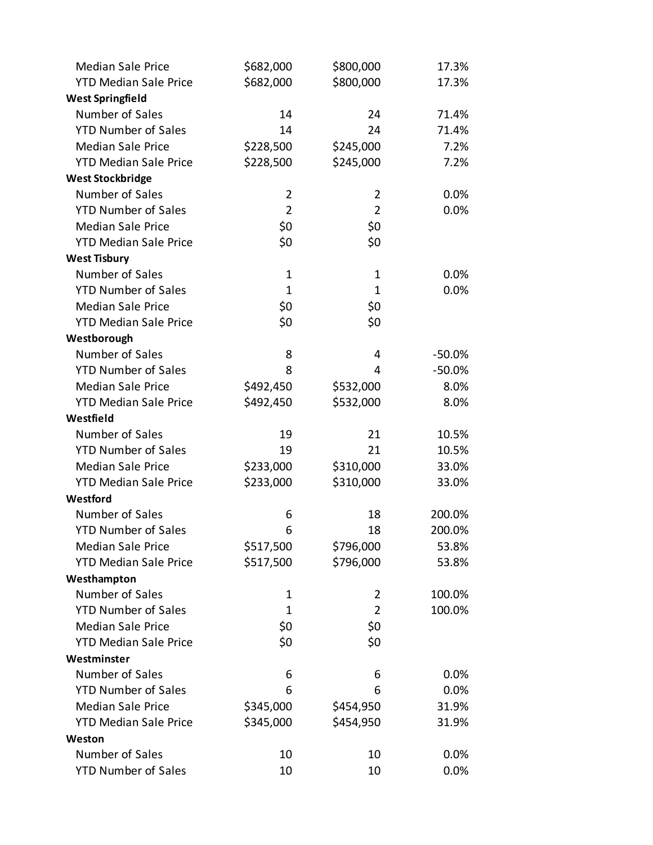| <b>Median Sale Price</b>     | \$682,000      | \$800,000      | 17.3%    |
|------------------------------|----------------|----------------|----------|
| <b>YTD Median Sale Price</b> | \$682,000      | \$800,000      | 17.3%    |
| <b>West Springfield</b>      |                |                |          |
| Number of Sales              | 14             | 24             | 71.4%    |
| <b>YTD Number of Sales</b>   | 14             | 24             | 71.4%    |
| <b>Median Sale Price</b>     | \$228,500      | \$245,000      | 7.2%     |
| <b>YTD Median Sale Price</b> | \$228,500      | \$245,000      | 7.2%     |
| <b>West Stockbridge</b>      |                |                |          |
| Number of Sales              | $\overline{2}$ | 2              | 0.0%     |
| <b>YTD Number of Sales</b>   | $\overline{2}$ | $\overline{2}$ | 0.0%     |
| <b>Median Sale Price</b>     | \$0            | \$0            |          |
| <b>YTD Median Sale Price</b> | \$0            | \$0            |          |
| <b>West Tisbury</b>          |                |                |          |
| Number of Sales              | $\mathbf 1$    | 1              | 0.0%     |
| <b>YTD Number of Sales</b>   | $\mathbf 1$    | $\mathbf{1}$   | 0.0%     |
| <b>Median Sale Price</b>     | \$0            | \$0            |          |
| <b>YTD Median Sale Price</b> | \$0            | \$0            |          |
| Westborough                  |                |                |          |
| Number of Sales              | 8              | 4              | $-50.0%$ |
| <b>YTD Number of Sales</b>   | 8              | 4              | $-50.0%$ |
| <b>Median Sale Price</b>     | \$492,450      | \$532,000      | 8.0%     |
| <b>YTD Median Sale Price</b> | \$492,450      | \$532,000      | 8.0%     |
| Westfield                    |                |                |          |
| Number of Sales              | 19             | 21             | 10.5%    |
| <b>YTD Number of Sales</b>   | 19             | 21             | 10.5%    |
| <b>Median Sale Price</b>     | \$233,000      | \$310,000      | 33.0%    |
| <b>YTD Median Sale Price</b> | \$233,000      | \$310,000      | 33.0%    |
| Westford                     |                |                |          |
| Number of Sales              | 6              | 18             | 200.0%   |
| <b>YTD Number of Sales</b>   | 6              | 18             | 200.0%   |
| <b>Median Sale Price</b>     | \$517,500      | \$796,000      | 53.8%    |
| <b>YTD Median Sale Price</b> | \$517,500      | \$796,000      | 53.8%    |
| Westhampton                  |                |                |          |
| Number of Sales              | 1              | 2              | 100.0%   |
| <b>YTD Number of Sales</b>   | 1              | $\overline{2}$ | 100.0%   |
| <b>Median Sale Price</b>     | \$0            | \$0            |          |
| <b>YTD Median Sale Price</b> | \$0            | \$0            |          |
| Westminster                  |                |                |          |
| Number of Sales              | 6              | 6              | 0.0%     |
| <b>YTD Number of Sales</b>   | 6              | 6              | 0.0%     |
| <b>Median Sale Price</b>     | \$345,000      | \$454,950      | 31.9%    |
| <b>YTD Median Sale Price</b> | \$345,000      | \$454,950      | 31.9%    |
| Weston                       |                |                |          |
| Number of Sales              | 10             | 10             | 0.0%     |
| <b>YTD Number of Sales</b>   | 10             | 10             | 0.0%     |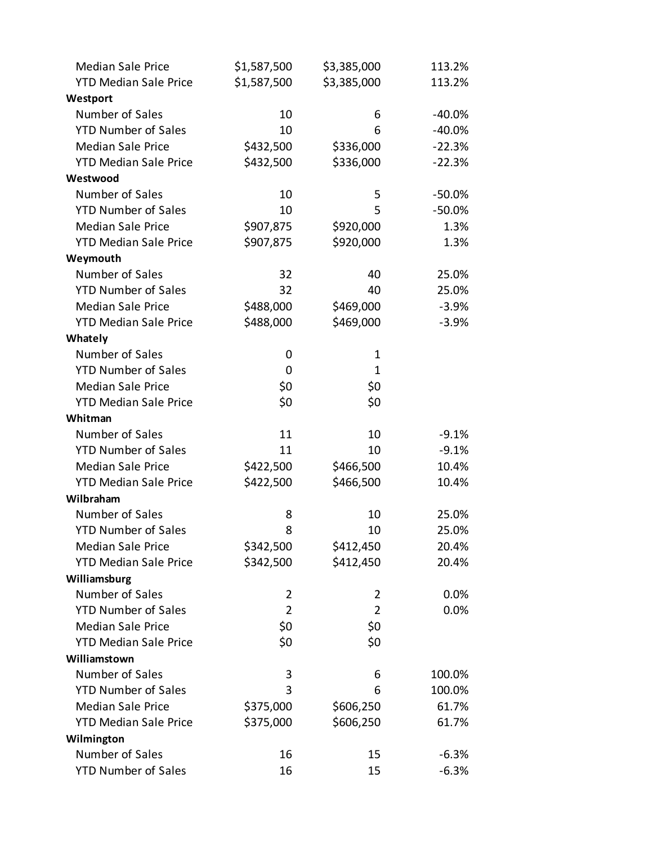| <b>Median Sale Price</b>     | \$1,587,500    | \$3,385,000    | 113.2%    |
|------------------------------|----------------|----------------|-----------|
| <b>YTD Median Sale Price</b> | \$1,587,500    | \$3,385,000    | 113.2%    |
| Westport                     |                |                |           |
| Number of Sales              | 10             | 6              | $-40.0\%$ |
| <b>YTD Number of Sales</b>   | 10             | 6              | $-40.0%$  |
| <b>Median Sale Price</b>     | \$432,500      | \$336,000      | $-22.3%$  |
| <b>YTD Median Sale Price</b> | \$432,500      | \$336,000      | $-22.3%$  |
| Westwood                     |                |                |           |
| Number of Sales              | 10             | 5              | $-50.0%$  |
| <b>YTD Number of Sales</b>   | 10             | 5              | $-50.0%$  |
| <b>Median Sale Price</b>     | \$907,875      | \$920,000      | 1.3%      |
| <b>YTD Median Sale Price</b> | \$907,875      | \$920,000      | 1.3%      |
| Weymouth                     |                |                |           |
| Number of Sales              | 32             | 40             | 25.0%     |
| <b>YTD Number of Sales</b>   | 32             | 40             | 25.0%     |
| <b>Median Sale Price</b>     | \$488,000      | \$469,000      | $-3.9%$   |
| <b>YTD Median Sale Price</b> | \$488,000      | \$469,000      | $-3.9%$   |
| Whately                      |                |                |           |
| Number of Sales              | 0              | 1              |           |
| <b>YTD Number of Sales</b>   | 0              | 1              |           |
| <b>Median Sale Price</b>     | \$0            | \$0            |           |
| <b>YTD Median Sale Price</b> | \$0            | \$0            |           |
| Whitman                      |                |                |           |
| Number of Sales              | 11             | 10             | $-9.1%$   |
| <b>YTD Number of Sales</b>   | 11             | 10             | $-9.1%$   |
| <b>Median Sale Price</b>     | \$422,500      | \$466,500      | 10.4%     |
| <b>YTD Median Sale Price</b> | \$422,500      | \$466,500      | 10.4%     |
| Wilbraham                    |                |                |           |
| Number of Sales              | 8              | 10             | 25.0%     |
| <b>YTD Number of Sales</b>   | 8              | 10             | 25.0%     |
| <b>Median Sale Price</b>     | \$342,500      | \$412,450      | 20.4%     |
| <b>YTD Median Sale Price</b> | \$342,500      | \$412,450      | 20.4%     |
| Williamsburg                 |                |                |           |
| Number of Sales              | 2              | 2              | $0.0\%$   |
| <b>YTD Number of Sales</b>   | $\overline{2}$ | $\overline{2}$ | 0.0%      |
| <b>Median Sale Price</b>     | \$0            | \$0            |           |
| <b>YTD Median Sale Price</b> | \$0            | \$0            |           |
| Williamstown                 |                |                |           |
| Number of Sales              | 3              | 6              | 100.0%    |
| <b>YTD Number of Sales</b>   | 3              | 6              | 100.0%    |
| <b>Median Sale Price</b>     | \$375,000      | \$606,250      | 61.7%     |
| <b>YTD Median Sale Price</b> | \$375,000      | \$606,250      | 61.7%     |
| Wilmington                   |                |                |           |
| Number of Sales              | 16             | 15             | $-6.3%$   |
| <b>YTD Number of Sales</b>   | 16             | 15             | $-6.3%$   |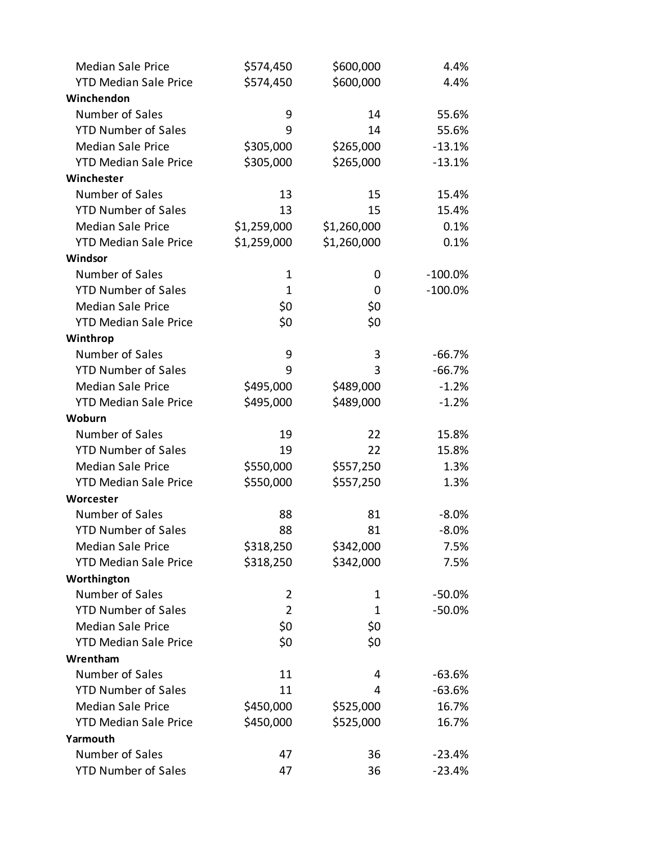| <b>Median Sale Price</b>     | \$574,450      | \$600,000    | 4.4%       |
|------------------------------|----------------|--------------|------------|
| <b>YTD Median Sale Price</b> | \$574,450      | \$600,000    | 4.4%       |
| Winchendon                   |                |              |            |
| Number of Sales              | 9              | 14           | 55.6%      |
| <b>YTD Number of Sales</b>   | 9              | 14           | 55.6%      |
| <b>Median Sale Price</b>     | \$305,000      | \$265,000    | $-13.1%$   |
| <b>YTD Median Sale Price</b> | \$305,000      | \$265,000    | $-13.1%$   |
| Winchester                   |                |              |            |
| Number of Sales              | 13             | 15           | 15.4%      |
| <b>YTD Number of Sales</b>   | 13             | 15           | 15.4%      |
| <b>Median Sale Price</b>     | \$1,259,000    | \$1,260,000  | 0.1%       |
| <b>YTD Median Sale Price</b> | \$1,259,000    | \$1,260,000  | 0.1%       |
| Windsor                      |                |              |            |
| Number of Sales              | 1              | 0            | $-100.0\%$ |
| <b>YTD Number of Sales</b>   | $\mathbf 1$    | 0            | $-100.0\%$ |
| <b>Median Sale Price</b>     | \$0            | \$0          |            |
| <b>YTD Median Sale Price</b> | \$0            | \$0          |            |
| Winthrop                     |                |              |            |
| Number of Sales              | 9              | 3            | $-66.7%$   |
| <b>YTD Number of Sales</b>   | 9              | 3            | $-66.7%$   |
| <b>Median Sale Price</b>     | \$495,000      | \$489,000    | $-1.2%$    |
| <b>YTD Median Sale Price</b> | \$495,000      | \$489,000    | $-1.2%$    |
| Woburn                       |                |              |            |
| Number of Sales              | 19             | 22           | 15.8%      |
| <b>YTD Number of Sales</b>   | 19             | 22           | 15.8%      |
| <b>Median Sale Price</b>     | \$550,000      | \$557,250    | 1.3%       |
| <b>YTD Median Sale Price</b> | \$550,000      | \$557,250    | 1.3%       |
| Worcester                    |                |              |            |
| Number of Sales              | 88             | 81           | $-8.0\%$   |
| <b>YTD Number of Sales</b>   | 88             | 81           | $-8.0%$    |
| <b>Median Sale Price</b>     | \$318,250      | \$342,000    | 7.5%       |
| <b>YTD Median Sale Price</b> | \$318,250      | \$342,000    | 7.5%       |
| Worthington                  |                |              |            |
| Number of Sales              | $\overline{2}$ | 1            | $-50.0%$   |
| <b>YTD Number of Sales</b>   | $\overline{2}$ | $\mathbf{1}$ | $-50.0%$   |
| <b>Median Sale Price</b>     | \$0            | \$0          |            |
| <b>YTD Median Sale Price</b> | \$0            | \$0          |            |
| Wrentham                     |                |              |            |
| Number of Sales              | 11             | 4            | $-63.6%$   |
| <b>YTD Number of Sales</b>   | 11             | 4            | $-63.6%$   |
| <b>Median Sale Price</b>     | \$450,000      | \$525,000    | 16.7%      |
| <b>YTD Median Sale Price</b> | \$450,000      | \$525,000    | 16.7%      |
| Yarmouth                     |                |              |            |
| Number of Sales              | 47             | 36           | $-23.4%$   |
| <b>YTD Number of Sales</b>   | 47             | 36           | $-23.4%$   |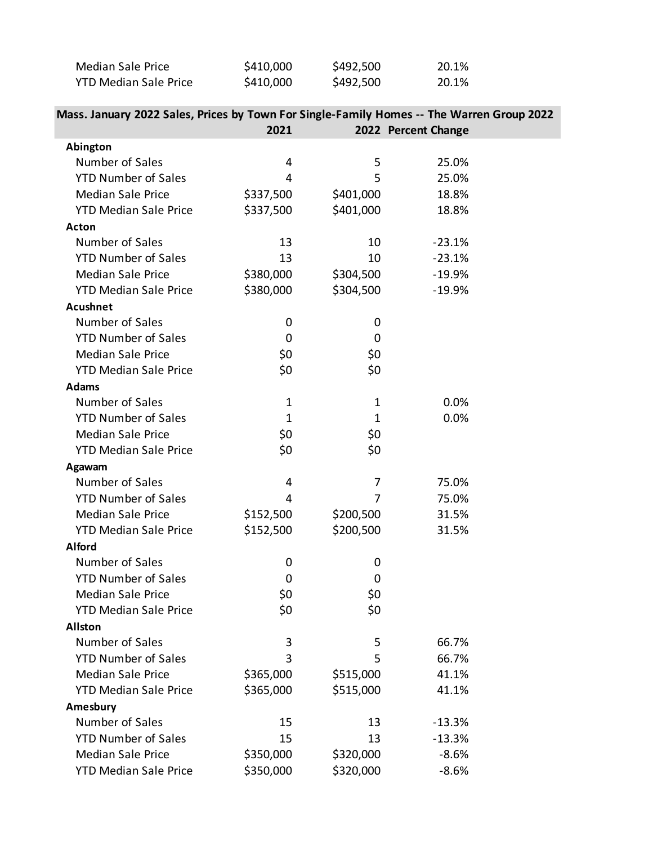| Median Sale Price            | \$410,000 | \$492,500 | 20.1% |
|------------------------------|-----------|-----------|-------|
| <b>YTD Median Sale Price</b> | \$410,000 | \$492,500 | 20.1% |

| Mass. January 2022 Sales, Prices by Town For Single-Family Homes -- The Warren Group 2022 |
|-------------------------------------------------------------------------------------------|
|                                                                                           |

|                              | 2021        |             | 2022 Percent Change |  |
|------------------------------|-------------|-------------|---------------------|--|
| Abington                     |             |             |                     |  |
| Number of Sales              | 4           | 5           | 25.0%               |  |
| <b>YTD Number of Sales</b>   | 4           | 5           | 25.0%               |  |
| <b>Median Sale Price</b>     | \$337,500   | \$401,000   | 18.8%               |  |
| <b>YTD Median Sale Price</b> | \$337,500   | \$401,000   | 18.8%               |  |
| <b>Acton</b>                 |             |             |                     |  |
| Number of Sales              | 13          | 10          | $-23.1%$            |  |
| <b>YTD Number of Sales</b>   | 13          | 10          | $-23.1%$            |  |
| <b>Median Sale Price</b>     | \$380,000   | \$304,500   | $-19.9%$            |  |
| <b>YTD Median Sale Price</b> | \$380,000   | \$304,500   | $-19.9%$            |  |
| <b>Acushnet</b>              |             |             |                     |  |
| Number of Sales              | 0           | 0           |                     |  |
| <b>YTD Number of Sales</b>   | $\mathbf 0$ | 0           |                     |  |
| <b>Median Sale Price</b>     | \$0         | \$0         |                     |  |
| <b>YTD Median Sale Price</b> | \$0         | \$0         |                     |  |
| <b>Adams</b>                 |             |             |                     |  |
| Number of Sales              | $\mathbf 1$ | 1           | 0.0%                |  |
| <b>YTD Number of Sales</b>   | $\mathbf 1$ | $\mathbf 1$ | 0.0%                |  |
| <b>Median Sale Price</b>     | \$0         | \$0         |                     |  |
| <b>YTD Median Sale Price</b> | \$0         | \$0         |                     |  |
| Agawam                       |             |             |                     |  |
| Number of Sales              | 4           | 7           | 75.0%               |  |
| <b>YTD Number of Sales</b>   | 4           | 7           | 75.0%               |  |
| <b>Median Sale Price</b>     | \$152,500   | \$200,500   | 31.5%               |  |
| <b>YTD Median Sale Price</b> | \$152,500   | \$200,500   | 31.5%               |  |
| <b>Alford</b>                |             |             |                     |  |
| Number of Sales              | 0           | 0           |                     |  |
| <b>YTD Number of Sales</b>   | 0           | 0           |                     |  |
| <b>Median Sale Price</b>     | \$0         | \$0         |                     |  |
| <b>YTD Median Sale Price</b> | \$0         | \$0         |                     |  |
| <b>Allston</b>               |             |             |                     |  |
| Number of Sales              | 3           | 5           | 66.7%               |  |
| <b>YTD Number of Sales</b>   | 3           | 5           | 66.7%               |  |
| <b>Median Sale Price</b>     | \$365,000   | \$515,000   | 41.1%               |  |
| <b>YTD Median Sale Price</b> | \$365,000   | \$515,000   | 41.1%               |  |
| Amesbury                     |             |             |                     |  |
| Number of Sales              | 15          | 13          | $-13.3%$            |  |
| <b>YTD Number of Sales</b>   | 15          | 13          | $-13.3%$            |  |
| <b>Median Sale Price</b>     | \$350,000   | \$320,000   | $-8.6%$             |  |
| <b>YTD Median Sale Price</b> | \$350,000   | \$320,000   | $-8.6%$             |  |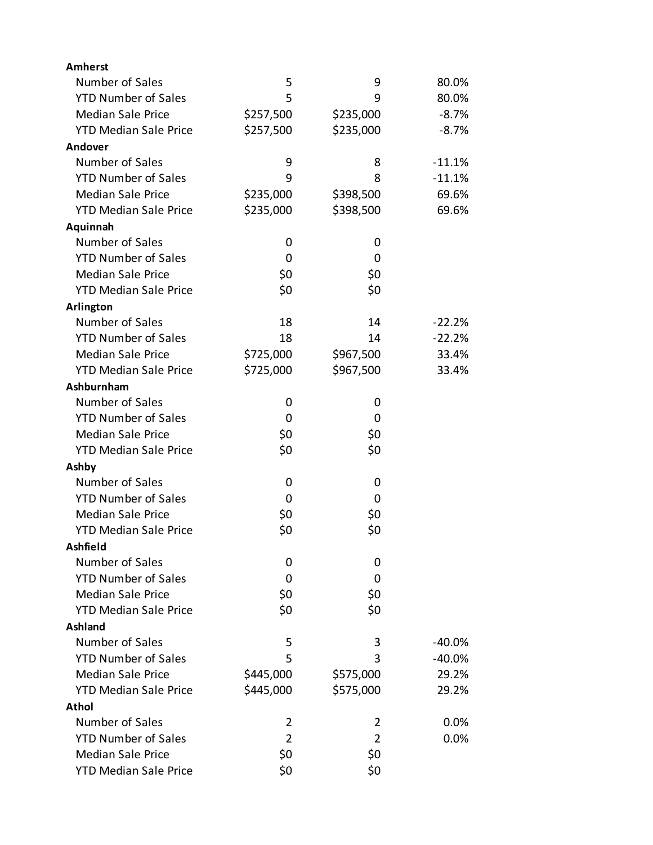| <b>Amherst</b>               |                |                |          |
|------------------------------|----------------|----------------|----------|
| Number of Sales              | 5              | 9              | 80.0%    |
| <b>YTD Number of Sales</b>   | 5              | 9              | 80.0%    |
| <b>Median Sale Price</b>     | \$257,500      | \$235,000      | $-8.7%$  |
| <b>YTD Median Sale Price</b> | \$257,500      | \$235,000      | $-8.7%$  |
| Andover                      |                |                |          |
| Number of Sales              | 9              | 8              | $-11.1%$ |
| <b>YTD Number of Sales</b>   | 9              | 8              | $-11.1%$ |
| <b>Median Sale Price</b>     | \$235,000      | \$398,500      | 69.6%    |
| <b>YTD Median Sale Price</b> | \$235,000      | \$398,500      | 69.6%    |
| Aquinnah                     |                |                |          |
| Number of Sales              | 0              | 0              |          |
| <b>YTD Number of Sales</b>   | 0              | 0              |          |
| <b>Median Sale Price</b>     | \$0            | \$0            |          |
| <b>YTD Median Sale Price</b> | \$0            | \$0            |          |
| Arlington                    |                |                |          |
| Number of Sales              | 18             | 14             | $-22.2%$ |
| <b>YTD Number of Sales</b>   | 18             | 14             | $-22.2%$ |
| <b>Median Sale Price</b>     | \$725,000      | \$967,500      | 33.4%    |
| <b>YTD Median Sale Price</b> | \$725,000      | \$967,500      | 33.4%    |
| Ashburnham                   |                |                |          |
| Number of Sales              | 0              | 0              |          |
| <b>YTD Number of Sales</b>   | 0              | 0              |          |
| <b>Median Sale Price</b>     | \$0            | \$0            |          |
| <b>YTD Median Sale Price</b> | \$0            | \$0            |          |
| Ashby                        |                |                |          |
| Number of Sales              | 0              | 0              |          |
| <b>YTD Number of Sales</b>   | 0              | 0              |          |
| <b>Median Sale Price</b>     | \$0            | \$0            |          |
| <b>YTD Median Sale Price</b> | \$0            | \$0            |          |
| Ashfield                     |                |                |          |
| Number of Sales              | 0              | 0              |          |
| <b>YTD Number of Sales</b>   | 0              | 0              |          |
| <b>Median Sale Price</b>     | \$0            | \$0            |          |
| <b>YTD Median Sale Price</b> | \$0            | \$0            |          |
| <b>Ashland</b>               |                |                |          |
| Number of Sales              | 5              | 3              | $-40.0%$ |
| <b>YTD Number of Sales</b>   | 5              | 3              | $-40.0%$ |
| <b>Median Sale Price</b>     | \$445,000      | \$575,000      | 29.2%    |
| <b>YTD Median Sale Price</b> | \$445,000      | \$575,000      | 29.2%    |
| Athol                        |                |                |          |
| Number of Sales              | 2              | 2              | 0.0%     |
| <b>YTD Number of Sales</b>   | $\overline{2}$ | $\overline{2}$ | 0.0%     |
| <b>Median Sale Price</b>     | \$0            | \$0            |          |
| <b>YTD Median Sale Price</b> | \$0            | \$0            |          |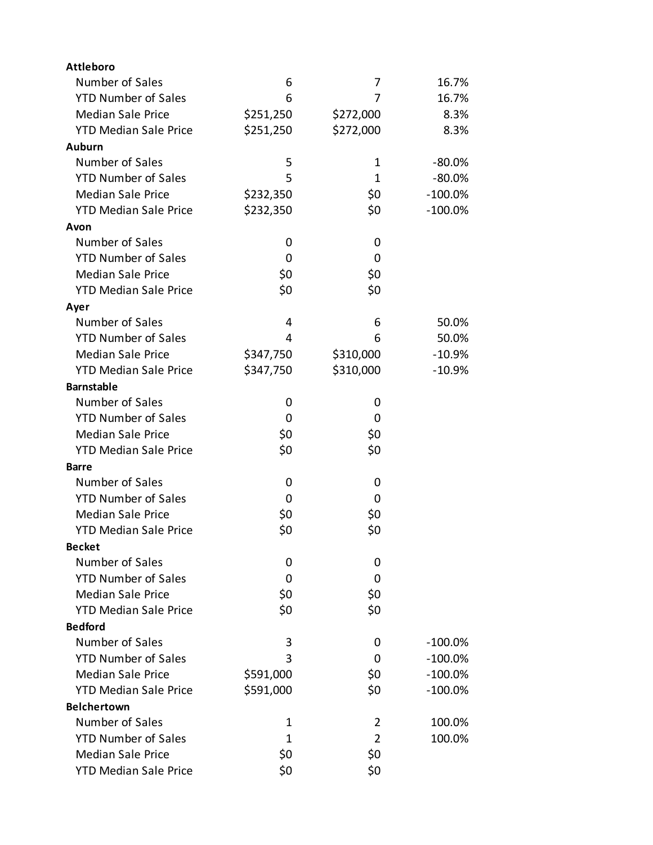| <b>Attleboro</b>             |           |                |           |
|------------------------------|-----------|----------------|-----------|
| Number of Sales              | 6         | 7              | 16.7%     |
| <b>YTD Number of Sales</b>   | 6         | 7              | 16.7%     |
| <b>Median Sale Price</b>     | \$251,250 | \$272,000      | 8.3%      |
| <b>YTD Median Sale Price</b> | \$251,250 | \$272,000      | 8.3%      |
| <b>Auburn</b>                |           |                |           |
| Number of Sales              | 5         | 1              | $-80.0%$  |
| <b>YTD Number of Sales</b>   | 5         | 1              | $-80.0%$  |
| <b>Median Sale Price</b>     | \$232,350 | \$0            | $-100.0%$ |
| <b>YTD Median Sale Price</b> | \$232,350 | \$0            | $-100.0%$ |
| Avon                         |           |                |           |
| Number of Sales              | 0         | 0              |           |
| <b>YTD Number of Sales</b>   | 0         | 0              |           |
| <b>Median Sale Price</b>     | \$0       | \$0            |           |
| <b>YTD Median Sale Price</b> | \$0       | \$0            |           |
| Ayer                         |           |                |           |
| Number of Sales              | 4         | 6              | 50.0%     |
| <b>YTD Number of Sales</b>   | 4         | 6              | 50.0%     |
| <b>Median Sale Price</b>     | \$347,750 | \$310,000      | $-10.9%$  |
| <b>YTD Median Sale Price</b> | \$347,750 | \$310,000      | $-10.9%$  |
| <b>Barnstable</b>            |           |                |           |
| Number of Sales              | 0         | 0              |           |
| <b>YTD Number of Sales</b>   | 0         | 0              |           |
| <b>Median Sale Price</b>     | \$0       | \$0            |           |
| <b>YTD Median Sale Price</b> | \$0       | \$0            |           |
| Barre                        |           |                |           |
| Number of Sales              | 0         | 0              |           |
| <b>YTD Number of Sales</b>   | 0         | 0              |           |
| <b>Median Sale Price</b>     | \$0       | \$0            |           |
| <b>YTD Median Sale Price</b> | \$0       | \$0            |           |
| <b>Becket</b>                |           |                |           |
| Number of Sales              | 0         | 0              |           |
| <b>YTD Number of Sales</b>   | 0         | 0              |           |
| <b>Median Sale Price</b>     | \$0       | \$0            |           |
| <b>YTD Median Sale Price</b> | \$0       | \$0            |           |
| <b>Bedford</b>               |           |                |           |
| Number of Sales              | 3         | 0              | $-100.0%$ |
| <b>YTD Number of Sales</b>   | 3         | 0              | $-100.0%$ |
| <b>Median Sale Price</b>     | \$591,000 | \$0            | $-100.0%$ |
| <b>YTD Median Sale Price</b> | \$591,000 | \$0            | $-100.0%$ |
| <b>Belchertown</b>           |           |                |           |
| Number of Sales              | 1         | 2              | 100.0%    |
| <b>YTD Number of Sales</b>   | 1         | $\overline{2}$ | 100.0%    |
| <b>Median Sale Price</b>     | \$0       | \$0            |           |
| <b>YTD Median Sale Price</b> | \$0       | \$0            |           |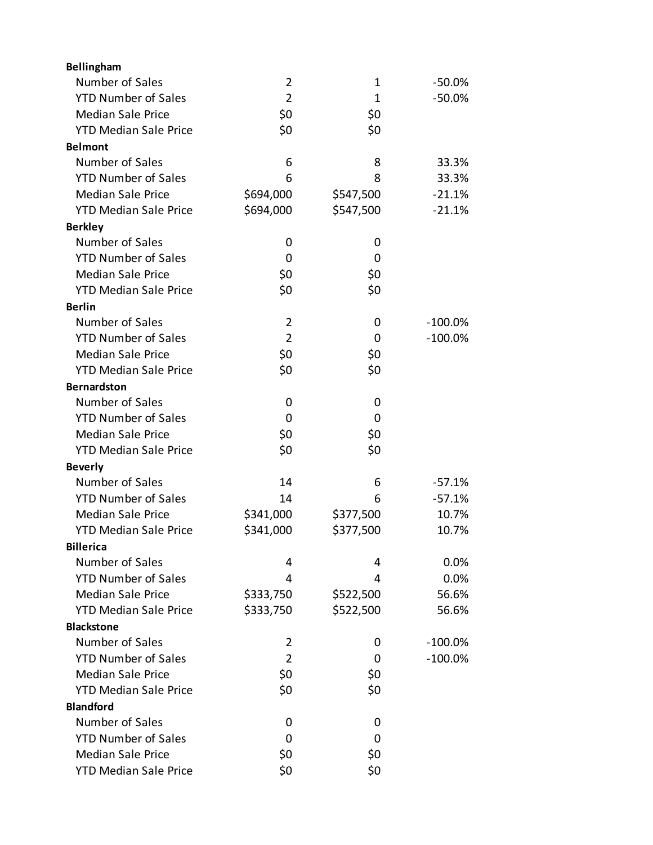| Bellingham                   |                |              |            |
|------------------------------|----------------|--------------|------------|
| Number of Sales              | $\overline{2}$ | 1            | $-50.0\%$  |
| <b>YTD Number of Sales</b>   | $\overline{2}$ | $\mathbf{1}$ | $-50.0%$   |
| <b>Median Sale Price</b>     | \$0            | \$0          |            |
| <b>YTD Median Sale Price</b> | \$0            | \$0          |            |
| <b>Belmont</b>               |                |              |            |
| Number of Sales              | 6              | 8            | 33.3%      |
| <b>YTD Number of Sales</b>   | 6              | 8            | 33.3%      |
| <b>Median Sale Price</b>     | \$694,000      | \$547,500    | $-21.1%$   |
| <b>YTD Median Sale Price</b> | \$694,000      | \$547,500    | $-21.1%$   |
| <b>Berkley</b>               |                |              |            |
| Number of Sales              | 0              | 0            |            |
| <b>YTD Number of Sales</b>   | 0              | 0            |            |
| <b>Median Sale Price</b>     | \$0            | \$0          |            |
| <b>YTD Median Sale Price</b> | \$0            | \$0          |            |
| <b>Berlin</b>                |                |              |            |
| Number of Sales              | $\overline{2}$ | 0            | $-100.0\%$ |
| <b>YTD Number of Sales</b>   | $\overline{2}$ | 0            | $-100.0%$  |
| <b>Median Sale Price</b>     | \$0            | \$0          |            |
| <b>YTD Median Sale Price</b> | \$0            | \$0          |            |
| <b>Bernardston</b>           |                |              |            |
| Number of Sales              | 0              | 0            |            |
| <b>YTD Number of Sales</b>   | 0              | 0            |            |
| <b>Median Sale Price</b>     | \$0            | \$0          |            |
| <b>YTD Median Sale Price</b> | \$0            | \$0          |            |
| <b>Beverly</b>               |                |              |            |
| Number of Sales              | 14             | 6            | $-57.1%$   |
| <b>YTD Number of Sales</b>   | 14             | 6            | $-57.1%$   |
| <b>Median Sale Price</b>     | \$341,000      | \$377,500    | 10.7%      |
| <b>YTD Median Sale Price</b> | \$341,000      | \$377,500    | 10.7%      |
| <b>Billerica</b>             |                |              |            |
| Number of Sales              | 4              | 4            | 0.0%       |
| <b>YTD Number of Sales</b>   | 4              | 4            | 0.0%       |
| <b>Median Sale Price</b>     | \$333,750      | \$522,500    | 56.6%      |
| <b>YTD Median Sale Price</b> | \$333,750      | \$522,500    | 56.6%      |
| <b>Blackstone</b>            |                |              |            |
| Number of Sales              | 2              | 0            | $-100.0\%$ |
| <b>YTD Number of Sales</b>   | 2              | 0            | $-100.0%$  |
| <b>Median Sale Price</b>     | \$0            | \$0          |            |
| <b>YTD Median Sale Price</b> | \$0            | \$0          |            |
| <b>Blandford</b>             |                |              |            |
| Number of Sales              | 0              | 0            |            |
| <b>YTD Number of Sales</b>   | 0              | 0            |            |
| <b>Median Sale Price</b>     | \$0            | \$0          |            |
| <b>YTD Median Sale Price</b> | \$0            | \$0          |            |
|                              |                |              |            |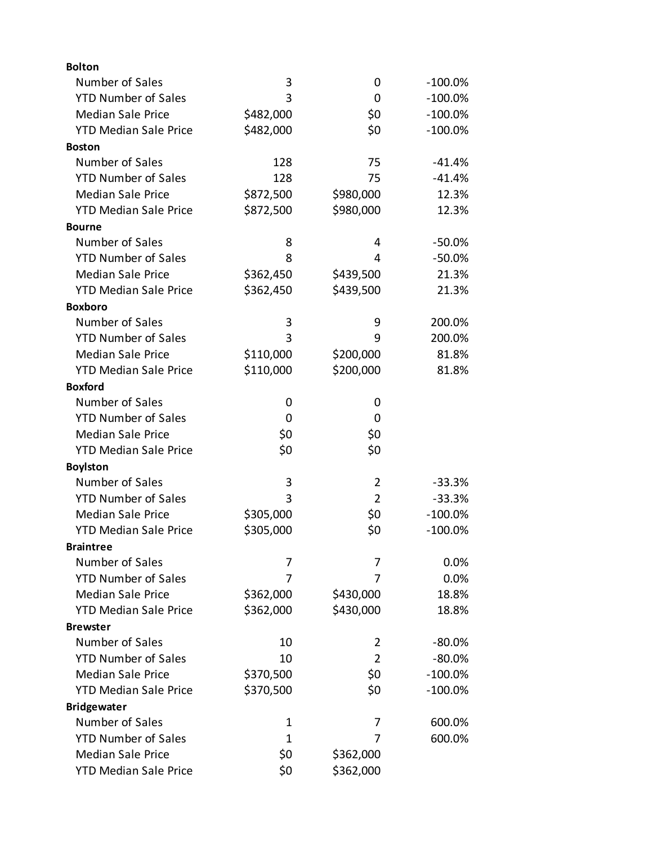| <b>Bolton</b>                |           |                |            |
|------------------------------|-----------|----------------|------------|
| Number of Sales              | 3         | 0              | $-100.0\%$ |
| <b>YTD Number of Sales</b>   | 3         | 0              | $-100.0\%$ |
| <b>Median Sale Price</b>     | \$482,000 | \$0            | $-100.0\%$ |
| <b>YTD Median Sale Price</b> | \$482,000 | \$0            | $-100.0\%$ |
| <b>Boston</b>                |           |                |            |
| Number of Sales              | 128       | 75             | $-41.4%$   |
| <b>YTD Number of Sales</b>   | 128       | 75             | $-41.4%$   |
| <b>Median Sale Price</b>     | \$872,500 | \$980,000      | 12.3%      |
| <b>YTD Median Sale Price</b> | \$872,500 | \$980,000      | 12.3%      |
| <b>Bourne</b>                |           |                |            |
| Number of Sales              | 8         | 4              | $-50.0%$   |
| <b>YTD Number of Sales</b>   | 8         | 4              | $-50.0%$   |
| <b>Median Sale Price</b>     | \$362,450 | \$439,500      | 21.3%      |
| <b>YTD Median Sale Price</b> | \$362,450 | \$439,500      | 21.3%      |
| <b>Boxboro</b>               |           |                |            |
| Number of Sales              | 3         | 9              | 200.0%     |
| <b>YTD Number of Sales</b>   | 3         | 9              | 200.0%     |
| <b>Median Sale Price</b>     | \$110,000 | \$200,000      | 81.8%      |
| <b>YTD Median Sale Price</b> | \$110,000 | \$200,000      | 81.8%      |
| <b>Boxford</b>               |           |                |            |
| Number of Sales              | 0         | 0              |            |
| <b>YTD Number of Sales</b>   | 0         | 0              |            |
| <b>Median Sale Price</b>     | \$0       | \$0            |            |
| <b>YTD Median Sale Price</b> | \$0       | \$0            |            |
| <b>Boylston</b>              |           |                |            |
| Number of Sales              | 3         | $\overline{2}$ | $-33.3%$   |
| <b>YTD Number of Sales</b>   | 3         | $\overline{2}$ | $-33.3%$   |
| <b>Median Sale Price</b>     | \$305,000 | \$0            | $-100.0\%$ |
| <b>YTD Median Sale Price</b> | \$305,000 | \$0            | $-100.0%$  |
| <b>Braintree</b>             |           |                |            |
| Number of Sales              | 7         | 7              | 0.0%       |
| <b>YTD Number of Sales</b>   | 7         | 7              | 0.0%       |
| <b>Median Sale Price</b>     | \$362,000 | \$430,000      | 18.8%      |
| <b>YTD Median Sale Price</b> | \$362,000 | \$430,000      | 18.8%      |
| <b>Brewster</b>              |           |                |            |
| Number of Sales              | 10        | 2              | $-80.0%$   |
| <b>YTD Number of Sales</b>   | 10        | $\overline{2}$ | $-80.0%$   |
| <b>Median Sale Price</b>     | \$370,500 | \$0            | $-100.0\%$ |
| <b>YTD Median Sale Price</b> | \$370,500 | \$0            | $-100.0\%$ |
| <b>Bridgewater</b>           |           |                |            |
| Number of Sales              | 1         | 7              | 600.0%     |
| <b>YTD Number of Sales</b>   | 1         | 7              | 600.0%     |
| <b>Median Sale Price</b>     | \$0       | \$362,000      |            |
| <b>YTD Median Sale Price</b> | \$0       | \$362,000      |            |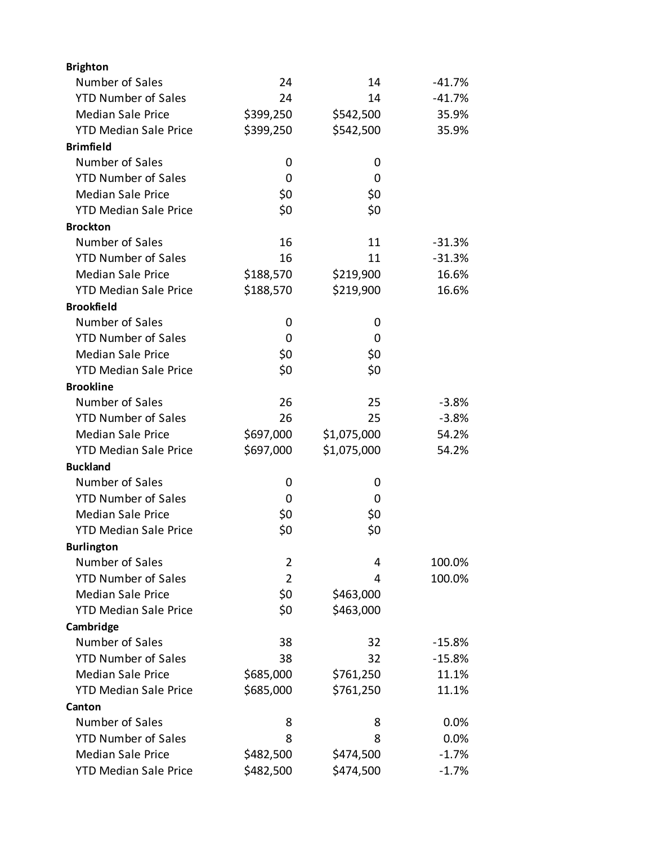| <b>Brighton</b>              |                |             |          |
|------------------------------|----------------|-------------|----------|
| Number of Sales              | 24             | 14          | -41.7%   |
| <b>YTD Number of Sales</b>   | 24             | 14          | $-41.7%$ |
| <b>Median Sale Price</b>     | \$399,250      | \$542,500   | 35.9%    |
| <b>YTD Median Sale Price</b> | \$399,250      | \$542,500   | 35.9%    |
| <b>Brimfield</b>             |                |             |          |
| Number of Sales              | 0              | 0           |          |
| <b>YTD Number of Sales</b>   | 0              | 0           |          |
| <b>Median Sale Price</b>     | \$0            | \$0         |          |
| <b>YTD Median Sale Price</b> | \$0            | \$0         |          |
| <b>Brockton</b>              |                |             |          |
| Number of Sales              | 16             | 11          | $-31.3%$ |
| <b>YTD Number of Sales</b>   | 16             | 11          | $-31.3%$ |
| <b>Median Sale Price</b>     | \$188,570      | \$219,900   | 16.6%    |
| <b>YTD Median Sale Price</b> | \$188,570      | \$219,900   | 16.6%    |
| <b>Brookfield</b>            |                |             |          |
| Number of Sales              | 0              | 0           |          |
| <b>YTD Number of Sales</b>   | 0              | 0           |          |
| <b>Median Sale Price</b>     | \$0            | \$0         |          |
| <b>YTD Median Sale Price</b> | \$0            | \$0         |          |
| <b>Brookline</b>             |                |             |          |
| Number of Sales              | 26             | 25          | $-3.8%$  |
| <b>YTD Number of Sales</b>   | 26             | 25          | $-3.8%$  |
| <b>Median Sale Price</b>     | \$697,000      | \$1,075,000 | 54.2%    |
| <b>YTD Median Sale Price</b> | \$697,000      | \$1,075,000 | 54.2%    |
| <b>Buckland</b>              |                |             |          |
| Number of Sales              | 0              | 0           |          |
| <b>YTD Number of Sales</b>   | 0              | 0           |          |
| <b>Median Sale Price</b>     | \$0            | \$0         |          |
| <b>YTD Median Sale Price</b> | \$0            | \$0         |          |
| <b>Burlington</b>            |                |             |          |
| Number of Sales              | $\overline{2}$ | 4           | 100.0%   |
| <b>YTD Number of Sales</b>   | $\overline{2}$ | 4           | 100.0%   |
| <b>Median Sale Price</b>     | \$0            | \$463,000   |          |
| <b>YTD Median Sale Price</b> | \$0            | \$463,000   |          |
| Cambridge                    |                |             |          |
| Number of Sales              | 38             | 32          | $-15.8%$ |
| <b>YTD Number of Sales</b>   | 38             | 32          | $-15.8%$ |
| <b>Median Sale Price</b>     | \$685,000      | \$761,250   | 11.1%    |
| <b>YTD Median Sale Price</b> | \$685,000      | \$761,250   | 11.1%    |
| Canton                       |                |             |          |
| Number of Sales              | 8              | 8           | 0.0%     |
| <b>YTD Number of Sales</b>   | 8              | 8           | 0.0%     |
| <b>Median Sale Price</b>     | \$482,500      | \$474,500   | $-1.7%$  |
| <b>YTD Median Sale Price</b> | \$482,500      | \$474,500   | $-1.7%$  |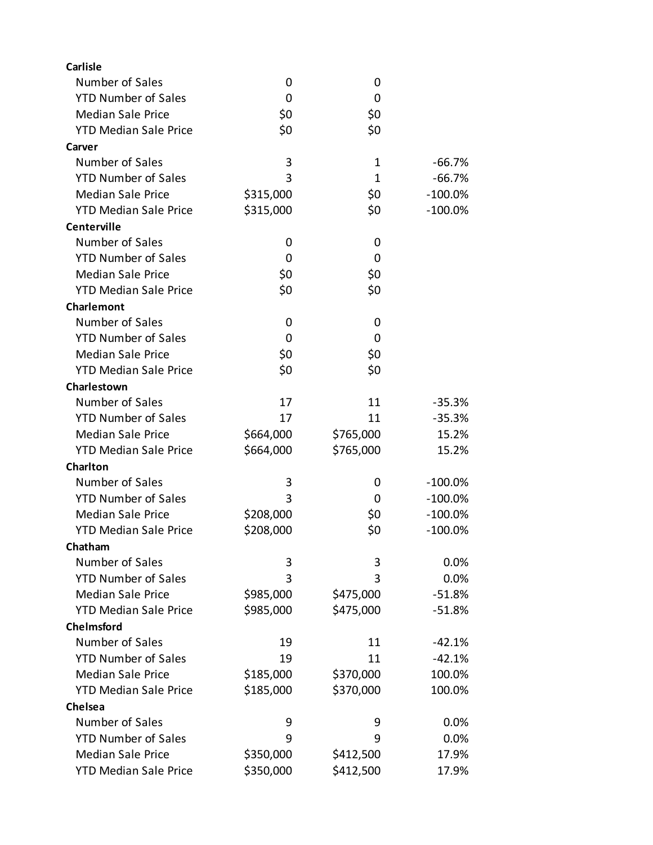| <b>Carlisle</b>              |           |              |            |
|------------------------------|-----------|--------------|------------|
| Number of Sales              | 0         | 0            |            |
| <b>YTD Number of Sales</b>   | 0         | 0            |            |
| <b>Median Sale Price</b>     | \$0       | \$0          |            |
| <b>YTD Median Sale Price</b> | \$0       | \$0          |            |
| Carver                       |           |              |            |
| Number of Sales              | 3         | 1            | $-66.7%$   |
| <b>YTD Number of Sales</b>   | 3         | $\mathbf{1}$ | $-66.7%$   |
| <b>Median Sale Price</b>     | \$315,000 | \$0          | $-100.0\%$ |
| <b>YTD Median Sale Price</b> | \$315,000 | \$0          | $-100.0\%$ |
| Centerville                  |           |              |            |
| Number of Sales              | 0         | 0            |            |
| <b>YTD Number of Sales</b>   | 0         | 0            |            |
| <b>Median Sale Price</b>     | \$0       | \$0          |            |
| <b>YTD Median Sale Price</b> | \$0       | \$0          |            |
| Charlemont                   |           |              |            |
| Number of Sales              | 0         | 0            |            |
| <b>YTD Number of Sales</b>   | 0         | 0            |            |
| <b>Median Sale Price</b>     | \$0       | \$0          |            |
| <b>YTD Median Sale Price</b> | \$0       | \$0          |            |
| Charlestown                  |           |              |            |
| Number of Sales              | 17        | 11           | $-35.3%$   |
| <b>YTD Number of Sales</b>   | 17        | 11           | $-35.3%$   |
| <b>Median Sale Price</b>     | \$664,000 | \$765,000    | 15.2%      |
| <b>YTD Median Sale Price</b> | \$664,000 | \$765,000    | 15.2%      |
| <b>Charlton</b>              |           |              |            |
| Number of Sales              | 3         | 0            | $-100.0\%$ |
| <b>YTD Number of Sales</b>   | 3         | 0            | $-100.0\%$ |
| <b>Median Sale Price</b>     | \$208,000 | \$0          | $-100.0\%$ |
| <b>YTD Median Sale Price</b> | \$208,000 | \$0          | $-100.0%$  |
| Chatham                      |           |              |            |
| Number of Sales              | 3         | 3            | 0.0%       |
| <b>YTD Number of Sales</b>   | 3         | 3            | 0.0%       |
| <b>Median Sale Price</b>     | \$985,000 | \$475,000    | $-51.8%$   |
| <b>YTD Median Sale Price</b> | \$985,000 | \$475,000    | $-51.8%$   |
| Chelmsford                   |           |              |            |
| Number of Sales              | 19        | 11           | $-42.1%$   |
| <b>YTD Number of Sales</b>   | 19        | 11           | $-42.1%$   |
| <b>Median Sale Price</b>     | \$185,000 | \$370,000    | 100.0%     |
| <b>YTD Median Sale Price</b> | \$185,000 | \$370,000    | 100.0%     |
| Chelsea                      |           |              |            |
| Number of Sales              | 9         | 9            | 0.0%       |
| <b>YTD Number of Sales</b>   | 9         | 9            | 0.0%       |
| <b>Median Sale Price</b>     | \$350,000 | \$412,500    | 17.9%      |
| <b>YTD Median Sale Price</b> | \$350,000 | \$412,500    | 17.9%      |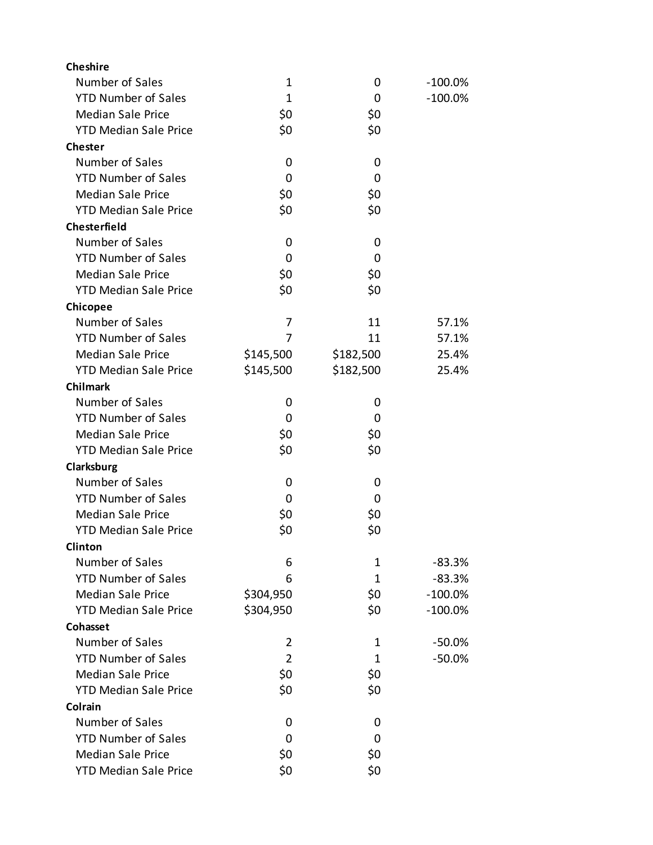| <b>Cheshire</b>              |                |           |            |
|------------------------------|----------------|-----------|------------|
| Number of Sales              | 1              | 0         | $-100.0\%$ |
| <b>YTD Number of Sales</b>   | $\mathbf{1}$   | 0         | $-100.0%$  |
| <b>Median Sale Price</b>     | \$0            | \$0       |            |
| <b>YTD Median Sale Price</b> | \$0            | \$0       |            |
| <b>Chester</b>               |                |           |            |
| Number of Sales              | 0              | 0         |            |
| <b>YTD Number of Sales</b>   | 0              | 0         |            |
| <b>Median Sale Price</b>     | \$0            | \$0       |            |
| <b>YTD Median Sale Price</b> | \$0            | \$0       |            |
| <b>Chesterfield</b>          |                |           |            |
| Number of Sales              | 0              | 0         |            |
| <b>YTD Number of Sales</b>   | 0              | 0         |            |
| <b>Median Sale Price</b>     | \$0            | \$0       |            |
| <b>YTD Median Sale Price</b> | \$0            | \$0       |            |
| Chicopee                     |                |           |            |
| Number of Sales              | $\overline{7}$ | 11        | 57.1%      |
| <b>YTD Number of Sales</b>   | 7              | 11        | 57.1%      |
| <b>Median Sale Price</b>     | \$145,500      | \$182,500 | 25.4%      |
| <b>YTD Median Sale Price</b> | \$145,500      | \$182,500 | 25.4%      |
| <b>Chilmark</b>              |                |           |            |
| Number of Sales              | 0              | 0         |            |
| <b>YTD Number of Sales</b>   | 0              | 0         |            |
| <b>Median Sale Price</b>     | \$0            | \$0       |            |
| <b>YTD Median Sale Price</b> | \$0            | \$0       |            |
| Clarksburg                   |                |           |            |
| Number of Sales              | 0              | 0         |            |
| <b>YTD Number of Sales</b>   | 0              | 0         |            |
| <b>Median Sale Price</b>     | \$0            | \$0       |            |
| <b>YTD Median Sale Price</b> | \$0            | \$0       |            |
| Clinton                      |                |           |            |
| Number of Sales              | 6              | 1         | $-83.3%$   |
| <b>YTD Number of Sales</b>   | 6              | 1         | $-83.3%$   |
| <b>Median Sale Price</b>     | \$304,950      | \$0       | $-100.0\%$ |
| <b>YTD Median Sale Price</b> | \$304,950      | \$0       | $-100.0\%$ |
| Cohasset                     |                |           |            |
| Number of Sales              | 2              | 1         | $-50.0\%$  |
| <b>YTD Number of Sales</b>   | $\overline{2}$ | 1         | $-50.0%$   |
| <b>Median Sale Price</b>     | \$0            | \$0       |            |
| <b>YTD Median Sale Price</b> | \$0            | \$0       |            |
| Colrain                      |                |           |            |
| Number of Sales              | 0              | 0         |            |
| <b>YTD Number of Sales</b>   | 0              | 0         |            |
| <b>Median Sale Price</b>     | \$0            | \$0       |            |
| <b>YTD Median Sale Price</b> | \$0            | \$0       |            |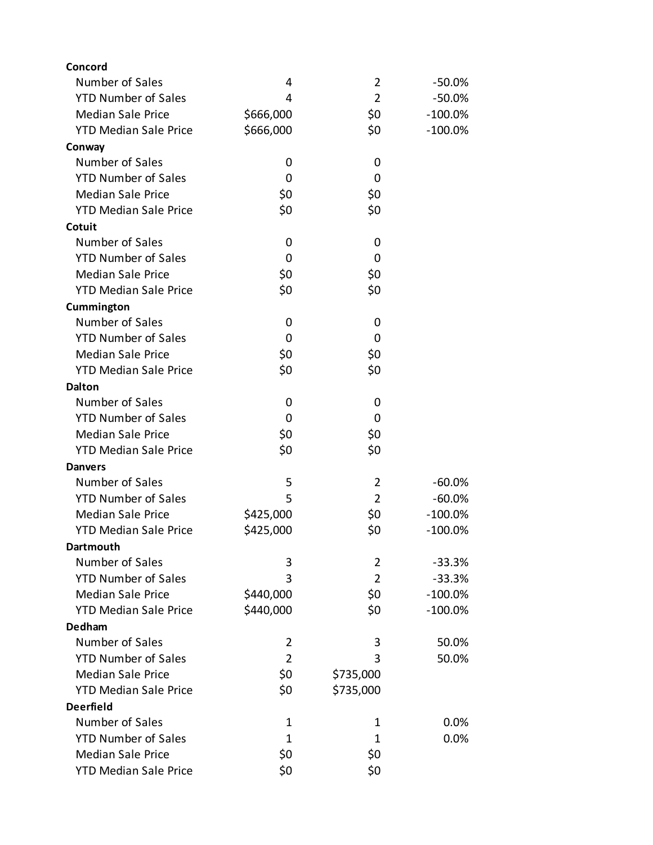| Concord                      |                |                |            |
|------------------------------|----------------|----------------|------------|
| Number of Sales              | 4              | $\overline{2}$ | -50.0%     |
| <b>YTD Number of Sales</b>   | 4              | $\overline{2}$ | $-50.0%$   |
| <b>Median Sale Price</b>     | \$666,000      | \$0            | $-100.0\%$ |
| <b>YTD Median Sale Price</b> | \$666,000      | \$0            | $-100.0\%$ |
| Conway                       |                |                |            |
| Number of Sales              | 0              | 0              |            |
| <b>YTD Number of Sales</b>   | 0              | 0              |            |
| <b>Median Sale Price</b>     | \$0            | \$0            |            |
| <b>YTD Median Sale Price</b> | \$0            | \$0            |            |
| Cotuit                       |                |                |            |
| Number of Sales              | 0              | 0              |            |
| <b>YTD Number of Sales</b>   | 0              | 0              |            |
| <b>Median Sale Price</b>     | \$0            | \$0            |            |
| <b>YTD Median Sale Price</b> | \$0            | \$0            |            |
| Cummington                   |                |                |            |
| Number of Sales              | 0              | 0              |            |
| <b>YTD Number of Sales</b>   | 0              | 0              |            |
| <b>Median Sale Price</b>     | \$0            | \$0            |            |
| <b>YTD Median Sale Price</b> | \$0            | \$0            |            |
| <b>Dalton</b>                |                |                |            |
| Number of Sales              | 0              | 0              |            |
| <b>YTD Number of Sales</b>   | 0              | 0              |            |
| <b>Median Sale Price</b>     | \$0            | \$0            |            |
| <b>YTD Median Sale Price</b> | \$0            | \$0            |            |
| <b>Danvers</b>               |                |                |            |
| Number of Sales              | 5              | $\overline{2}$ | $-60.0%$   |
| <b>YTD Number of Sales</b>   | 5              | $\overline{2}$ | $-60.0%$   |
| <b>Median Sale Price</b>     | \$425,000      | \$0            | $-100.0\%$ |
| <b>YTD Median Sale Price</b> | \$425,000      | \$0            | $-100.0%$  |
| Dartmouth                    |                |                |            |
| Number of Sales              | 3              | $\overline{2}$ | $-33.3%$   |
| <b>YTD Number of Sales</b>   | 3              | $\overline{2}$ | $-33.3%$   |
| <b>Median Sale Price</b>     | \$440,000      | \$0            | $-100.0%$  |
| <b>YTD Median Sale Price</b> | \$440,000      | \$0            | $-100.0\%$ |
| <b>Dedham</b>                |                |                |            |
| Number of Sales              | 2              | 3              | 50.0%      |
| <b>YTD Number of Sales</b>   | $\overline{2}$ | 3              | 50.0%      |
| <b>Median Sale Price</b>     | \$0            | \$735,000      |            |
| <b>YTD Median Sale Price</b> | \$0            | \$735,000      |            |
| <b>Deerfield</b>             |                |                |            |
| Number of Sales              | 1              | 1              | 0.0%       |
| <b>YTD Number of Sales</b>   | 1              | 1              | 0.0%       |
| <b>Median Sale Price</b>     | \$0            | \$0            |            |
| <b>YTD Median Sale Price</b> | \$0            | \$0            |            |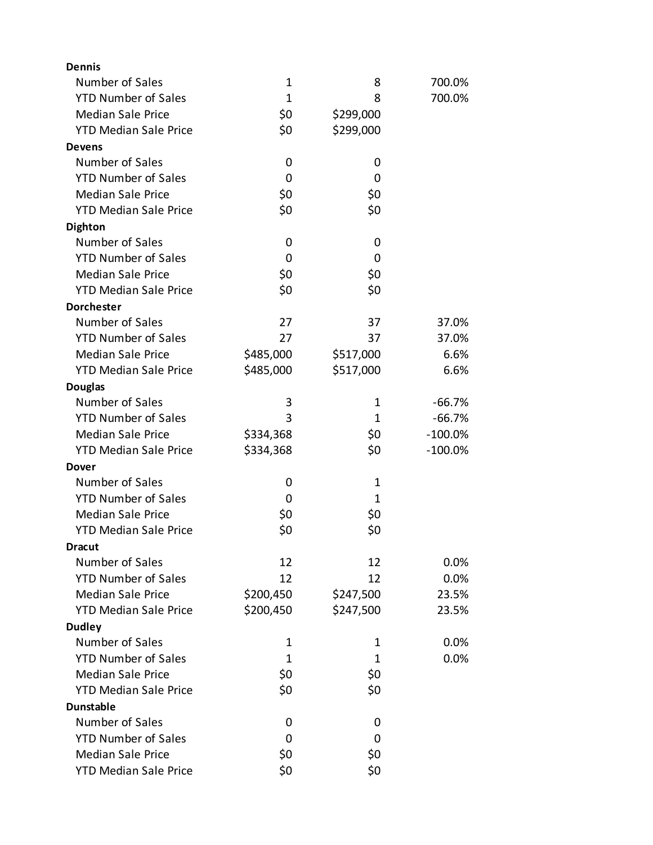| <b>Dennis</b>                |              |             |           |
|------------------------------|--------------|-------------|-----------|
| Number of Sales              | 1            | 8           | 700.0%    |
| <b>YTD Number of Sales</b>   | $\mathbf{1}$ | 8           | 700.0%    |
| <b>Median Sale Price</b>     | \$0          | \$299,000   |           |
| <b>YTD Median Sale Price</b> | \$0          | \$299,000   |           |
| <b>Devens</b>                |              |             |           |
| Number of Sales              | 0            | 0           |           |
| <b>YTD Number of Sales</b>   | 0            | 0           |           |
| <b>Median Sale Price</b>     | \$0          | \$0         |           |
| <b>YTD Median Sale Price</b> | \$0          | \$0         |           |
| <b>Dighton</b>               |              |             |           |
| Number of Sales              | 0            | 0           |           |
| <b>YTD Number of Sales</b>   | 0            | 0           |           |
| <b>Median Sale Price</b>     | \$0          | \$0         |           |
| <b>YTD Median Sale Price</b> | \$0          | \$0         |           |
| <b>Dorchester</b>            |              |             |           |
| Number of Sales              | 27           | 37          | 37.0%     |
| <b>YTD Number of Sales</b>   | 27           | 37          | 37.0%     |
| <b>Median Sale Price</b>     | \$485,000    | \$517,000   | 6.6%      |
| <b>YTD Median Sale Price</b> | \$485,000    | \$517,000   | 6.6%      |
| <b>Douglas</b>               |              |             |           |
| Number of Sales              | 3            | 1           | $-66.7%$  |
| <b>YTD Number of Sales</b>   | 3            | 1           | $-66.7%$  |
| <b>Median Sale Price</b>     | \$334,368    | \$0         | $-100.0%$ |
| <b>YTD Median Sale Price</b> | \$334,368    | \$0         | $-100.0%$ |
| Dover                        |              |             |           |
| Number of Sales              | 0            | $\mathbf 1$ |           |
| <b>YTD Number of Sales</b>   | 0            | 1           |           |
| <b>Median Sale Price</b>     | \$0          | \$0         |           |
| <b>YTD Median Sale Price</b> | \$0          | \$0         |           |
| <b>Dracut</b>                |              |             |           |
| Number of Sales              | 12           | 12          | 0.0%      |
| <b>YTD Number of Sales</b>   | 12           | 12          | 0.0%      |
| <b>Median Sale Price</b>     | \$200,450    | \$247,500   | 23.5%     |
| <b>YTD Median Sale Price</b> | \$200,450    | \$247,500   | 23.5%     |
| <b>Dudley</b>                |              |             |           |
| Number of Sales              | 1            | 1           | 0.0%      |
| <b>YTD Number of Sales</b>   | 1            | 1           | 0.0%      |
| <b>Median Sale Price</b>     | \$0          | \$0         |           |
| <b>YTD Median Sale Price</b> | \$0          | \$0         |           |
| <b>Dunstable</b>             |              |             |           |
| Number of Sales              | 0            | 0           |           |
| <b>YTD Number of Sales</b>   | 0            | 0           |           |
| <b>Median Sale Price</b>     | \$0          | \$0         |           |
| <b>YTD Median Sale Price</b> | \$0          | \$0         |           |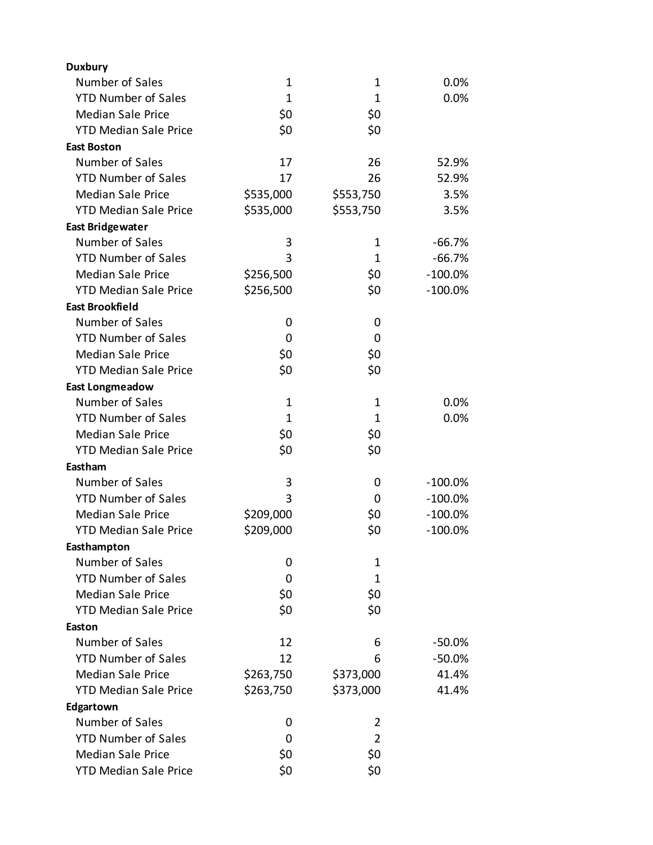| <b>Duxbury</b>               |              |                |            |
|------------------------------|--------------|----------------|------------|
| Number of Sales              | $\mathbf 1$  | 1              | 0.0%       |
| <b>YTD Number of Sales</b>   | $\mathbf{1}$ | $\mathbf{1}$   | 0.0%       |
| <b>Median Sale Price</b>     | \$0          | \$0            |            |
| <b>YTD Median Sale Price</b> | \$0          | \$0            |            |
| <b>East Boston</b>           |              |                |            |
| Number of Sales              | 17           | 26             | 52.9%      |
| <b>YTD Number of Sales</b>   | 17           | 26             | 52.9%      |
| <b>Median Sale Price</b>     | \$535,000    | \$553,750      | 3.5%       |
| <b>YTD Median Sale Price</b> | \$535,000    | \$553,750      | 3.5%       |
| <b>East Bridgewater</b>      |              |                |            |
| Number of Sales              | 3            | 1              | $-66.7%$   |
| <b>YTD Number of Sales</b>   | 3            | $\mathbf{1}$   | $-66.7%$   |
| <b>Median Sale Price</b>     | \$256,500    | \$0            | $-100.0%$  |
| <b>YTD Median Sale Price</b> | \$256,500    | \$0            | $-100.0%$  |
| <b>East Brookfield</b>       |              |                |            |
| Number of Sales              | 0            | 0              |            |
| <b>YTD Number of Sales</b>   | 0            | 0              |            |
| <b>Median Sale Price</b>     | \$0          | \$0            |            |
| <b>YTD Median Sale Price</b> | \$0          | \$0            |            |
| <b>East Longmeadow</b>       |              |                |            |
| Number of Sales              | $\mathbf 1$  | 1              | 0.0%       |
| <b>YTD Number of Sales</b>   | $\mathbf{1}$ | $\mathbf{1}$   | 0.0%       |
| <b>Median Sale Price</b>     | \$0          | \$0            |            |
| <b>YTD Median Sale Price</b> | \$0          | \$0            |            |
| Eastham                      |              |                |            |
| Number of Sales              | 3            | 0              | $-100.0\%$ |
| <b>YTD Number of Sales</b>   | 3            | 0              | $-100.0%$  |
| <b>Median Sale Price</b>     | \$209,000    | \$0            | $-100.0%$  |
| <b>YTD Median Sale Price</b> | \$209,000    | \$0            | $-100.0%$  |
| Easthampton                  |              |                |            |
| Number of Sales              | 0            | 1              |            |
| <b>YTD Number of Sales</b>   | 0            | $\mathbf{1}$   |            |
| <b>Median Sale Price</b>     | \$0          | \$0            |            |
| <b>YTD Median Sale Price</b> | \$0          | \$0            |            |
| Easton                       |              |                |            |
| Number of Sales              | 12           | 6              | $-50.0\%$  |
| <b>YTD Number of Sales</b>   | 12           | 6              | $-50.0%$   |
| <b>Median Sale Price</b>     | \$263,750    | \$373,000      | 41.4%      |
| <b>YTD Median Sale Price</b> | \$263,750    | \$373,000      | 41.4%      |
| Edgartown                    |              |                |            |
| Number of Sales              | 0            | 2              |            |
| <b>YTD Number of Sales</b>   | 0            | $\overline{2}$ |            |
| <b>Median Sale Price</b>     | \$0          | \$0            |            |
| <b>YTD Median Sale Price</b> | \$0          | \$0            |            |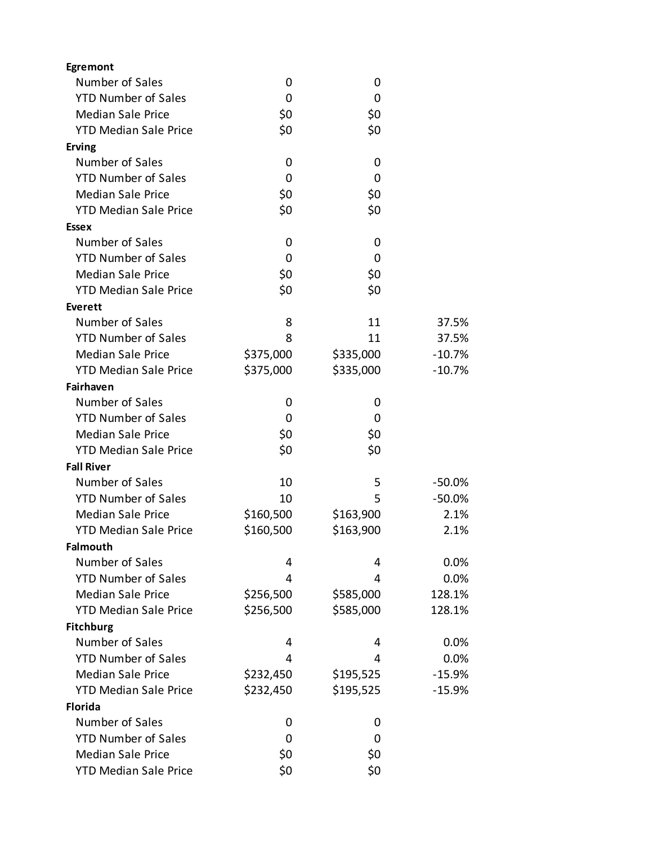| Egremont                     |           |           |          |
|------------------------------|-----------|-----------|----------|
| Number of Sales              | 0         | 0         |          |
| <b>YTD Number of Sales</b>   | 0         | 0         |          |
| <b>Median Sale Price</b>     | \$0       | \$0       |          |
| <b>YTD Median Sale Price</b> | \$0       | \$0       |          |
| <b>Erving</b>                |           |           |          |
| Number of Sales              | 0         | 0         |          |
| <b>YTD Number of Sales</b>   | 0         | 0         |          |
| <b>Median Sale Price</b>     | \$0       | \$0       |          |
| <b>YTD Median Sale Price</b> | \$0       | \$0       |          |
| <b>Essex</b>                 |           |           |          |
| Number of Sales              | 0         | 0         |          |
| <b>YTD Number of Sales</b>   | 0         | 0         |          |
| <b>Median Sale Price</b>     | \$0       | \$0       |          |
| <b>YTD Median Sale Price</b> | \$0       | \$0       |          |
| <b>Everett</b>               |           |           |          |
| Number of Sales              | 8         | 11        | 37.5%    |
| <b>YTD Number of Sales</b>   | 8         | 11        | 37.5%    |
| <b>Median Sale Price</b>     | \$375,000 | \$335,000 | $-10.7%$ |
| <b>YTD Median Sale Price</b> | \$375,000 | \$335,000 | $-10.7%$ |
| Fairhaven                    |           |           |          |
| Number of Sales              | 0         | 0         |          |
| <b>YTD Number of Sales</b>   | 0         | 0         |          |
| <b>Median Sale Price</b>     | \$0       | \$0       |          |
| <b>YTD Median Sale Price</b> | \$0       | \$0       |          |
| <b>Fall River</b>            |           |           |          |
| Number of Sales              | 10        | 5         | $-50.0%$ |
| <b>YTD Number of Sales</b>   | 10        | 5         | $-50.0%$ |
| <b>Median Sale Price</b>     | \$160,500 | \$163,900 | 2.1%     |
| <b>YTD Median Sale Price</b> | \$160,500 | \$163,900 | 2.1%     |
| <b>Falmouth</b>              |           |           |          |
| Number of Sales              | 4         | 4         | 0.0%     |
| <b>YTD Number of Sales</b>   | 4         | 4         | 0.0%     |
| <b>Median Sale Price</b>     | \$256,500 | \$585,000 | 128.1%   |
| <b>YTD Median Sale Price</b> | \$256,500 | \$585,000 | 128.1%   |
| <b>Fitchburg</b>             |           |           |          |
| Number of Sales              | 4         | 4         | 0.0%     |
| <b>YTD Number of Sales</b>   | 4         | 4         | 0.0%     |
| <b>Median Sale Price</b>     | \$232,450 | \$195,525 | $-15.9%$ |
| <b>YTD Median Sale Price</b> | \$232,450 | \$195,525 | $-15.9%$ |
| <b>Florida</b>               |           |           |          |
| Number of Sales              | 0         | 0         |          |
| <b>YTD Number of Sales</b>   | 0         | 0         |          |
| <b>Median Sale Price</b>     | \$0       | \$0       |          |
| <b>YTD Median Sale Price</b> | \$0       | \$0       |          |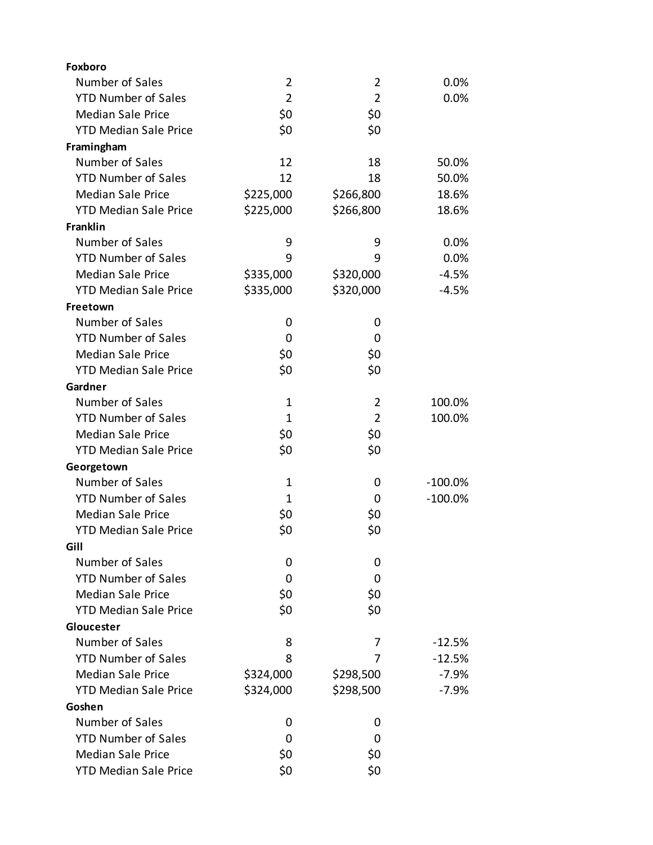| Foxboro                      |                |                |            |
|------------------------------|----------------|----------------|------------|
| Number of Sales              | $\overline{2}$ | $\overline{2}$ | 0.0%       |
| <b>YTD Number of Sales</b>   | $\overline{2}$ | $\overline{2}$ | 0.0%       |
| <b>Median Sale Price</b>     | \$0            | \$0            |            |
| <b>YTD Median Sale Price</b> | \$0            | \$0            |            |
| Framingham                   |                |                |            |
| Number of Sales              | 12             | 18             | 50.0%      |
| <b>YTD Number of Sales</b>   | 12             | 18             | 50.0%      |
| <b>Median Sale Price</b>     | \$225,000      | \$266,800      | 18.6%      |
| <b>YTD Median Sale Price</b> | \$225,000      | \$266,800      | 18.6%      |
| <b>Franklin</b>              |                |                |            |
| Number of Sales              | 9              | 9              | 0.0%       |
| <b>YTD Number of Sales</b>   | 9              | 9              | 0.0%       |
| <b>Median Sale Price</b>     | \$335,000      | \$320,000      | $-4.5%$    |
| <b>YTD Median Sale Price</b> | \$335,000      | \$320,000      | $-4.5%$    |
| Freetown                     |                |                |            |
| Number of Sales              | 0              | 0              |            |
| <b>YTD Number of Sales</b>   | 0              | 0              |            |
| <b>Median Sale Price</b>     | \$0            | \$0            |            |
| <b>YTD Median Sale Price</b> | \$0            | \$0            |            |
| Gardner                      |                |                |            |
| Number of Sales              | 1              | 2              | 100.0%     |
| <b>YTD Number of Sales</b>   | $\mathbf{1}$   | $\overline{2}$ | 100.0%     |
| <b>Median Sale Price</b>     | \$0            | \$0            |            |
| <b>YTD Median Sale Price</b> | \$0            | \$0            |            |
| Georgetown                   |                |                |            |
| Number of Sales              | $\mathbf 1$    | 0              | $-100.0\%$ |
| <b>YTD Number of Sales</b>   | 1              | 0              | $-100.0%$  |
| <b>Median Sale Price</b>     | \$0            | \$0            |            |
| <b>YTD Median Sale Price</b> | \$0            | \$0            |            |
| Gill                         |                |                |            |
| Number of Sales              | 0              | 0              |            |
| <b>YTD Number of Sales</b>   | 0              | 0              |            |
| <b>Median Sale Price</b>     | \$0            | \$0            |            |
| <b>YTD Median Sale Price</b> | \$0            | \$0            |            |
| Gloucester                   |                |                |            |
| Number of Sales              | 8              | 7              | $-12.5%$   |
| <b>YTD Number of Sales</b>   | 8              | 7              | $-12.5%$   |
| <b>Median Sale Price</b>     | \$324,000      | \$298,500      | $-7.9%$    |
| <b>YTD Median Sale Price</b> | \$324,000      | \$298,500      | $-7.9%$    |
| Goshen                       |                |                |            |
| Number of Sales              | 0              | 0              |            |
| <b>YTD Number of Sales</b>   | 0              | 0              |            |
| <b>Median Sale Price</b>     | \$0            | \$0            |            |
| <b>YTD Median Sale Price</b> | \$0            | \$0            |            |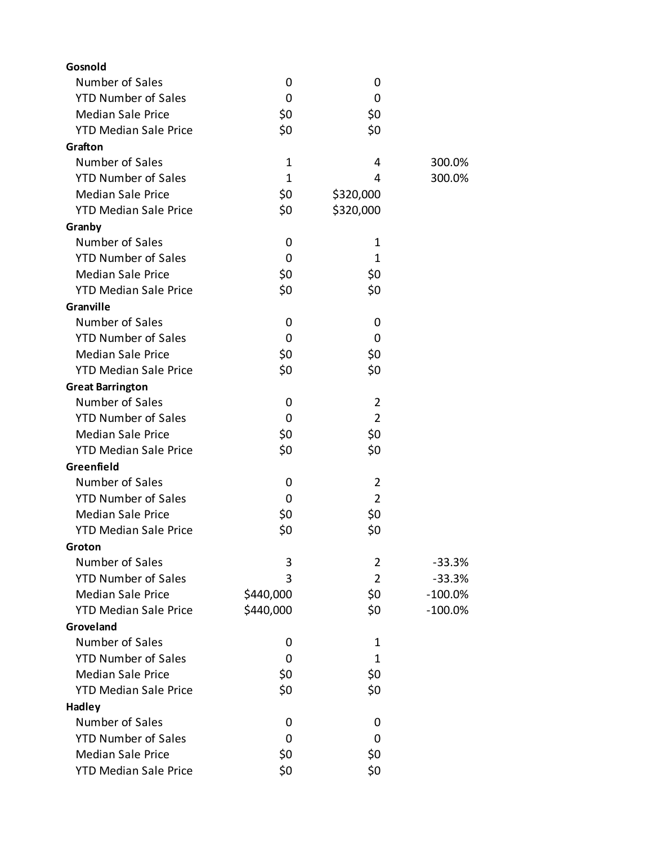| Gosnold                      |           |                |            |
|------------------------------|-----------|----------------|------------|
| Number of Sales              | 0         | 0              |            |
| <b>YTD Number of Sales</b>   | 0         | 0              |            |
| <b>Median Sale Price</b>     | \$0       | \$0            |            |
| <b>YTD Median Sale Price</b> | \$0       | \$0            |            |
| Grafton                      |           |                |            |
| Number of Sales              | 1         | 4              | 300.0%     |
| <b>YTD Number of Sales</b>   | 1         | 4              | 300.0%     |
| <b>Median Sale Price</b>     | \$0       | \$320,000      |            |
| <b>YTD Median Sale Price</b> | \$0       | \$320,000      |            |
| Granby                       |           |                |            |
| Number of Sales              | 0         | 1              |            |
| <b>YTD Number of Sales</b>   | 0         | 1              |            |
| <b>Median Sale Price</b>     | \$0       | \$0            |            |
| <b>YTD Median Sale Price</b> | \$0       | \$0            |            |
| Granville                    |           |                |            |
| Number of Sales              | 0         | 0              |            |
| <b>YTD Number of Sales</b>   | 0         | 0              |            |
| <b>Median Sale Price</b>     | \$0       | \$0            |            |
| <b>YTD Median Sale Price</b> | \$0       | \$0            |            |
| <b>Great Barrington</b>      |           |                |            |
| Number of Sales              | 0         | $\overline{2}$ |            |
| <b>YTD Number of Sales</b>   | 0         | $\overline{2}$ |            |
| <b>Median Sale Price</b>     | \$0       | \$0            |            |
| <b>YTD Median Sale Price</b> | \$0       | \$0            |            |
| Greenfield                   |           |                |            |
| Number of Sales              | 0         | $\overline{2}$ |            |
| <b>YTD Number of Sales</b>   | 0         | $\overline{2}$ |            |
| <b>Median Sale Price</b>     | \$0       | \$0            |            |
| <b>YTD Median Sale Price</b> | \$0       | \$0            |            |
| Groton                       |           |                |            |
| Number of Sales              | 3         | 2              | $-33.3%$   |
| <b>YTD Number of Sales</b>   | 3         | $\overline{2}$ | $-33.3%$   |
| <b>Median Sale Price</b>     | \$440,000 | \$0            | $-100.0\%$ |
| <b>YTD Median Sale Price</b> | \$440,000 | \$0            | $-100.0\%$ |
| Groveland                    |           |                |            |
| Number of Sales              | 0         | 1              |            |
| <b>YTD Number of Sales</b>   | 0         | 1              |            |
| <b>Median Sale Price</b>     | \$0       | \$0            |            |
| <b>YTD Median Sale Price</b> | \$0       | \$0            |            |
| <b>Hadley</b>                |           |                |            |
| Number of Sales              | 0         | 0              |            |
| <b>YTD Number of Sales</b>   | 0         | 0              |            |
| <b>Median Sale Price</b>     | \$0       | \$0            |            |
| <b>YTD Median Sale Price</b> | \$0       | \$0            |            |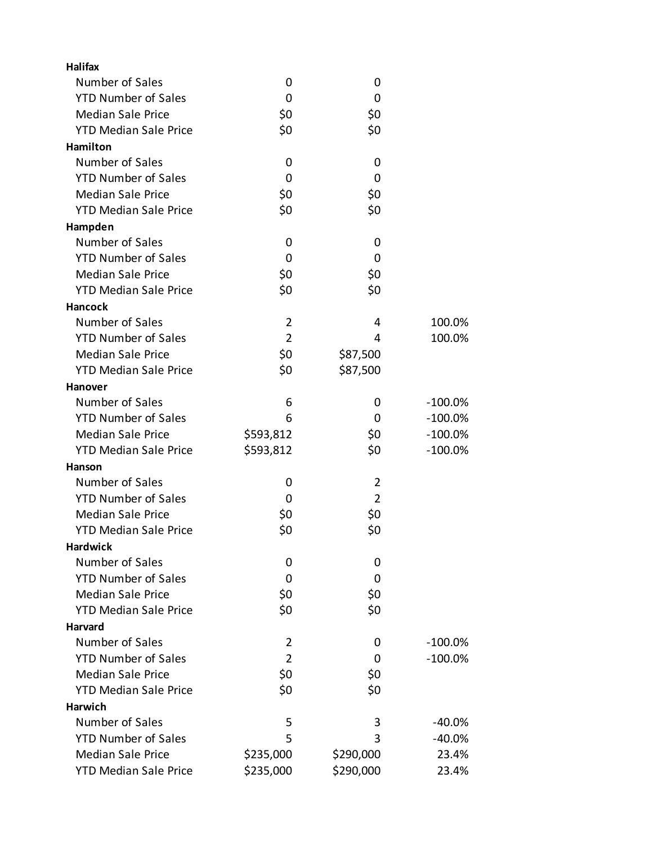| <b>Halifax</b>               |                |                |            |
|------------------------------|----------------|----------------|------------|
| Number of Sales              | 0              | 0              |            |
| <b>YTD Number of Sales</b>   | 0              | 0              |            |
| <b>Median Sale Price</b>     | \$0            | \$0            |            |
| <b>YTD Median Sale Price</b> | \$0            | \$0            |            |
| Hamilton                     |                |                |            |
| Number of Sales              | 0              | 0              |            |
| <b>YTD Number of Sales</b>   | 0              | 0              |            |
| <b>Median Sale Price</b>     | \$0            | \$0            |            |
| <b>YTD Median Sale Price</b> | \$0            | \$0            |            |
| Hampden                      |                |                |            |
| Number of Sales              | 0              | 0              |            |
| <b>YTD Number of Sales</b>   | 0              | 0              |            |
| <b>Median Sale Price</b>     | \$0            | \$0            |            |
| <b>YTD Median Sale Price</b> | \$0            | \$0            |            |
| <b>Hancock</b>               |                |                |            |
| Number of Sales              | $\overline{2}$ | 4              | 100.0%     |
| <b>YTD Number of Sales</b>   | $\overline{2}$ | 4              | 100.0%     |
| <b>Median Sale Price</b>     | \$0            | \$87,500       |            |
| <b>YTD Median Sale Price</b> | \$0            | \$87,500       |            |
| <b>Hanover</b>               |                |                |            |
| Number of Sales              | 6              | 0              | $-100.0\%$ |
| <b>YTD Number of Sales</b>   | 6              | 0              | $-100.0%$  |
| <b>Median Sale Price</b>     | \$593,812      | \$0            | $-100.0%$  |
| <b>YTD Median Sale Price</b> | \$593,812      | \$0            | $-100.0\%$ |
| Hanson                       |                |                |            |
| Number of Sales              | 0              | $\overline{2}$ |            |
| <b>YTD Number of Sales</b>   | 0              | $\overline{2}$ |            |
| <b>Median Sale Price</b>     | \$0            | \$0            |            |
| <b>YTD Median Sale Price</b> | \$0            | \$0            |            |
| <b>Hardwick</b>              |                |                |            |
| Number of Sales              | 0              | 0              |            |
| <b>YTD Number of Sales</b>   | 0              | 0              |            |
| <b>Median Sale Price</b>     | \$0            | \$0            |            |
| <b>YTD Median Sale Price</b> | \$0            | \$0            |            |
| Harvard                      |                |                |            |
| Number of Sales              | $\overline{2}$ | 0              | $-100.0%$  |
| <b>YTD Number of Sales</b>   | $\overline{2}$ | 0              | $-100.0\%$ |
| <b>Median Sale Price</b>     | \$0            | \$0            |            |
| <b>YTD Median Sale Price</b> | \$0            | \$0            |            |
| Harwich                      |                |                |            |
| Number of Sales              | 5              | 3              | -40.0%     |
| <b>YTD Number of Sales</b>   | 5              | 3              | $-40.0%$   |
| <b>Median Sale Price</b>     | \$235,000      | \$290,000      | 23.4%      |
| <b>YTD Median Sale Price</b> | \$235,000      | \$290,000      | 23.4%      |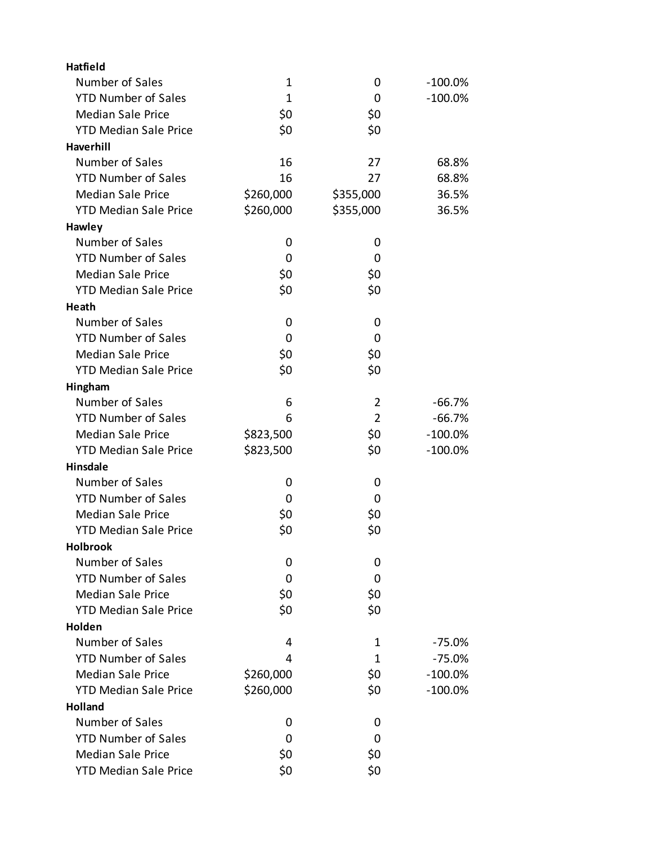| <b>Hatfield</b>              |              |                |            |
|------------------------------|--------------|----------------|------------|
| Number of Sales              | $\mathbf{1}$ | 0              | $-100.0\%$ |
| <b>YTD Number of Sales</b>   | $\mathbf{1}$ | 0              | $-100.0\%$ |
| <b>Median Sale Price</b>     | \$0          | \$0            |            |
| <b>YTD Median Sale Price</b> | \$0          | \$0            |            |
| <b>Haverhill</b>             |              |                |            |
| Number of Sales              | 16           | 27             | 68.8%      |
| <b>YTD Number of Sales</b>   | 16           | 27             | 68.8%      |
| <b>Median Sale Price</b>     | \$260,000    | \$355,000      | 36.5%      |
| <b>YTD Median Sale Price</b> | \$260,000    | \$355,000      | 36.5%      |
| Hawley                       |              |                |            |
| Number of Sales              | 0            | 0              |            |
| <b>YTD Number of Sales</b>   | 0            | 0              |            |
| <b>Median Sale Price</b>     | \$0          | \$0            |            |
| <b>YTD Median Sale Price</b> | \$0          | \$0            |            |
| Heath                        |              |                |            |
| Number of Sales              | 0            | 0              |            |
| <b>YTD Number of Sales</b>   | 0            | 0              |            |
| <b>Median Sale Price</b>     | \$0          | \$0            |            |
| <b>YTD Median Sale Price</b> | \$0          | \$0            |            |
| Hingham                      |              |                |            |
| Number of Sales              | 6            | 2              | $-66.7%$   |
| <b>YTD Number of Sales</b>   | 6            | $\overline{2}$ | $-66.7%$   |
| <b>Median Sale Price</b>     | \$823,500    | \$0            | $-100.0%$  |
| <b>YTD Median Sale Price</b> | \$823,500    | \$0            | $-100.0%$  |
| <b>Hinsdale</b>              |              |                |            |
| Number of Sales              | 0            | 0              |            |
| <b>YTD Number of Sales</b>   | 0            | 0              |            |
| <b>Median Sale Price</b>     | \$0          | \$0            |            |
| <b>YTD Median Sale Price</b> | \$0          | \$0            |            |
| <b>Holbrook</b>              |              |                |            |
| Number of Sales              | 0            | 0              |            |
| <b>YTD Number of Sales</b>   | 0            | 0              |            |
| <b>Median Sale Price</b>     | \$0          | \$0            |            |
| <b>YTD Median Sale Price</b> | \$0          | \$0            |            |
| Holden                       |              |                |            |
| Number of Sales              | 4            | 1              | $-75.0%$   |
| <b>YTD Number of Sales</b>   | 4            | 1              | $-75.0%$   |
| <b>Median Sale Price</b>     | \$260,000    | \$0            | $-100.0\%$ |
| <b>YTD Median Sale Price</b> | \$260,000    | \$0            | $-100.0\%$ |
| Holland                      |              |                |            |
| Number of Sales              | 0            | 0              |            |
| <b>YTD Number of Sales</b>   | 0            | 0              |            |
| <b>Median Sale Price</b>     | \$0          | \$0            |            |
| <b>YTD Median Sale Price</b> | \$0          | \$0            |            |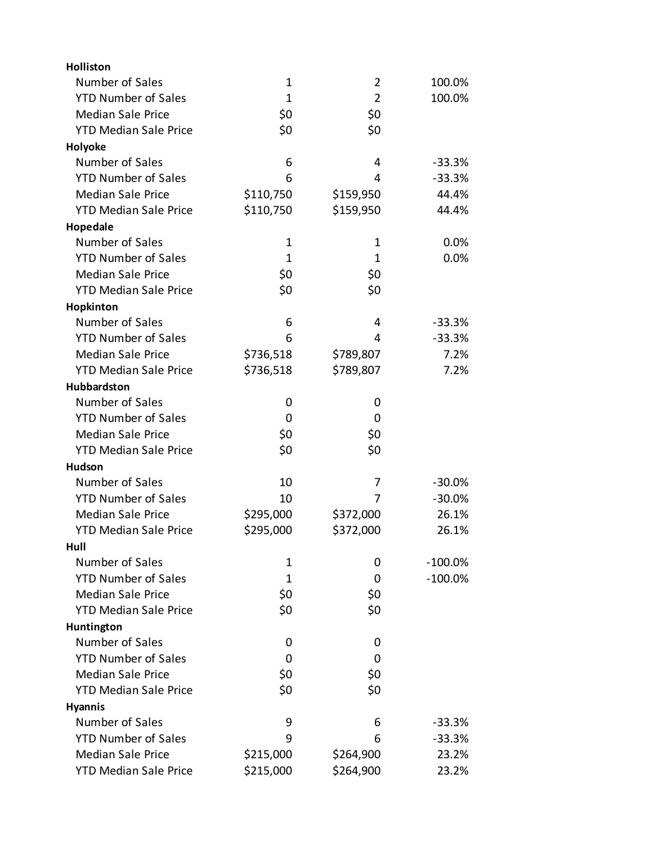| Holliston                    |              |                |            |
|------------------------------|--------------|----------------|------------|
| Number of Sales              | $\mathbf{1}$ | $\overline{2}$ | 100.0%     |
| <b>YTD Number of Sales</b>   | $\mathbf{1}$ | $\overline{2}$ | 100.0%     |
| <b>Median Sale Price</b>     | \$0          | \$0            |            |
| <b>YTD Median Sale Price</b> | \$0          | \$0            |            |
| Holyoke                      |              |                |            |
| Number of Sales              | 6            | 4              | $-33.3%$   |
| <b>YTD Number of Sales</b>   | 6            | 4              | $-33.3%$   |
| <b>Median Sale Price</b>     | \$110,750    | \$159,950      | 44.4%      |
| <b>YTD Median Sale Price</b> | \$110,750    | \$159,950      | 44.4%      |
| Hopedale                     |              |                |            |
| Number of Sales              | $\mathbf 1$  | $\mathbf 1$    | 0.0%       |
| <b>YTD Number of Sales</b>   | $\mathbf{1}$ | 1              | 0.0%       |
| <b>Median Sale Price</b>     | \$0          | \$0            |            |
| <b>YTD Median Sale Price</b> | \$0          | \$0            |            |
| Hopkinton                    |              |                |            |
| Number of Sales              | 6            | 4              | $-33.3%$   |
| <b>YTD Number of Sales</b>   | 6            | 4              | $-33.3%$   |
| <b>Median Sale Price</b>     | \$736,518    | \$789,807      | 7.2%       |
| <b>YTD Median Sale Price</b> | \$736,518    | \$789,807      | 7.2%       |
| Hubbardston                  |              |                |            |
| Number of Sales              | 0            | 0              |            |
| <b>YTD Number of Sales</b>   | 0            | 0              |            |
| <b>Median Sale Price</b>     | \$0          | \$0            |            |
| <b>YTD Median Sale Price</b> | \$0          | \$0            |            |
| Hudson                       |              |                |            |
| Number of Sales              | 10           | 7              | $-30.0%$   |
| <b>YTD Number of Sales</b>   | 10           | 7              | $-30.0%$   |
| <b>Median Sale Price</b>     | \$295,000    | \$372,000      | 26.1%      |
| <b>YTD Median Sale Price</b> | \$295,000    | \$372,000      | 26.1%      |
| Hull                         |              |                |            |
| Number of Sales              | $\mathbf{1}$ | 0              | $-100.0\%$ |
| <b>YTD Number of Sales</b>   | 1            | 0              | $-100.0\%$ |
| <b>Median Sale Price</b>     | \$0          | \$0            |            |
| <b>YTD Median Sale Price</b> | \$0          | \$0            |            |
| Huntington                   |              |                |            |
| Number of Sales              | 0            | 0              |            |
| <b>YTD Number of Sales</b>   | 0            | 0              |            |
| <b>Median Sale Price</b>     | \$0          | \$0            |            |
| <b>YTD Median Sale Price</b> | \$0          | \$0            |            |
| <b>Hyannis</b>               |              |                |            |
| Number of Sales              | 9            | 6              | $-33.3%$   |
| <b>YTD Number of Sales</b>   | 9            | 6              | $-33.3%$   |
| <b>Median Sale Price</b>     | \$215,000    | \$264,900      | 23.2%      |
| <b>YTD Median Sale Price</b> | \$215,000    | \$264,900      | 23.2%      |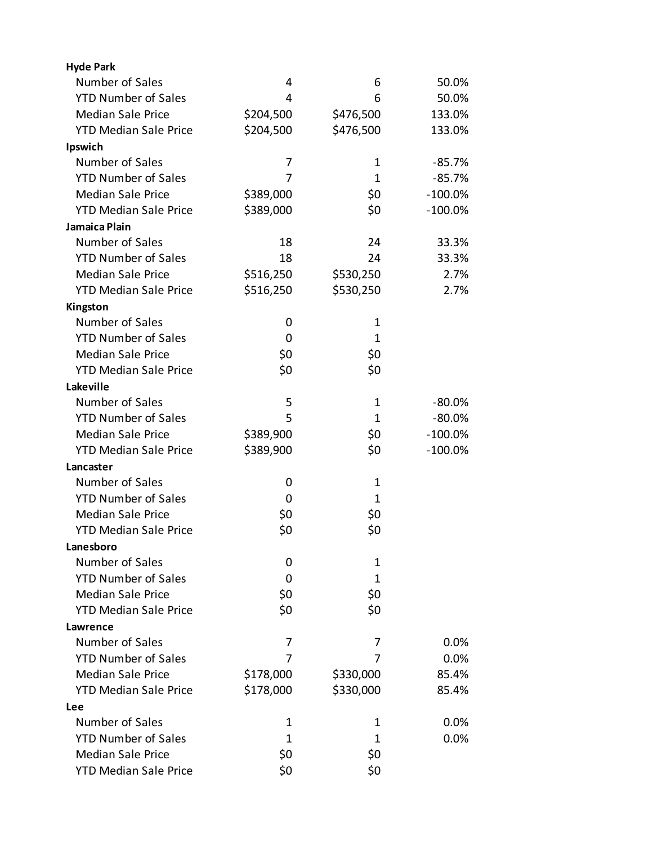| <b>Hyde Park</b>             |           |              |            |
|------------------------------|-----------|--------------|------------|
| Number of Sales              | 4         | 6            | 50.0%      |
| <b>YTD Number of Sales</b>   | 4         | 6            | 50.0%      |
| <b>Median Sale Price</b>     | \$204,500 | \$476,500    | 133.0%     |
| <b>YTD Median Sale Price</b> | \$204,500 | \$476,500    | 133.0%     |
| Ipswich                      |           |              |            |
| Number of Sales              | 7         | 1            | $-85.7%$   |
| <b>YTD Number of Sales</b>   | 7         | 1            | $-85.7%$   |
| <b>Median Sale Price</b>     | \$389,000 | \$0          | $-100.0%$  |
| <b>YTD Median Sale Price</b> | \$389,000 | \$0          | $-100.0\%$ |
| Jamaica Plain                |           |              |            |
| Number of Sales              | 18        | 24           | 33.3%      |
| <b>YTD Number of Sales</b>   | 18        | 24           | 33.3%      |
| <b>Median Sale Price</b>     | \$516,250 | \$530,250    | 2.7%       |
| <b>YTD Median Sale Price</b> | \$516,250 | \$530,250    | 2.7%       |
| Kingston                     |           |              |            |
| Number of Sales              | 0         | 1            |            |
| <b>YTD Number of Sales</b>   | 0         | $\mathbf{1}$ |            |
| <b>Median Sale Price</b>     | \$0       | \$0          |            |
| <b>YTD Median Sale Price</b> | \$0       | \$0          |            |
| Lakeville                    |           |              |            |
| Number of Sales              | 5         | 1            | $-80.0\%$  |
| <b>YTD Number of Sales</b>   | 5         | $\mathbf 1$  | $-80.0%$   |
| <b>Median Sale Price</b>     | \$389,900 | \$0          | $-100.0%$  |
| <b>YTD Median Sale Price</b> | \$389,900 | \$0          | $-100.0%$  |
| Lancaster                    |           |              |            |
| Number of Sales              | 0         | 1            |            |
| <b>YTD Number of Sales</b>   | 0         | $\mathbf 1$  |            |
| <b>Median Sale Price</b>     | \$0       | \$0          |            |
| <b>YTD Median Sale Price</b> | \$0       | \$0          |            |
| Lanesboro                    |           |              |            |
| Number of Sales              | 0         | 1            |            |
| <b>YTD Number of Sales</b>   | 0         | 1            |            |
| <b>Median Sale Price</b>     | \$0       | \$0          |            |
| <b>YTD Median Sale Price</b> | \$0       | \$0          |            |
| Lawrence                     |           |              |            |
| Number of Sales              | 7         | 7            | 0.0%       |
| <b>YTD Number of Sales</b>   | 7         | 7            | 0.0%       |
| <b>Median Sale Price</b>     | \$178,000 | \$330,000    | 85.4%      |
| <b>YTD Median Sale Price</b> | \$178,000 | \$330,000    | 85.4%      |
| <b>Lee</b>                   |           |              |            |
| Number of Sales              | 1         | 1            | 0.0%       |
| <b>YTD Number of Sales</b>   | 1         | 1            | 0.0%       |
| <b>Median Sale Price</b>     | \$0       | \$0          |            |
| <b>YTD Median Sale Price</b> | \$0       | \$0          |            |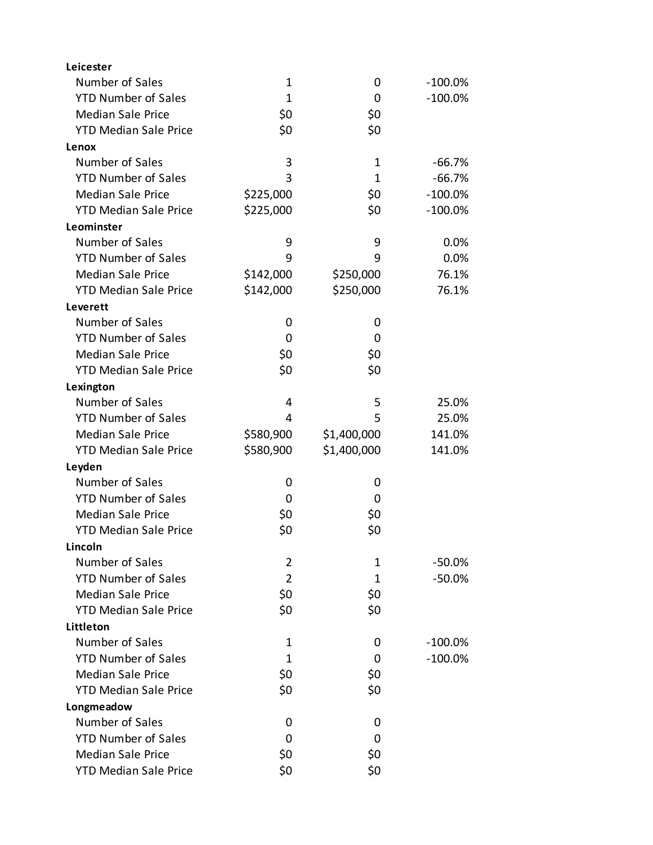| Leicester                    |                |             |            |
|------------------------------|----------------|-------------|------------|
| Number of Sales              | 1              | 0           | $-100.0\%$ |
| <b>YTD Number of Sales</b>   | $\mathbf{1}$   | 0           | $-100.0%$  |
| <b>Median Sale Price</b>     | \$0            | \$0         |            |
| <b>YTD Median Sale Price</b> | \$0            | \$0         |            |
| Lenox                        |                |             |            |
| Number of Sales              | 3              | 1           | $-66.7%$   |
| <b>YTD Number of Sales</b>   | 3              | 1           | $-66.7%$   |
| <b>Median Sale Price</b>     | \$225,000      | \$0         | $-100.0\%$ |
| <b>YTD Median Sale Price</b> | \$225,000      | \$0         | $-100.0%$  |
| Leominster                   |                |             |            |
| Number of Sales              | 9              | 9           | 0.0%       |
| <b>YTD Number of Sales</b>   | 9              | 9           | 0.0%       |
| <b>Median Sale Price</b>     | \$142,000      | \$250,000   | 76.1%      |
| <b>YTD Median Sale Price</b> | \$142,000      | \$250,000   | 76.1%      |
| Leverett                     |                |             |            |
| Number of Sales              | 0              | 0           |            |
| <b>YTD Number of Sales</b>   | 0              | 0           |            |
| <b>Median Sale Price</b>     | \$0            | \$0         |            |
| <b>YTD Median Sale Price</b> | \$0            | \$0         |            |
| Lexington                    |                |             |            |
| Number of Sales              | 4              | 5           | 25.0%      |
| <b>YTD Number of Sales</b>   | 4              | 5           | 25.0%      |
| <b>Median Sale Price</b>     | \$580,900      | \$1,400,000 | 141.0%     |
| <b>YTD Median Sale Price</b> | \$580,900      | \$1,400,000 | 141.0%     |
| Leyden                       |                |             |            |
| Number of Sales              | 0              | 0           |            |
| <b>YTD Number of Sales</b>   | 0              | 0           |            |
| <b>Median Sale Price</b>     | \$0            | \$0         |            |
| <b>YTD Median Sale Price</b> | \$0            | \$0         |            |
| Lincoln                      |                |             |            |
| Number of Sales              | $\overline{2}$ | 1           | $-50.0%$   |
| <b>YTD Number of Sales</b>   | $\overline{2}$ | 1           | $-50.0%$   |
| <b>Median Sale Price</b>     | \$0            | \$0         |            |
| <b>YTD Median Sale Price</b> | \$0            | \$0         |            |
| Littleton                    |                |             |            |
| Number of Sales              | 1              | 0           | $-100.0\%$ |
| <b>YTD Number of Sales</b>   | 1              | 0           | $-100.0%$  |
| <b>Median Sale Price</b>     | \$0            | \$0         |            |
| <b>YTD Median Sale Price</b> | \$0            | \$0         |            |
| Longmeadow                   |                |             |            |
| Number of Sales              | 0              | 0           |            |
| <b>YTD Number of Sales</b>   | 0              | 0           |            |
| <b>Median Sale Price</b>     | \$0            | \$0         |            |
| <b>YTD Median Sale Price</b> | \$0            | \$0         |            |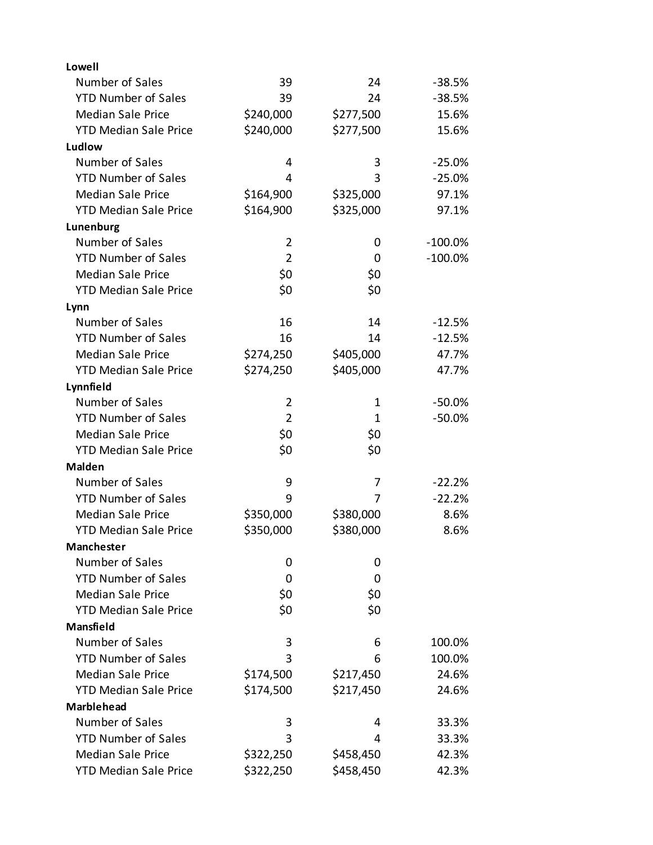| Lowell                       |                |           |            |
|------------------------------|----------------|-----------|------------|
| Number of Sales              | 39             | 24        | $-38.5%$   |
| <b>YTD Number of Sales</b>   | 39             | 24        | $-38.5%$   |
| <b>Median Sale Price</b>     | \$240,000      | \$277,500 | 15.6%      |
| <b>YTD Median Sale Price</b> | \$240,000      | \$277,500 | 15.6%      |
| Ludlow                       |                |           |            |
| Number of Sales              | 4              | 3         | $-25.0%$   |
| <b>YTD Number of Sales</b>   | 4              | 3         | $-25.0%$   |
| <b>Median Sale Price</b>     | \$164,900      | \$325,000 | 97.1%      |
| <b>YTD Median Sale Price</b> | \$164,900      | \$325,000 | 97.1%      |
| Lunenburg                    |                |           |            |
| Number of Sales              | $\overline{2}$ | 0         | $-100.0%$  |
| <b>YTD Number of Sales</b>   | $\overline{2}$ | 0         | $-100.0\%$ |
| <b>Median Sale Price</b>     | \$0            | \$0       |            |
| <b>YTD Median Sale Price</b> | \$0            | \$0       |            |
| Lynn                         |                |           |            |
| Number of Sales              | 16             | 14        | $-12.5%$   |
| <b>YTD Number of Sales</b>   | 16             | 14        | $-12.5%$   |
| <b>Median Sale Price</b>     | \$274,250      | \$405,000 | 47.7%      |
| <b>YTD Median Sale Price</b> | \$274,250      | \$405,000 | 47.7%      |
| Lynnfield                    |                |           |            |
| Number of Sales              | $\overline{2}$ | 1         | $-50.0%$   |
| <b>YTD Number of Sales</b>   | $\overline{2}$ | 1         | $-50.0%$   |
| <b>Median Sale Price</b>     | \$0            | \$0       |            |
| <b>YTD Median Sale Price</b> | \$0            | \$0       |            |
| <b>Malden</b>                |                |           |            |
| Number of Sales              | 9              | 7         | $-22.2%$   |
| <b>YTD Number of Sales</b>   | 9              | 7         | $-22.2%$   |
| <b>Median Sale Price</b>     | \$350,000      | \$380,000 | 8.6%       |
| <b>YTD Median Sale Price</b> | \$350,000      | \$380,000 | 8.6%       |
| Manchester                   |                |           |            |
| Number of Sales              | 0              | 0         |            |
| <b>YTD Number of Sales</b>   | 0              | 0         |            |
| <b>Median Sale Price</b>     | \$0            | \$0       |            |
| <b>YTD Median Sale Price</b> | \$0            | \$0       |            |
| Mansfield                    |                |           |            |
| Number of Sales              | 3              | 6         | 100.0%     |
| <b>YTD Number of Sales</b>   | 3              | 6         | 100.0%     |
| <b>Median Sale Price</b>     | \$174,500      | \$217,450 | 24.6%      |
| <b>YTD Median Sale Price</b> | \$174,500      | \$217,450 | 24.6%      |
| <b>Marblehead</b>            |                |           |            |
| Number of Sales              | 3              | 4         | 33.3%      |
| <b>YTD Number of Sales</b>   | 3              | 4         | 33.3%      |
| <b>Median Sale Price</b>     | \$322,250      | \$458,450 | 42.3%      |
| <b>YTD Median Sale Price</b> | \$322,250      | \$458,450 | 42.3%      |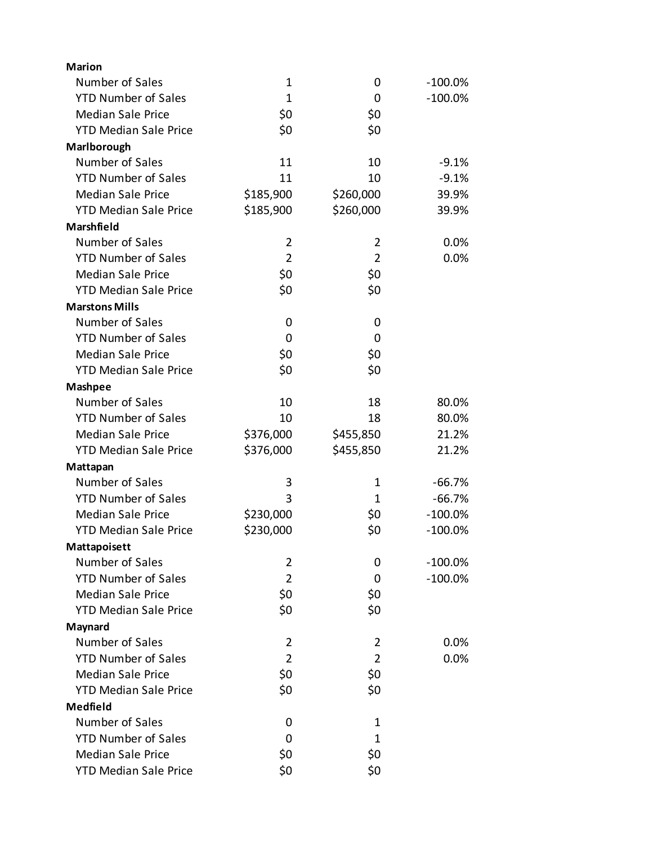| <b>Marion</b>                |                |                |            |
|------------------------------|----------------|----------------|------------|
| Number of Sales              | $\mathbf 1$    | 0              | $-100.0\%$ |
| <b>YTD Number of Sales</b>   | $\mathbf{1}$   | 0              | $-100.0%$  |
| <b>Median Sale Price</b>     | \$0            | \$0            |            |
| <b>YTD Median Sale Price</b> | \$0            | \$0            |            |
| Marlborough                  |                |                |            |
| Number of Sales              | 11             | 10             | $-9.1%$    |
| <b>YTD Number of Sales</b>   | 11             | 10             | $-9.1%$    |
| <b>Median Sale Price</b>     | \$185,900      | \$260,000      | 39.9%      |
| <b>YTD Median Sale Price</b> | \$185,900      | \$260,000      | 39.9%      |
| Marshfield                   |                |                |            |
| Number of Sales              | $\overline{2}$ | 2              | 0.0%       |
| <b>YTD Number of Sales</b>   | $\overline{2}$ | $\overline{2}$ | 0.0%       |
| <b>Median Sale Price</b>     | \$0            | \$0            |            |
| <b>YTD Median Sale Price</b> | \$0            | \$0            |            |
| <b>Marstons Mills</b>        |                |                |            |
| Number of Sales              | 0              | 0              |            |
| <b>YTD Number of Sales</b>   | 0              | 0              |            |
| <b>Median Sale Price</b>     | \$0            | \$0            |            |
| <b>YTD Median Sale Price</b> | \$0            | \$0            |            |
| <b>Mashpee</b>               |                |                |            |
| Number of Sales              | 10             | 18             | 80.0%      |
| <b>YTD Number of Sales</b>   | 10             | 18             | 80.0%      |
| <b>Median Sale Price</b>     | \$376,000      | \$455,850      | 21.2%      |
| <b>YTD Median Sale Price</b> | \$376,000      | \$455,850      | 21.2%      |
| Mattapan                     |                |                |            |
| Number of Sales              | 3              | 1              | $-66.7%$   |
| <b>YTD Number of Sales</b>   | 3              | 1              | $-66.7%$   |
| <b>Median Sale Price</b>     | \$230,000      | \$0            | $-100.0%$  |
| <b>YTD Median Sale Price</b> | \$230,000      | \$0            | $-100.0%$  |
| Mattapoisett                 |                |                |            |
| Number of Sales              | $\overline{2}$ | 0              | $-100.0\%$ |
| <b>YTD Number of Sales</b>   | $\overline{2}$ | 0              | $-100.0\%$ |
| <b>Median Sale Price</b>     | \$0            | \$0            |            |
| <b>YTD Median Sale Price</b> | \$0            | \$0            |            |
| Maynard                      |                |                |            |
| Number of Sales              | $\overline{2}$ | 2              | 0.0%       |
| <b>YTD Number of Sales</b>   | $\overline{2}$ | $\overline{2}$ | 0.0%       |
| <b>Median Sale Price</b>     | \$0            | \$0            |            |
| <b>YTD Median Sale Price</b> | \$0            | \$0            |            |
| <b>Medfield</b>              |                |                |            |
| Number of Sales              | 0              | 1              |            |
| <b>YTD Number of Sales</b>   | 0              | $\mathbf{1}$   |            |
| <b>Median Sale Price</b>     | \$0            | \$0            |            |
| <b>YTD Median Sale Price</b> | \$0            | \$0            |            |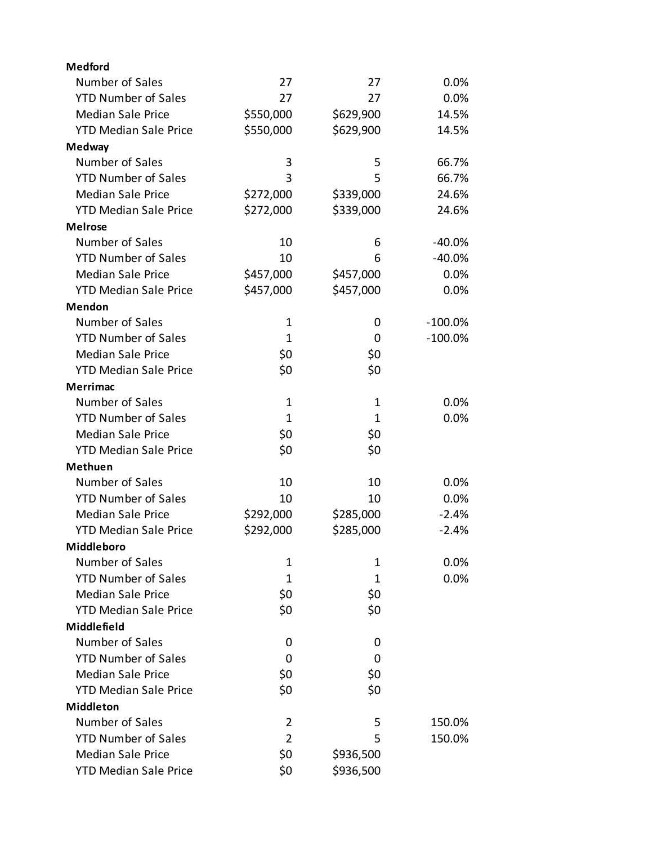| <b>Medford</b>               |                |              |            |
|------------------------------|----------------|--------------|------------|
| Number of Sales              | 27             | 27           | 0.0%       |
| <b>YTD Number of Sales</b>   | 27             | 27           | 0.0%       |
| <b>Median Sale Price</b>     | \$550,000      | \$629,900    | 14.5%      |
| <b>YTD Median Sale Price</b> | \$550,000      | \$629,900    | 14.5%      |
| <b>Medway</b>                |                |              |            |
| Number of Sales              | 3              | 5            | 66.7%      |
| <b>YTD Number of Sales</b>   | 3              | 5            | 66.7%      |
| <b>Median Sale Price</b>     | \$272,000      | \$339,000    | 24.6%      |
| <b>YTD Median Sale Price</b> | \$272,000      | \$339,000    | 24.6%      |
| <b>Melrose</b>               |                |              |            |
| Number of Sales              | 10             | 6            | $-40.0%$   |
| <b>YTD Number of Sales</b>   | 10             | 6            | $-40.0%$   |
| <b>Median Sale Price</b>     | \$457,000      | \$457,000    | 0.0%       |
| <b>YTD Median Sale Price</b> | \$457,000      | \$457,000    | 0.0%       |
| <b>Mendon</b>                |                |              |            |
| Number of Sales              | $\mathbf 1$    | 0            | $-100.0\%$ |
| <b>YTD Number of Sales</b>   | 1              | 0            | $-100.0\%$ |
| <b>Median Sale Price</b>     | \$0            | \$0          |            |
| <b>YTD Median Sale Price</b> | \$0            | \$0          |            |
| <b>Merrimac</b>              |                |              |            |
| Number of Sales              | 1              | 1            | 0.0%       |
| <b>YTD Number of Sales</b>   | $\mathbf{1}$   | $\mathbf{1}$ | 0.0%       |
| <b>Median Sale Price</b>     | \$0            | \$0          |            |
| <b>YTD Median Sale Price</b> | \$0            | \$0          |            |
| <b>Methuen</b>               |                |              |            |
| Number of Sales              | 10             | 10           | 0.0%       |
| <b>YTD Number of Sales</b>   | 10             | 10           | 0.0%       |
| <b>Median Sale Price</b>     | \$292,000      | \$285,000    | $-2.4%$    |
| <b>YTD Median Sale Price</b> | \$292,000      | \$285,000    | $-2.4%$    |
| Middleboro                   |                |              |            |
| Number of Sales              | 1              | 1            | 0.0%       |
| <b>YTD Number of Sales</b>   | $\mathbf{1}$   | 1            | 0.0%       |
| <b>Median Sale Price</b>     | \$0            | \$0          |            |
| <b>YTD Median Sale Price</b> | \$0            | \$0          |            |
| Middlefield                  |                |              |            |
| Number of Sales              | 0              | 0            |            |
| <b>YTD Number of Sales</b>   | 0              | 0            |            |
| <b>Median Sale Price</b>     | \$0            | \$0          |            |
| <b>YTD Median Sale Price</b> | \$0            | \$0          |            |
| <b>Middleton</b>             |                |              |            |
| Number of Sales              | $\overline{2}$ | 5            | 150.0%     |
| <b>YTD Number of Sales</b>   | $\overline{2}$ | 5            | 150.0%     |
| <b>Median Sale Price</b>     | \$0            | \$936,500    |            |
| <b>YTD Median Sale Price</b> | \$0            | \$936,500    |            |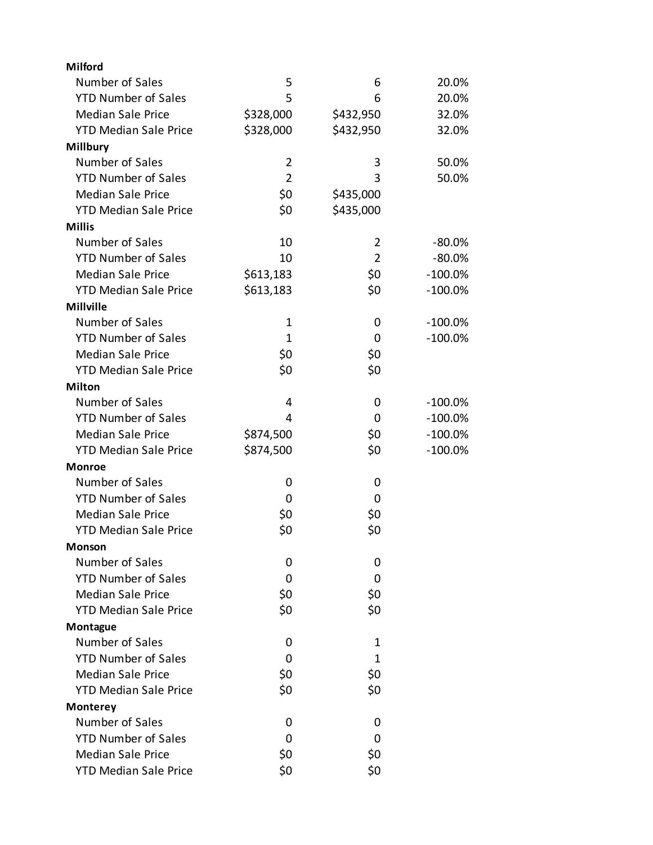| Milford                      |                |                |           |
|------------------------------|----------------|----------------|-----------|
| Number of Sales              | 5              | 6              | 20.0%     |
| <b>YTD Number of Sales</b>   | 5              | 6              | 20.0%     |
| <b>Median Sale Price</b>     | \$328,000      | \$432,950      | 32.0%     |
| <b>YTD Median Sale Price</b> | \$328,000      | \$432,950      | 32.0%     |
| <b>Millbury</b>              |                |                |           |
| Number of Sales              | 2              | 3              | 50.0%     |
| <b>YTD Number of Sales</b>   | $\overline{2}$ | 3              | 50.0%     |
| <b>Median Sale Price</b>     | \$0            | \$435,000      |           |
| <b>YTD Median Sale Price</b> | \$0            | \$435,000      |           |
| <b>Millis</b>                |                |                |           |
| Number of Sales              | 10             | 2              | $-80.0%$  |
| <b>YTD Number of Sales</b>   | 10             | $\overline{2}$ | $-80.0%$  |
| <b>Median Sale Price</b>     | \$613,183      | \$0            | $-100.0%$ |
| <b>YTD Median Sale Price</b> | \$613,183      | \$0            | $-100.0%$ |
| <b>Millville</b>             |                |                |           |
| Number of Sales              | $\mathbf{1}$   | 0              | $-100.0%$ |
| <b>YTD Number of Sales</b>   | $\mathbf{1}$   | 0              | $-100.0%$ |
| <b>Median Sale Price</b>     | \$0            | \$0            |           |
| <b>YTD Median Sale Price</b> | \$0            | \$0            |           |
| <b>Milton</b>                |                |                |           |
| Number of Sales              | 4              | 0              | $-100.0%$ |
| <b>YTD Number of Sales</b>   | 4              | 0              | $-100.0%$ |
| <b>Median Sale Price</b>     | \$874,500      | \$0            | $-100.0%$ |
| <b>YTD Median Sale Price</b> | \$874,500      | \$0            | $-100.0%$ |
| <b>Monroe</b>                |                |                |           |
| Number of Sales              | 0              | 0              |           |
| <b>YTD Number of Sales</b>   | 0              | 0              |           |
| <b>Median Sale Price</b>     | \$0            | \$0            |           |
| <b>YTD Median Sale Price</b> | \$0            | \$0            |           |
| Monson                       |                |                |           |
| Number of Sales              | 0              | 0              |           |
| <b>YTD Number of Sales</b>   | 0              | 0              |           |
| <b>Median Sale Price</b>     | \$0            | \$0            |           |
| <b>YTD Median Sale Price</b> | \$0            | \$0            |           |
| Montague                     |                |                |           |
| Number of Sales              | 0              | 1              |           |
| <b>YTD Number of Sales</b>   | 0              | 1              |           |
| <b>Median Sale Price</b>     | \$0            | \$0            |           |
| <b>YTD Median Sale Price</b> | \$0            | \$0            |           |
| Monterey                     |                |                |           |
| Number of Sales              | 0              | 0              |           |
| <b>YTD Number of Sales</b>   | 0              | 0              |           |
| <b>Median Sale Price</b>     | \$0            | \$0            |           |
| <b>YTD Median Sale Price</b> | \$0            | \$0            |           |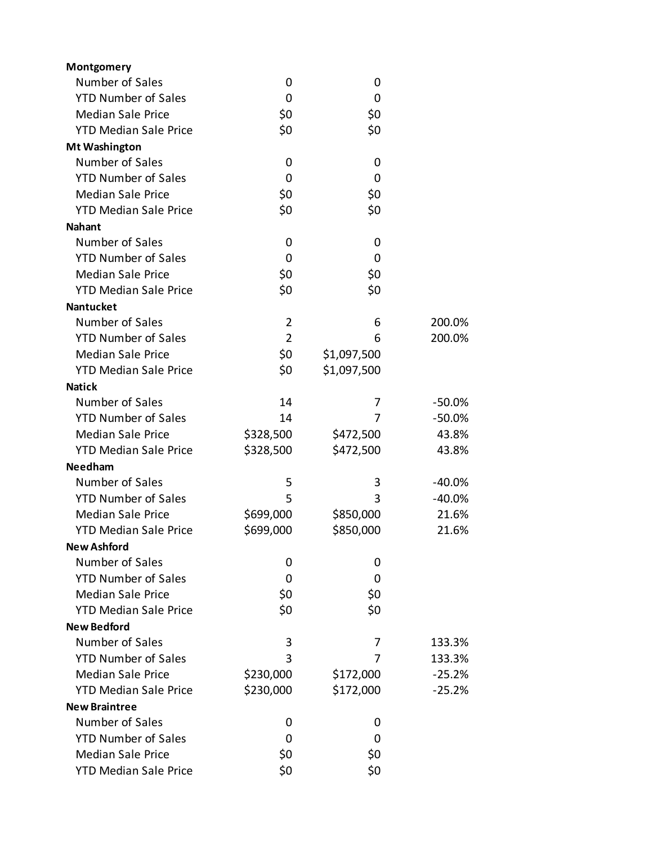| Montgomery                   |                |             |          |
|------------------------------|----------------|-------------|----------|
| Number of Sales              | 0              | 0           |          |
| <b>YTD Number of Sales</b>   | 0              | 0           |          |
| <b>Median Sale Price</b>     | \$0            | \$0         |          |
| <b>YTD Median Sale Price</b> | \$0            | \$0         |          |
| <b>Mt Washington</b>         |                |             |          |
| Number of Sales              | 0              | 0           |          |
| <b>YTD Number of Sales</b>   | 0              | 0           |          |
| <b>Median Sale Price</b>     | \$0            | \$0         |          |
| <b>YTD Median Sale Price</b> | \$0            | \$0         |          |
| <b>Nahant</b>                |                |             |          |
| Number of Sales              | 0              | 0           |          |
| <b>YTD Number of Sales</b>   | 0              | 0           |          |
| <b>Median Sale Price</b>     | \$0            | \$0         |          |
| <b>YTD Median Sale Price</b> | \$0            | \$0         |          |
| <b>Nantucket</b>             |                |             |          |
| Number of Sales              | $\overline{2}$ | 6           | 200.0%   |
| <b>YTD Number of Sales</b>   | $\overline{2}$ | 6           | 200.0%   |
| <b>Median Sale Price</b>     | \$0            | \$1,097,500 |          |
| <b>YTD Median Sale Price</b> | \$0            | \$1,097,500 |          |
| <b>Natick</b>                |                |             |          |
| Number of Sales              | 14             | 7           | $-50.0%$ |
| <b>YTD Number of Sales</b>   | 14             | 7           | $-50.0%$ |
| <b>Median Sale Price</b>     | \$328,500      | \$472,500   | 43.8%    |
| <b>YTD Median Sale Price</b> | \$328,500      | \$472,500   | 43.8%    |
| <b>Needham</b>               |                |             |          |
| Number of Sales              | 5              | 3           | $-40.0%$ |
| <b>YTD Number of Sales</b>   | 5              | 3           | $-40.0%$ |
| <b>Median Sale Price</b>     | \$699,000      | \$850,000   | 21.6%    |
| <b>YTD Median Sale Price</b> | \$699,000      | \$850,000   | 21.6%    |
| <b>New Ashford</b>           |                |             |          |
| Number of Sales              | 0              | 0           |          |
| <b>YTD Number of Sales</b>   | 0              | 0           |          |
| <b>Median Sale Price</b>     | \$0            | \$0         |          |
| <b>YTD Median Sale Price</b> | \$0            | \$0         |          |
| <b>New Bedford</b>           |                |             |          |
| Number of Sales              | 3              | 7           | 133.3%   |
| <b>YTD Number of Sales</b>   | 3              | 7           | 133.3%   |
| <b>Median Sale Price</b>     | \$230,000      | \$172,000   | $-25.2%$ |
| <b>YTD Median Sale Price</b> | \$230,000      | \$172,000   | $-25.2%$ |
| <b>New Braintree</b>         |                |             |          |
| Number of Sales              | 0              | 0           |          |
| <b>YTD Number of Sales</b>   | 0              | 0           |          |
| <b>Median Sale Price</b>     | \$0            | \$0         |          |
| <b>YTD Median Sale Price</b> | \$0            | \$0         |          |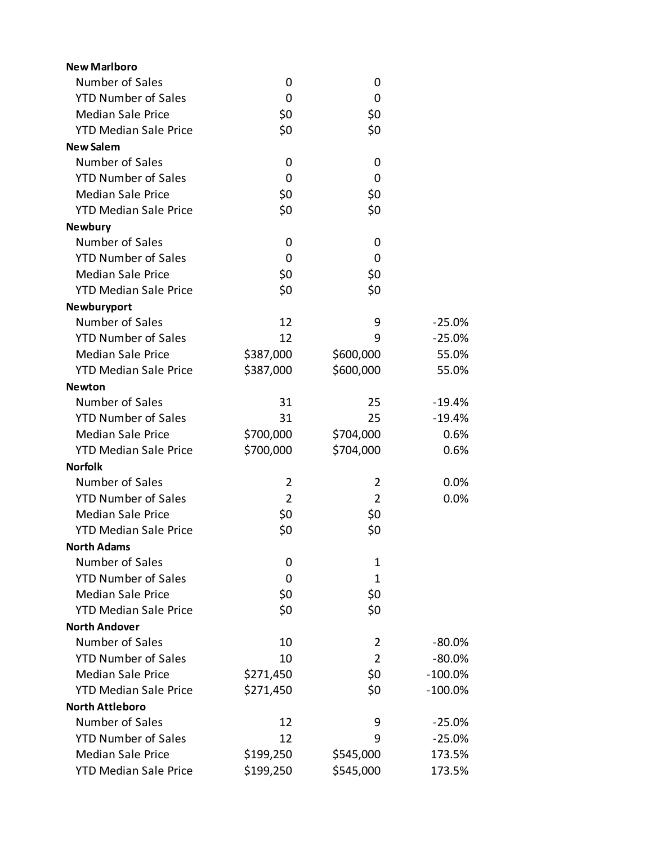| <b>New Marlboro</b>          |                |                |           |
|------------------------------|----------------|----------------|-----------|
| Number of Sales              | 0              | 0              |           |
| <b>YTD Number of Sales</b>   | 0              | 0              |           |
| <b>Median Sale Price</b>     | \$0            | \$0            |           |
| <b>YTD Median Sale Price</b> | \$0            | \$0            |           |
| <b>New Salem</b>             |                |                |           |
| Number of Sales              | 0              | 0              |           |
| <b>YTD Number of Sales</b>   | 0              | 0              |           |
| <b>Median Sale Price</b>     | \$0            | \$0            |           |
| <b>YTD Median Sale Price</b> | \$0            | \$0            |           |
| <b>Newbury</b>               |                |                |           |
| Number of Sales              | 0              | 0              |           |
| <b>YTD Number of Sales</b>   | 0              | 0              |           |
| <b>Median Sale Price</b>     | \$0            | \$0            |           |
| <b>YTD Median Sale Price</b> | \$0            | \$0            |           |
| Newburyport                  |                |                |           |
| Number of Sales              | 12             | 9              | $-25.0%$  |
| <b>YTD Number of Sales</b>   | 12             | 9              | $-25.0%$  |
| <b>Median Sale Price</b>     | \$387,000      | \$600,000      | 55.0%     |
| <b>YTD Median Sale Price</b> | \$387,000      | \$600,000      | 55.0%     |
| <b>Newton</b>                |                |                |           |
| Number of Sales              | 31             | 25             | $-19.4%$  |
| <b>YTD Number of Sales</b>   | 31             | 25             | $-19.4%$  |
| <b>Median Sale Price</b>     | \$700,000      | \$704,000      | 0.6%      |
| <b>YTD Median Sale Price</b> | \$700,000      | \$704,000      | 0.6%      |
| <b>Norfolk</b>               |                |                |           |
| Number of Sales              | $\overline{2}$ | 2              | 0.0%      |
| <b>YTD Number of Sales</b>   | $\overline{2}$ | $\overline{2}$ | 0.0%      |
| <b>Median Sale Price</b>     | \$0            | \$0            |           |
| <b>YTD Median Sale Price</b> | \$0            | \$0            |           |
| <b>North Adams</b>           |                |                |           |
| Number of Sales              | 0              | 1              |           |
| <b>YTD Number of Sales</b>   | 0              | 1              |           |
| <b>Median Sale Price</b>     | \$0            | \$0            |           |
| <b>YTD Median Sale Price</b> | \$0            | \$0            |           |
| <b>North Andover</b>         |                |                |           |
| Number of Sales              | 10             | 2              | $-80.0%$  |
| <b>YTD Number of Sales</b>   | 10             | $\overline{2}$ | $-80.0%$  |
| <b>Median Sale Price</b>     | \$271,450      | \$0            | $-100.0%$ |
| <b>YTD Median Sale Price</b> | \$271,450      | \$0            | $-100.0%$ |
| <b>North Attleboro</b>       |                |                |           |
| Number of Sales              | 12             | 9              | $-25.0%$  |
| <b>YTD Number of Sales</b>   | 12             | 9              | $-25.0%$  |
| <b>Median Sale Price</b>     | \$199,250      | \$545,000      | 173.5%    |
| <b>YTD Median Sale Price</b> | \$199,250      | \$545,000      | 173.5%    |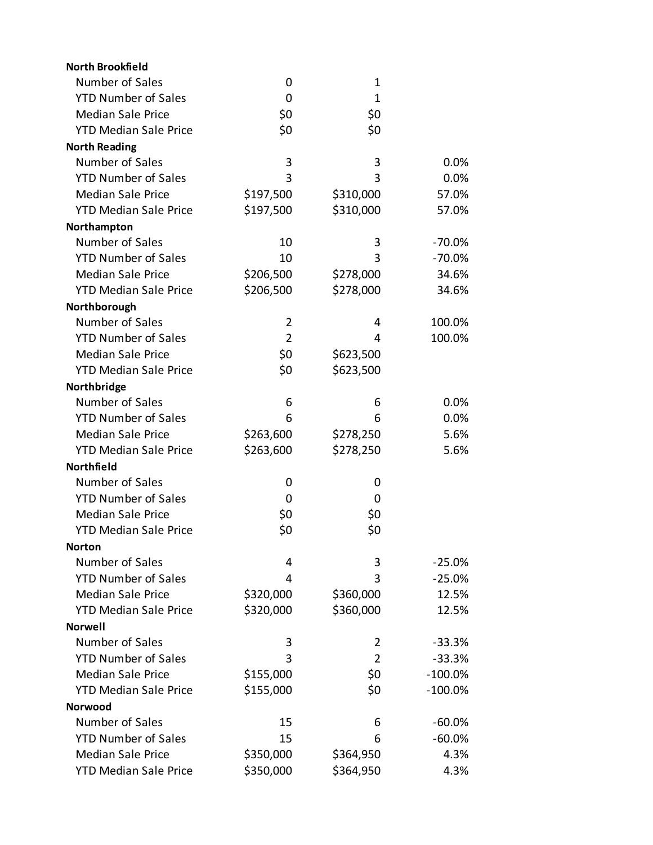| <b>North Brookfield</b>      |                |                |           |
|------------------------------|----------------|----------------|-----------|
| Number of Sales              | 0              | 1              |           |
| <b>YTD Number of Sales</b>   | 0              | 1              |           |
| <b>Median Sale Price</b>     | \$0            | \$0            |           |
| <b>YTD Median Sale Price</b> | \$0            | \$0            |           |
| <b>North Reading</b>         |                |                |           |
| Number of Sales              | 3              | 3              | 0.0%      |
| <b>YTD Number of Sales</b>   | 3              | 3              | 0.0%      |
| <b>Median Sale Price</b>     | \$197,500      | \$310,000      | 57.0%     |
| <b>YTD Median Sale Price</b> | \$197,500      | \$310,000      | 57.0%     |
| Northampton                  |                |                |           |
| Number of Sales              | 10             | 3              | $-70.0%$  |
| <b>YTD Number of Sales</b>   | 10             | 3              | $-70.0%$  |
| <b>Median Sale Price</b>     | \$206,500      | \$278,000      | 34.6%     |
| <b>YTD Median Sale Price</b> | \$206,500      | \$278,000      | 34.6%     |
| Northborough                 |                |                |           |
| Number of Sales              | 2              | 4              | 100.0%    |
| <b>YTD Number of Sales</b>   | $\overline{2}$ | 4              | 100.0%    |
| <b>Median Sale Price</b>     | \$0            | \$623,500      |           |
| <b>YTD Median Sale Price</b> | \$0            | \$623,500      |           |
| Northbridge                  |                |                |           |
| Number of Sales              | 6              | 6              | 0.0%      |
| <b>YTD Number of Sales</b>   | 6              | 6              | 0.0%      |
| <b>Median Sale Price</b>     | \$263,600      | \$278,250      | 5.6%      |
| <b>YTD Median Sale Price</b> | \$263,600      | \$278,250      | 5.6%      |
| Northfield                   |                |                |           |
| Number of Sales              | 0              | 0              |           |
| <b>YTD Number of Sales</b>   | 0              | 0              |           |
| <b>Median Sale Price</b>     | \$0            | \$0            |           |
| <b>YTD Median Sale Price</b> | \$0            | \$0            |           |
| <b>Norton</b>                |                |                |           |
| Number of Sales              | 4              | 3              | $-25.0%$  |
| <b>YTD Number of Sales</b>   | 4              | 3              | $-25.0%$  |
| <b>Median Sale Price</b>     | \$320,000      | \$360,000      | 12.5%     |
| <b>YTD Median Sale Price</b> | \$320,000      | \$360,000      | 12.5%     |
| <b>Norwell</b>               |                |                |           |
| Number of Sales              | 3              | 2              | $-33.3%$  |
| <b>YTD Number of Sales</b>   | 3              | $\overline{2}$ | $-33.3%$  |
| <b>Median Sale Price</b>     | \$155,000      | \$0            | $-100.0%$ |
| <b>YTD Median Sale Price</b> | \$155,000      | \$0            | $-100.0%$ |
| <b>Norwood</b>               |                |                |           |
| Number of Sales              | 15             | 6              | $-60.0%$  |
| <b>YTD Number of Sales</b>   | 15             | 6              | $-60.0%$  |
| <b>Median Sale Price</b>     | \$350,000      | \$364,950      | 4.3%      |
| <b>YTD Median Sale Price</b> | \$350,000      | \$364,950      | 4.3%      |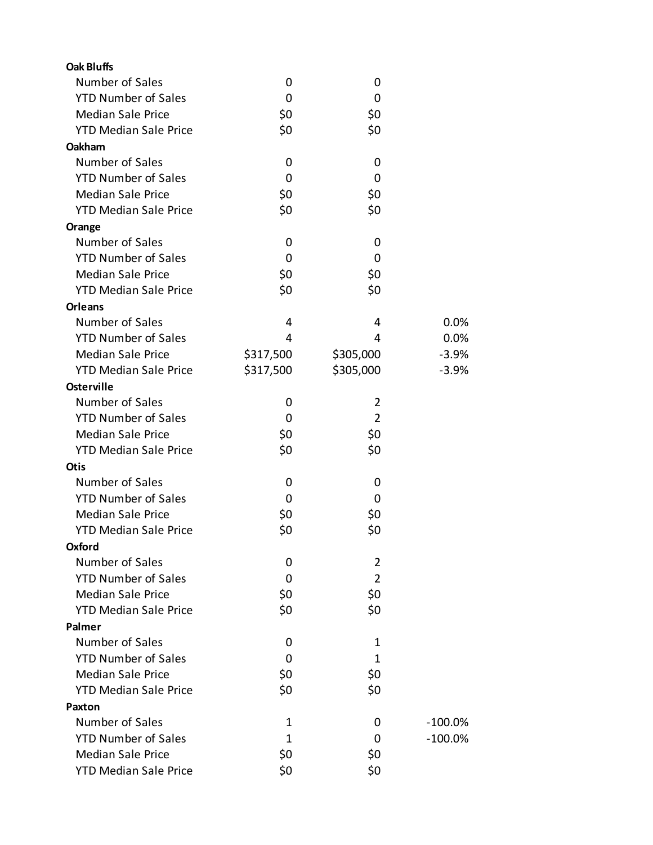| <b>Oak Bluffs</b>            |           |                |           |
|------------------------------|-----------|----------------|-----------|
| Number of Sales              | 0         | 0              |           |
| <b>YTD Number of Sales</b>   | 0         | 0              |           |
| <b>Median Sale Price</b>     | \$0       | \$0            |           |
| <b>YTD Median Sale Price</b> | \$0       | \$0            |           |
| Oakham                       |           |                |           |
| Number of Sales              | 0         | 0              |           |
| <b>YTD Number of Sales</b>   | 0         | 0              |           |
| <b>Median Sale Price</b>     | \$0       | \$0            |           |
| <b>YTD Median Sale Price</b> | \$0       | \$0            |           |
| Orange                       |           |                |           |
| Number of Sales              | 0         | 0              |           |
| <b>YTD Number of Sales</b>   | 0         | 0              |           |
| <b>Median Sale Price</b>     | \$0       | \$0            |           |
| <b>YTD Median Sale Price</b> | \$0       | \$0            |           |
| <b>Orleans</b>               |           |                |           |
| Number of Sales              | 4         | 4              | 0.0%      |
| <b>YTD Number of Sales</b>   | 4         | 4              | 0.0%      |
| <b>Median Sale Price</b>     | \$317,500 | \$305,000      | $-3.9%$   |
| <b>YTD Median Sale Price</b> | \$317,500 | \$305,000      | $-3.9%$   |
| <b>Osterville</b>            |           |                |           |
| Number of Sales              | 0         | $\overline{2}$ |           |
| <b>YTD Number of Sales</b>   | 0         | $\overline{2}$ |           |
| <b>Median Sale Price</b>     | \$0       | \$0            |           |
| <b>YTD Median Sale Price</b> | \$0       | \$0            |           |
| <b>Otis</b>                  |           |                |           |
| Number of Sales              | 0         | 0              |           |
| <b>YTD Number of Sales</b>   | 0         | 0              |           |
| <b>Median Sale Price</b>     | \$0       | \$0            |           |
| <b>YTD Median Sale Price</b> | \$0       | \$0            |           |
| Oxford                       |           |                |           |
| Number of Sales              | 0         | 2              |           |
| <b>YTD Number of Sales</b>   | 0         | $\overline{2}$ |           |
| <b>Median Sale Price</b>     | \$0       | \$0            |           |
| <b>YTD Median Sale Price</b> | \$0       | \$0            |           |
| Palmer                       |           |                |           |
| Number of Sales              | 0         | 1              |           |
| <b>YTD Number of Sales</b>   | $\Omega$  | 1              |           |
| <b>Median Sale Price</b>     | \$0       | \$0            |           |
| <b>YTD Median Sale Price</b> | \$0       | \$0            |           |
| Paxton                       |           |                |           |
| Number of Sales              | 1         | 0              | $-100.0%$ |
| <b>YTD Number of Sales</b>   | 1         | 0              | $-100.0%$ |
| <b>Median Sale Price</b>     | \$0       | \$0            |           |
| <b>YTD Median Sale Price</b> | \$0       | \$0            |           |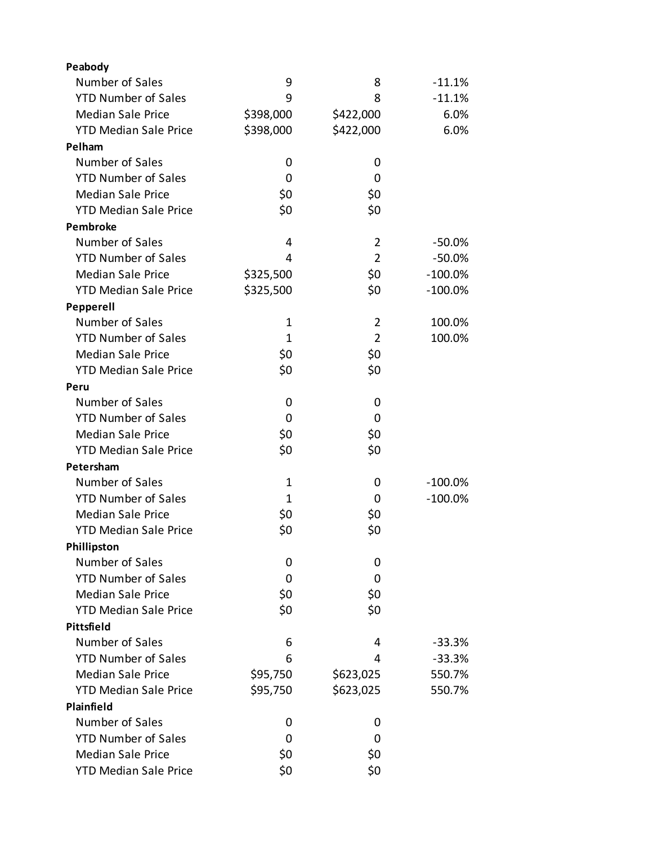| Peabody                      |              |                |            |
|------------------------------|--------------|----------------|------------|
| Number of Sales              | 9            | 8              | $-11.1%$   |
| <b>YTD Number of Sales</b>   | 9            | 8              | $-11.1%$   |
| <b>Median Sale Price</b>     | \$398,000    | \$422,000      | 6.0%       |
| <b>YTD Median Sale Price</b> | \$398,000    | \$422,000      | 6.0%       |
| Pelham                       |              |                |            |
| Number of Sales              | 0            | 0              |            |
| <b>YTD Number of Sales</b>   | 0            | 0              |            |
| <b>Median Sale Price</b>     | \$0          | \$0            |            |
| <b>YTD Median Sale Price</b> | \$0          | \$0            |            |
| <b>Pembroke</b>              |              |                |            |
| Number of Sales              | 4            | $\overline{2}$ | $-50.0%$   |
| <b>YTD Number of Sales</b>   | 4            | $\overline{2}$ | $-50.0%$   |
| <b>Median Sale Price</b>     | \$325,500    | \$0            | $-100.0\%$ |
| <b>YTD Median Sale Price</b> | \$325,500    | \$0            | $-100.0\%$ |
| Pepperell                    |              |                |            |
| Number of Sales              | 1            | 2              | 100.0%     |
| <b>YTD Number of Sales</b>   | $\mathbf{1}$ | $\overline{2}$ | 100.0%     |
| <b>Median Sale Price</b>     | \$0          | \$0            |            |
| <b>YTD Median Sale Price</b> | \$0          | \$0            |            |
| Peru                         |              |                |            |
| Number of Sales              | 0            | 0              |            |
| <b>YTD Number of Sales</b>   | 0            | 0              |            |
| <b>Median Sale Price</b>     | \$0          | \$0            |            |
| <b>YTD Median Sale Price</b> | \$0          | \$0            |            |
| Petersham                    |              |                |            |
| Number of Sales              | 1            | 0              | $-100.0\%$ |
| <b>YTD Number of Sales</b>   | 1            | 0              | $-100.0\%$ |
| <b>Median Sale Price</b>     | \$0          | \$0            |            |
| <b>YTD Median Sale Price</b> | \$0          | \$0            |            |
| Phillipston                  |              |                |            |
| Number of Sales              | 0            | 0              |            |
| <b>YTD Number of Sales</b>   | 0            | 0              |            |
| <b>Median Sale Price</b>     | \$0          | \$0            |            |
| <b>YTD Median Sale Price</b> | \$0          | \$0            |            |
| Pittsfield                   |              |                |            |
| Number of Sales              | 6            | 4              | $-33.3%$   |
| <b>YTD Number of Sales</b>   | 6            | 4              | $-33.3%$   |
| <b>Median Sale Price</b>     | \$95,750     | \$623,025      | 550.7%     |
| <b>YTD Median Sale Price</b> | \$95,750     | \$623,025      | 550.7%     |
| Plainfield                   |              |                |            |
| Number of Sales              | 0            | 0              |            |
| <b>YTD Number of Sales</b>   | 0            | 0              |            |
| <b>Median Sale Price</b>     | \$0          | \$0            |            |
| <b>YTD Median Sale Price</b> | \$0          | \$0            |            |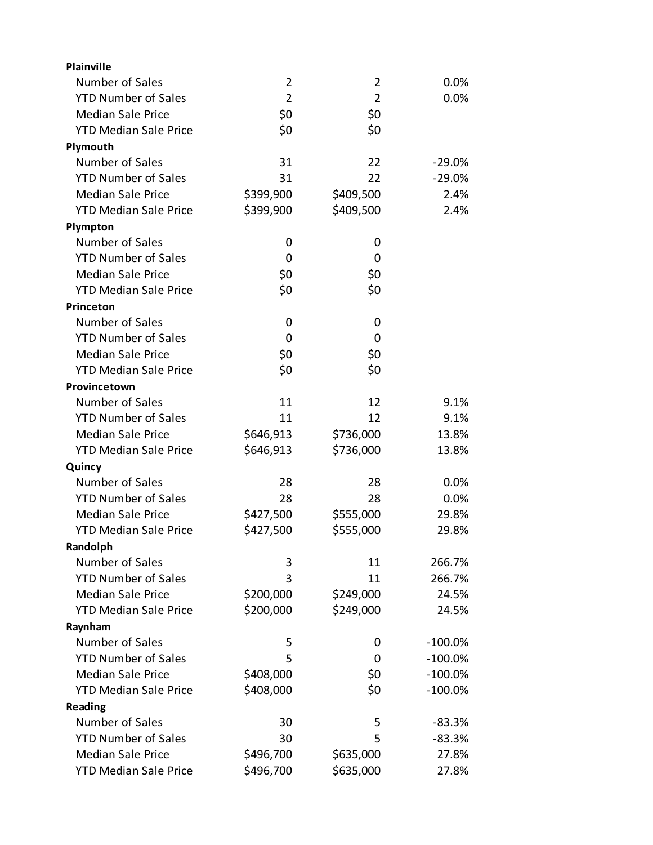| Plainville                   |                |                |           |
|------------------------------|----------------|----------------|-----------|
| Number of Sales              | 2              | 2              | 0.0%      |
| <b>YTD Number of Sales</b>   | $\overline{2}$ | $\overline{2}$ | 0.0%      |
| <b>Median Sale Price</b>     | \$0            | \$0            |           |
| <b>YTD Median Sale Price</b> | \$0            | \$0            |           |
| Plymouth                     |                |                |           |
| Number of Sales              | 31             | 22             | $-29.0%$  |
| <b>YTD Number of Sales</b>   | 31             | 22             | $-29.0%$  |
| <b>Median Sale Price</b>     | \$399,900      | \$409,500      | 2.4%      |
| <b>YTD Median Sale Price</b> | \$399,900      | \$409,500      | 2.4%      |
| Plympton                     |                |                |           |
| Number of Sales              | 0              | 0              |           |
| <b>YTD Number of Sales</b>   | 0              | 0              |           |
| <b>Median Sale Price</b>     | \$0            | \$0            |           |
| <b>YTD Median Sale Price</b> | \$0            | \$0            |           |
| Princeton                    |                |                |           |
| Number of Sales              | 0              | 0              |           |
| <b>YTD Number of Sales</b>   | 0              | 0              |           |
| <b>Median Sale Price</b>     | \$0            | \$0            |           |
| <b>YTD Median Sale Price</b> | \$0            | \$0            |           |
| Provincetown                 |                |                |           |
| Number of Sales              | 11             | 12             | 9.1%      |
| <b>YTD Number of Sales</b>   | 11             | 12             | 9.1%      |
| <b>Median Sale Price</b>     | \$646,913      | \$736,000      | 13.8%     |
| <b>YTD Median Sale Price</b> | \$646,913      | \$736,000      | 13.8%     |
| Quincy                       |                |                |           |
| Number of Sales              | 28             | 28             | 0.0%      |
| <b>YTD Number of Sales</b>   | 28             | 28             | 0.0%      |
| <b>Median Sale Price</b>     | \$427,500      | \$555,000      | 29.8%     |
| <b>YTD Median Sale Price</b> | \$427,500      | \$555,000      | 29.8%     |
| Randolph                     |                |                |           |
| Number of Sales              | 3              | 11             | 266.7%    |
| <b>YTD Number of Sales</b>   | 3              | 11             | 266.7%    |
| <b>Median Sale Price</b>     | \$200,000      | \$249,000      | 24.5%     |
| <b>YTD Median Sale Price</b> | \$200,000      | \$249,000      | 24.5%     |
| Raynham                      |                |                |           |
| Number of Sales              | 5              | 0              | $-100.0%$ |
| <b>YTD Number of Sales</b>   | 5              | 0              | $-100.0%$ |
| <b>Median Sale Price</b>     | \$408,000      | \$0            | $-100.0%$ |
| <b>YTD Median Sale Price</b> | \$408,000      | \$0            | $-100.0%$ |
| Reading                      |                |                |           |
| Number of Sales              | 30             | 5              | $-83.3%$  |
| <b>YTD Number of Sales</b>   | 30             | 5              | $-83.3%$  |
| <b>Median Sale Price</b>     | \$496,700      | \$635,000      | 27.8%     |
| <b>YTD Median Sale Price</b> | \$496,700      | \$635,000      | 27.8%     |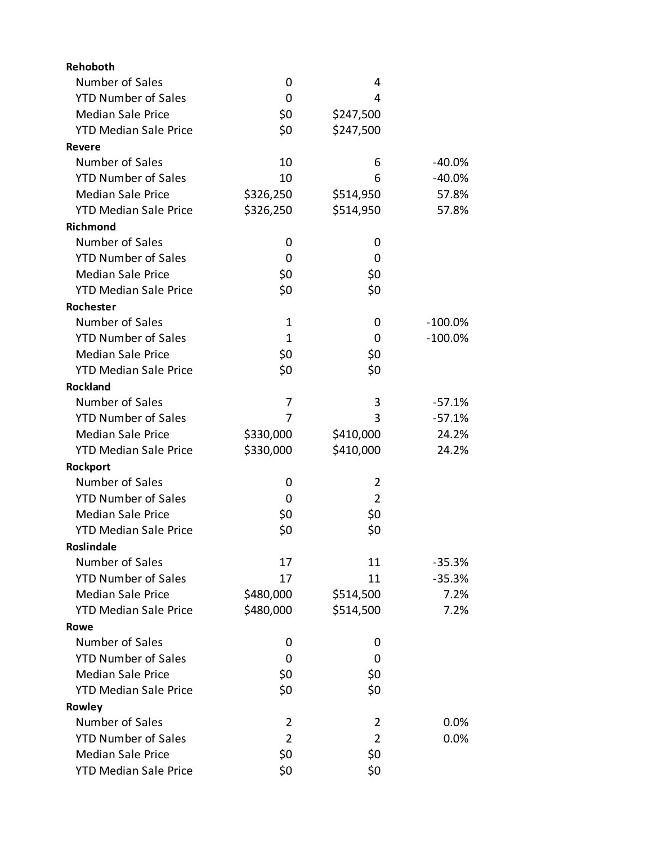| Rehoboth                     |                |                |            |
|------------------------------|----------------|----------------|------------|
| Number of Sales              | 0              | 4              |            |
| <b>YTD Number of Sales</b>   | 0              | 4              |            |
| <b>Median Sale Price</b>     | \$0            | \$247,500      |            |
| <b>YTD Median Sale Price</b> | \$0            | \$247,500      |            |
| Revere                       |                |                |            |
| Number of Sales              | 10             | 6              | -40.0%     |
| <b>YTD Number of Sales</b>   | 10             | 6              | $-40.0%$   |
| <b>Median Sale Price</b>     | \$326,250      | \$514,950      | 57.8%      |
| <b>YTD Median Sale Price</b> | \$326,250      | \$514,950      | 57.8%      |
| <b>Richmond</b>              |                |                |            |
| Number of Sales              | 0              | 0              |            |
| <b>YTD Number of Sales</b>   | 0              | 0              |            |
| <b>Median Sale Price</b>     | \$0            | \$0            |            |
| <b>YTD Median Sale Price</b> | \$0            | \$0            |            |
| <b>Rochester</b>             |                |                |            |
| Number of Sales              | 1              | 0              | $-100.0\%$ |
| <b>YTD Number of Sales</b>   | 1              | 0              | $-100.0\%$ |
| <b>Median Sale Price</b>     | \$0            | \$0            |            |
| <b>YTD Median Sale Price</b> | \$0            | \$0            |            |
| <b>Rockland</b>              |                |                |            |
| Number of Sales              | 7              | 3              | $-57.1%$   |
| <b>YTD Number of Sales</b>   | 7              | 3              | $-57.1%$   |
| <b>Median Sale Price</b>     | \$330,000      | \$410,000      | 24.2%      |
| <b>YTD Median Sale Price</b> | \$330,000      | \$410,000      | 24.2%      |
| Rockport                     |                |                |            |
| Number of Sales              | 0              | 2              |            |
| <b>YTD Number of Sales</b>   | 0              | $\overline{2}$ |            |
| <b>Median Sale Price</b>     | \$0            | \$0            |            |
| <b>YTD Median Sale Price</b> | \$0            | \$0            |            |
| Roslindale                   |                |                |            |
| Number of Sales              | 17             | 11             | $-35.3%$   |
| <b>YTD Number of Sales</b>   | 17             | 11             | $-35.3%$   |
| <b>Median Sale Price</b>     | \$480,000      | \$514,500      | 7.2%       |
| <b>YTD Median Sale Price</b> | \$480,000      | \$514,500      | 7.2%       |
| Rowe                         |                |                |            |
| Number of Sales              | 0              | 0              |            |
| <b>YTD Number of Sales</b>   | 0              | 0              |            |
| <b>Median Sale Price</b>     | \$0            | \$0            |            |
| <b>YTD Median Sale Price</b> | \$0            | \$0            |            |
| Rowley                       |                |                |            |
| Number of Sales              | 2              | 2              | 0.0%       |
| <b>YTD Number of Sales</b>   | $\overline{2}$ | $\overline{2}$ | 0.0%       |
| <b>Median Sale Price</b>     | \$0            | \$0            |            |
| <b>YTD Median Sale Price</b> | \$0            | \$0            |            |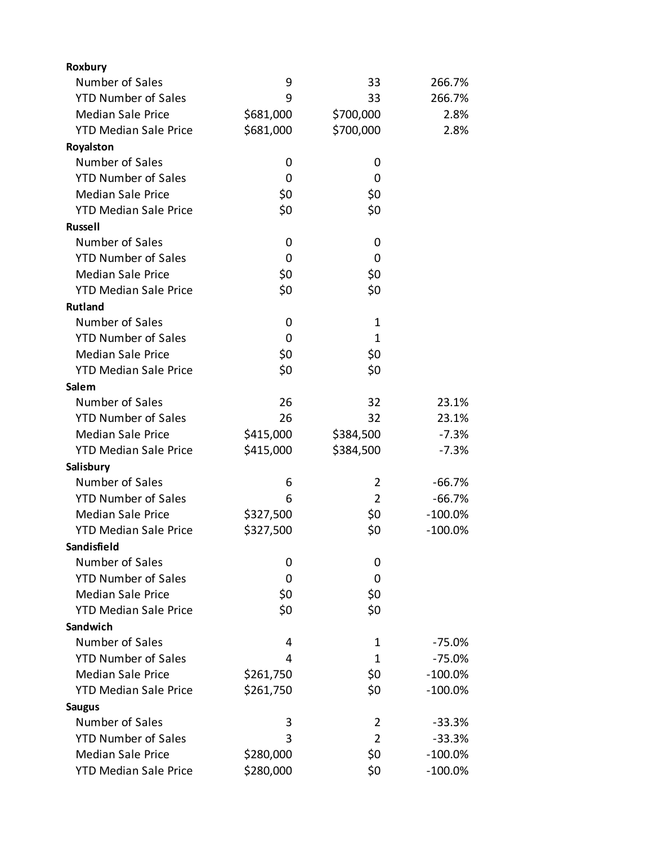| Number of Sales<br>9<br>33                             | 266.7%     |
|--------------------------------------------------------|------------|
|                                                        |            |
| <b>YTD Number of Sales</b><br>9<br>33                  | 266.7%     |
| <b>Median Sale Price</b><br>\$681,000<br>\$700,000     | 2.8%       |
| \$681,000<br><b>YTD Median Sale Price</b><br>\$700,000 | 2.8%       |
| Royalston                                              |            |
| Number of Sales<br>0<br>0                              |            |
| <b>YTD Number of Sales</b><br>0<br>0                   |            |
| <b>Median Sale Price</b><br>\$0<br>\$0                 |            |
| \$0<br><b>YTD Median Sale Price</b><br>\$0             |            |
| <b>Russell</b>                                         |            |
| Number of Sales<br>0<br>0                              |            |
| <b>YTD Number of Sales</b><br>0<br>0                   |            |
| \$0<br>\$0<br><b>Median Sale Price</b>                 |            |
| \$0<br>\$0<br><b>YTD Median Sale Price</b>             |            |
| <b>Rutland</b>                                         |            |
| Number of Sales<br>$\mathbf 1$<br>0                    |            |
| <b>YTD Number of Sales</b><br>1<br>0                   |            |
| \$0<br>\$0<br><b>Median Sale Price</b>                 |            |
| <b>YTD Median Sale Price</b><br>\$0<br>\$0             |            |
| Salem                                                  |            |
| Number of Sales<br>26<br>32                            | 23.1%      |
| <b>YTD Number of Sales</b><br>26<br>32                 | 23.1%      |
| <b>Median Sale Price</b><br>\$415,000<br>\$384,500     | $-7.3%$    |
| \$415,000<br><b>YTD Median Sale Price</b><br>\$384,500 | $-7.3%$    |
| Salisbury                                              |            |
| Number of Sales<br>6<br>2                              | $-66.7%$   |
| <b>YTD Number of Sales</b><br>6<br>$\overline{2}$      | $-66.7%$   |
| <b>Median Sale Price</b><br>\$327,500<br>\$0           | $-100.0\%$ |
| \$0<br><b>YTD Median Sale Price</b><br>\$327,500       | $-100.0%$  |
| Sandisfield                                            |            |
| Number of Sales<br>0<br>0                              |            |
| <b>YTD Number of Sales</b><br>0<br>0                   |            |
| <b>Median Sale Price</b><br>\$0<br>\$0                 |            |
| \$0<br>\$0<br><b>YTD Median Sale Price</b>             |            |
| Sandwich                                               |            |
| Number of Sales<br>4<br>1                              | $-75.0%$   |
| <b>YTD Number of Sales</b><br>1<br>4                   | $-75.0%$   |
| <b>Median Sale Price</b><br>\$0<br>\$261,750           | $-100.0%$  |
| <b>YTD Median Sale Price</b><br>\$261,750<br>\$0       | $-100.0%$  |
| <b>Saugus</b>                                          |            |
| Number of Sales<br>3<br>2                              | $-33.3%$   |
| <b>YTD Number of Sales</b><br>3<br>2                   | $-33.3%$   |
| <b>Median Sale Price</b><br>\$0<br>\$280,000           | $-100.0%$  |
| \$0<br><b>YTD Median Sale Price</b><br>\$280,000       | $-100.0\%$ |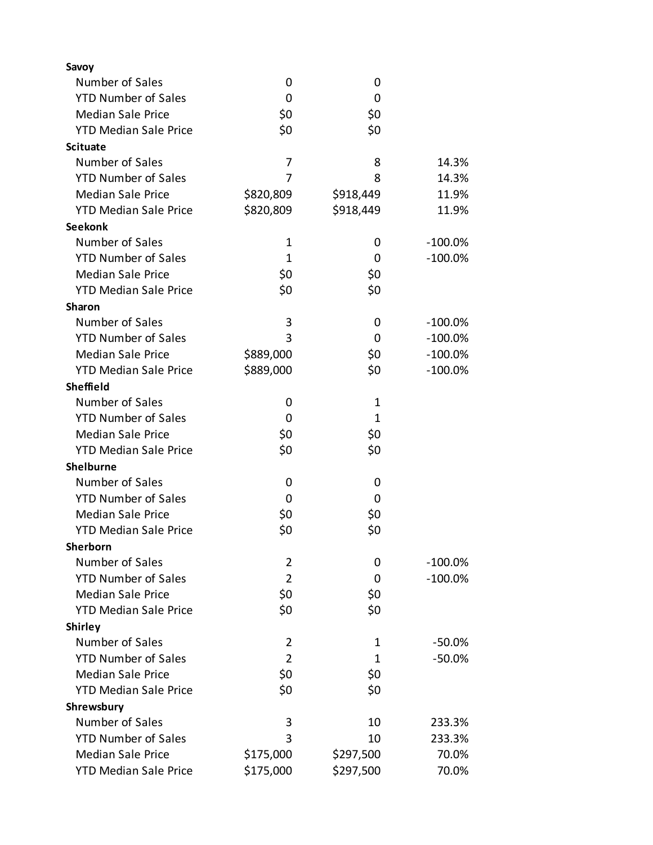| Savoy                        |                |              |            |
|------------------------------|----------------|--------------|------------|
| Number of Sales              | 0              | 0            |            |
| <b>YTD Number of Sales</b>   | 0              | 0            |            |
| <b>Median Sale Price</b>     | \$0            | \$0          |            |
| <b>YTD Median Sale Price</b> | \$0            | \$0          |            |
| <b>Scituate</b>              |                |              |            |
| Number of Sales              | 7              | 8            | 14.3%      |
| <b>YTD Number of Sales</b>   | 7              | 8            | 14.3%      |
| <b>Median Sale Price</b>     | \$820,809      | \$918,449    | 11.9%      |
| <b>YTD Median Sale Price</b> | \$820,809      | \$918,449    | 11.9%      |
| <b>Seekonk</b>               |                |              |            |
| Number of Sales              | $\mathbf 1$    | 0            | $-100.0\%$ |
| <b>YTD Number of Sales</b>   | $\mathbf{1}$   | 0            | $-100.0%$  |
| <b>Median Sale Price</b>     | \$0            | \$0          |            |
| <b>YTD Median Sale Price</b> | \$0            | \$0          |            |
| Sharon                       |                |              |            |
| Number of Sales              | 3              | 0            | $-100.0%$  |
| <b>YTD Number of Sales</b>   | 3              | 0            | $-100.0\%$ |
| <b>Median Sale Price</b>     | \$889,000      | \$0          | $-100.0\%$ |
| <b>YTD Median Sale Price</b> | \$889,000      | \$0          | $-100.0%$  |
| <b>Sheffield</b>             |                |              |            |
| Number of Sales              | 0              | 1            |            |
| <b>YTD Number of Sales</b>   | 0              | $\mathbf{1}$ |            |
| <b>Median Sale Price</b>     | \$0            | \$0          |            |
| <b>YTD Median Sale Price</b> | \$0            | \$0          |            |
| <b>Shelburne</b>             |                |              |            |
| Number of Sales              |                |              |            |
|                              | 0              | 0            |            |
| <b>YTD Number of Sales</b>   | 0              | 0            |            |
| <b>Median Sale Price</b>     | \$0            | \$0          |            |
| <b>YTD Median Sale Price</b> | \$0            | \$0          |            |
| Sherborn                     |                |              |            |
| Number of Sales              | $\overline{2}$ | 0            | $-100.0\%$ |
| <b>YTD Number of Sales</b>   | $\overline{2}$ | 0            | $-100.0%$  |
| <b>Median Sale Price</b>     | \$0            | \$0          |            |
| <b>YTD Median Sale Price</b> | \$0            | \$0          |            |
| <b>Shirley</b>               |                |              |            |
| Number of Sales              | 2              | 1            | $-50.0\%$  |
| <b>YTD Number of Sales</b>   | $\overline{2}$ | 1            | $-50.0%$   |
| <b>Median Sale Price</b>     | \$0            | \$0          |            |
| <b>YTD Median Sale Price</b> | \$0            | \$0          |            |
| Shrewsbury                   |                |              |            |
| Number of Sales              | 3              | 10           | 233.3%     |
| <b>YTD Number of Sales</b>   | 3              | 10           | 233.3%     |
| <b>Median Sale Price</b>     | \$175,000      | \$297,500    | 70.0%      |
| <b>YTD Median Sale Price</b> | \$175,000      | \$297,500    | 70.0%      |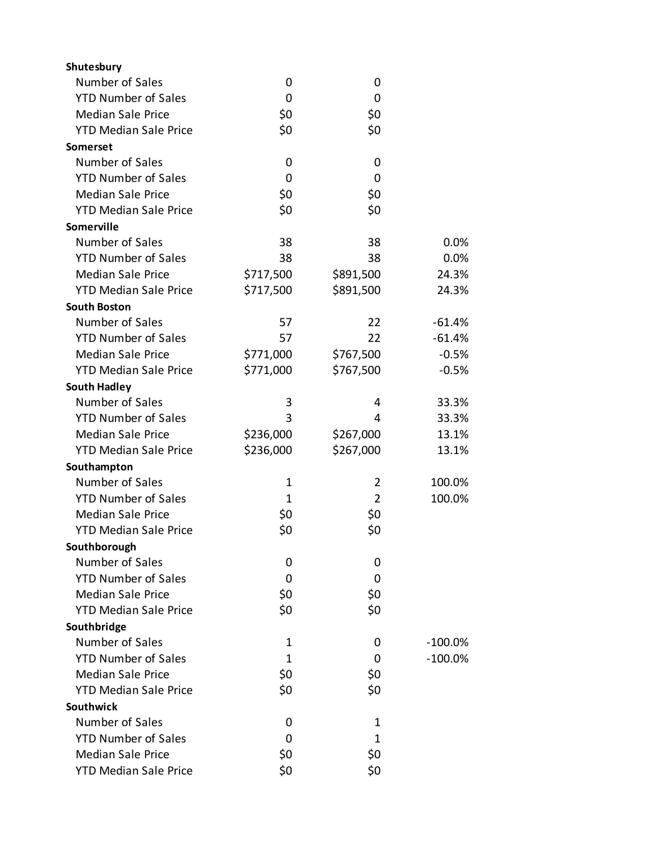| Shutesbury                   |             |                |            |
|------------------------------|-------------|----------------|------------|
| Number of Sales              | 0           | 0              |            |
| <b>YTD Number of Sales</b>   | 0           | 0              |            |
| <b>Median Sale Price</b>     | \$0         | \$0            |            |
| <b>YTD Median Sale Price</b> | \$0         | \$0            |            |
| Somerset                     |             |                |            |
| Number of Sales              | 0           | 0              |            |
| <b>YTD Number of Sales</b>   | 0           | 0              |            |
| <b>Median Sale Price</b>     | \$0         | \$0            |            |
| <b>YTD Median Sale Price</b> | \$0         | \$0            |            |
| <b>Somerville</b>            |             |                |            |
| Number of Sales              | 38          | 38             | 0.0%       |
| <b>YTD Number of Sales</b>   | 38          | 38             | 0.0%       |
| <b>Median Sale Price</b>     | \$717,500   | \$891,500      | 24.3%      |
| <b>YTD Median Sale Price</b> | \$717,500   | \$891,500      | 24.3%      |
| <b>South Boston</b>          |             |                |            |
| Number of Sales              | 57          | 22             | $-61.4%$   |
| <b>YTD Number of Sales</b>   | 57          | 22             | $-61.4%$   |
| <b>Median Sale Price</b>     | \$771,000   | \$767,500      | $-0.5%$    |
| <b>YTD Median Sale Price</b> | \$771,000   | \$767,500      | $-0.5%$    |
| <b>South Hadley</b>          |             |                |            |
| Number of Sales              | 3           | 4              | 33.3%      |
| <b>YTD Number of Sales</b>   | 3           | 4              | 33.3%      |
| <b>Median Sale Price</b>     | \$236,000   | \$267,000      | 13.1%      |
| <b>YTD Median Sale Price</b> | \$236,000   | \$267,000      | 13.1%      |
| Southampton                  |             |                |            |
| Number of Sales              | $\mathbf 1$ | $\overline{2}$ | 100.0%     |
| <b>YTD Number of Sales</b>   | 1           | $\overline{2}$ | 100.0%     |
| <b>Median Sale Price</b>     | \$0         | \$0            |            |
| <b>YTD Median Sale Price</b> | \$0         | \$0            |            |
| Southborough                 |             |                |            |
| Number of Sales              | 0           | 0              |            |
| <b>YTD Number of Sales</b>   | 0           | 0              |            |
| <b>Median Sale Price</b>     | \$0         | \$0            |            |
| <b>YTD Median Sale Price</b> | \$0         | \$0            |            |
| Southbridge                  |             |                |            |
| Number of Sales              | 1           | 0              | $-100.0\%$ |
| <b>YTD Number of Sales</b>   | 1           | 0              | $-100.0\%$ |
| <b>Median Sale Price</b>     | \$0         | \$0            |            |
| <b>YTD Median Sale Price</b> | \$0         | \$0            |            |
| <b>Southwick</b>             |             |                |            |
| Number of Sales              | 0           | 1              |            |
| <b>YTD Number of Sales</b>   | 0           | 1              |            |
| <b>Median Sale Price</b>     | \$0         | \$0            |            |
| <b>YTD Median Sale Price</b> | \$0         | \$0            |            |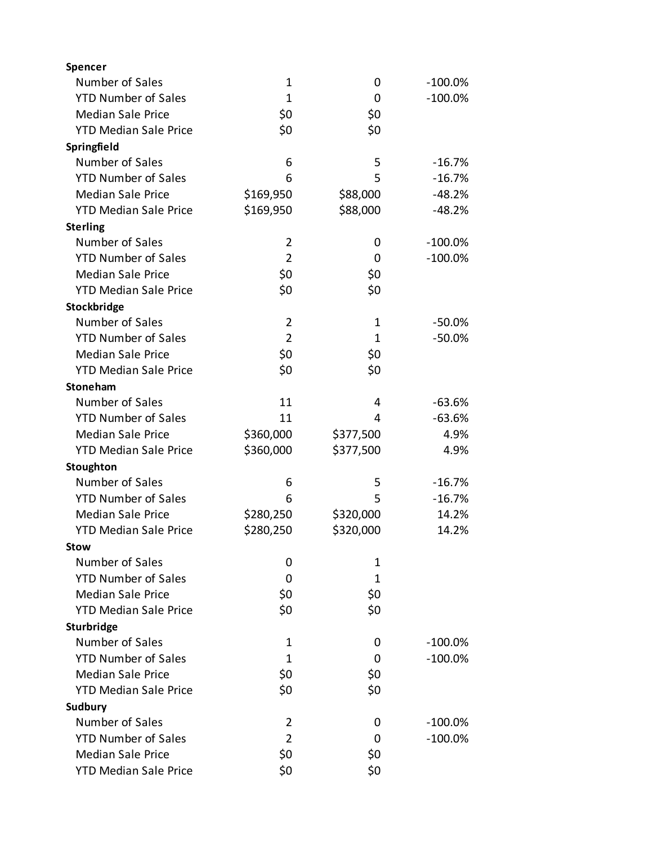| Spencer                      |                |           |            |
|------------------------------|----------------|-----------|------------|
| Number of Sales              | $\mathbf 1$    | 0         | $-100.0\%$ |
| <b>YTD Number of Sales</b>   | $\mathbf{1}$   | 0         | $-100.0%$  |
| <b>Median Sale Price</b>     | \$0            | \$0       |            |
| <b>YTD Median Sale Price</b> | \$0            | \$0       |            |
| Springfield                  |                |           |            |
| Number of Sales              | 6              | 5         | $-16.7%$   |
| <b>YTD Number of Sales</b>   | 6              | 5         | $-16.7%$   |
| <b>Median Sale Price</b>     | \$169,950      | \$88,000  | $-48.2%$   |
| <b>YTD Median Sale Price</b> | \$169,950      | \$88,000  | $-48.2%$   |
| <b>Sterling</b>              |                |           |            |
| Number of Sales              | 2              | 0         | $-100.0\%$ |
| <b>YTD Number of Sales</b>   | $\overline{2}$ | 0         | $-100.0%$  |
| <b>Median Sale Price</b>     | \$0            | \$0       |            |
| <b>YTD Median Sale Price</b> | \$0            | \$0       |            |
| Stockbridge                  |                |           |            |
| Number of Sales              | $\overline{2}$ | 1         | $-50.0%$   |
| <b>YTD Number of Sales</b>   | $\overline{2}$ | 1         | $-50.0%$   |
| <b>Median Sale Price</b>     | \$0            | \$0       |            |
| <b>YTD Median Sale Price</b> | \$0            | \$0       |            |
| Stoneham                     |                |           |            |
| Number of Sales              | 11             | 4         | $-63.6%$   |
| <b>YTD Number of Sales</b>   | 11             | 4         | $-63.6%$   |
| <b>Median Sale Price</b>     | \$360,000      | \$377,500 | 4.9%       |
| <b>YTD Median Sale Price</b> | \$360,000      | \$377,500 | 4.9%       |
| Stoughton                    |                |           |            |
| Number of Sales              | 6              | 5         | $-16.7%$   |
| <b>YTD Number of Sales</b>   | 6              | 5         | $-16.7%$   |
| <b>Median Sale Price</b>     | \$280,250      | \$320,000 | 14.2%      |
| <b>YTD Median Sale Price</b> | \$280,250      | \$320,000 | 14.2%      |
| <b>Stow</b>                  |                |           |            |
| Number of Sales              | 0              | 1         |            |
| <b>YTD Number of Sales</b>   | 0              | 1         |            |
| <b>Median Sale Price</b>     | \$0            | \$0       |            |
| <b>YTD Median Sale Price</b> | \$0            | \$0       |            |
| Sturbridge                   |                |           |            |
| Number of Sales              | 1              | 0         | $-100.0\%$ |
| <b>YTD Number of Sales</b>   | 1              | 0         | $-100.0\%$ |
| <b>Median Sale Price</b>     | \$0            | \$0       |            |
| <b>YTD Median Sale Price</b> | \$0            | \$0       |            |
| Sudbury                      |                |           |            |
| Number of Sales              | 2              | 0         | $-100.0%$  |
| <b>YTD Number of Sales</b>   | $\overline{2}$ | 0         | $-100.0\%$ |
| <b>Median Sale Price</b>     | \$0            | \$0       |            |
| <b>YTD Median Sale Price</b> | \$0            | \$0       |            |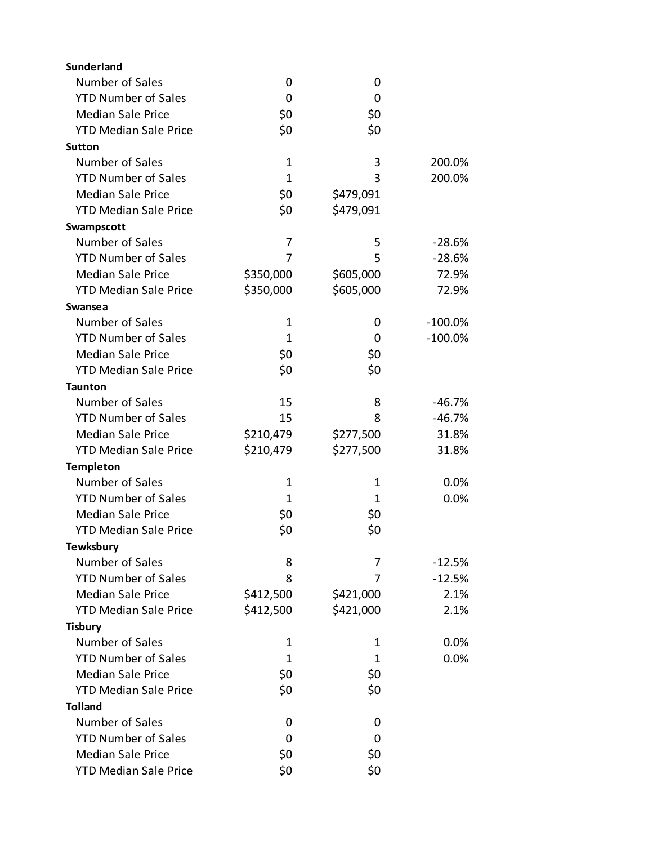| Sunderland                   |              |           |            |
|------------------------------|--------------|-----------|------------|
| Number of Sales              | 0            | 0         |            |
| <b>YTD Number of Sales</b>   | 0            | 0         |            |
| <b>Median Sale Price</b>     | \$0          | \$0       |            |
| <b>YTD Median Sale Price</b> | \$0          | \$0       |            |
| <b>Sutton</b>                |              |           |            |
| Number of Sales              | $\mathbf 1$  | 3         | 200.0%     |
| <b>YTD Number of Sales</b>   | $\mathbf{1}$ | 3         | 200.0%     |
| <b>Median Sale Price</b>     | \$0          | \$479,091 |            |
| <b>YTD Median Sale Price</b> | \$0          | \$479,091 |            |
| Swampscott                   |              |           |            |
| Number of Sales              | 7            | 5         | $-28.6%$   |
| <b>YTD Number of Sales</b>   | 7            | 5         | $-28.6%$   |
| <b>Median Sale Price</b>     | \$350,000    | \$605,000 | 72.9%      |
| <b>YTD Median Sale Price</b> | \$350,000    | \$605,000 | 72.9%      |
| Swansea                      |              |           |            |
| Number of Sales              | 1            | 0         | $-100.0\%$ |
| <b>YTD Number of Sales</b>   | 1            | 0         | $-100.0%$  |
| <b>Median Sale Price</b>     | \$0          | \$0       |            |
| <b>YTD Median Sale Price</b> | \$0          | \$0       |            |
| <b>Taunton</b>               |              |           |            |
| Number of Sales              | 15           | 8         | $-46.7%$   |
| <b>YTD Number of Sales</b>   | 15           | 8         | $-46.7%$   |
| <b>Median Sale Price</b>     | \$210,479    | \$277,500 | 31.8%      |
| <b>YTD Median Sale Price</b> | \$210,479    | \$277,500 | 31.8%      |
| <b>Templeton</b>             |              |           |            |
| Number of Sales              | $\mathbf 1$  | 1         | 0.0%       |
| <b>YTD Number of Sales</b>   | 1            | 1         | 0.0%       |
| <b>Median Sale Price</b>     | \$0          | \$0       |            |
| <b>YTD Median Sale Price</b> | \$0          | \$0       |            |
| <b>Tewksbury</b>             |              |           |            |
| Number of Sales              | 8            | 7         | $-12.5%$   |
| <b>YTD Number of Sales</b>   | 8            | 7         | $-12.5%$   |
| <b>Median Sale Price</b>     | \$412,500    | \$421,000 | 2.1%       |
| <b>YTD Median Sale Price</b> | \$412,500    | \$421,000 | 2.1%       |
| <b>Tisbury</b>               |              |           |            |
| Number of Sales              | 1            | 1         | 0.0%       |
| <b>YTD Number of Sales</b>   | 1            | 1         | 0.0%       |
| <b>Median Sale Price</b>     | \$0          | \$0       |            |
| <b>YTD Median Sale Price</b> | \$0          | \$0       |            |
| <b>Tolland</b>               |              |           |            |
| Number of Sales              | 0            | 0         |            |
| <b>YTD Number of Sales</b>   | 0            | 0         |            |
| <b>Median Sale Price</b>     | \$0          | \$0       |            |
| <b>YTD Median Sale Price</b> | \$0          | \$0       |            |
|                              |              |           |            |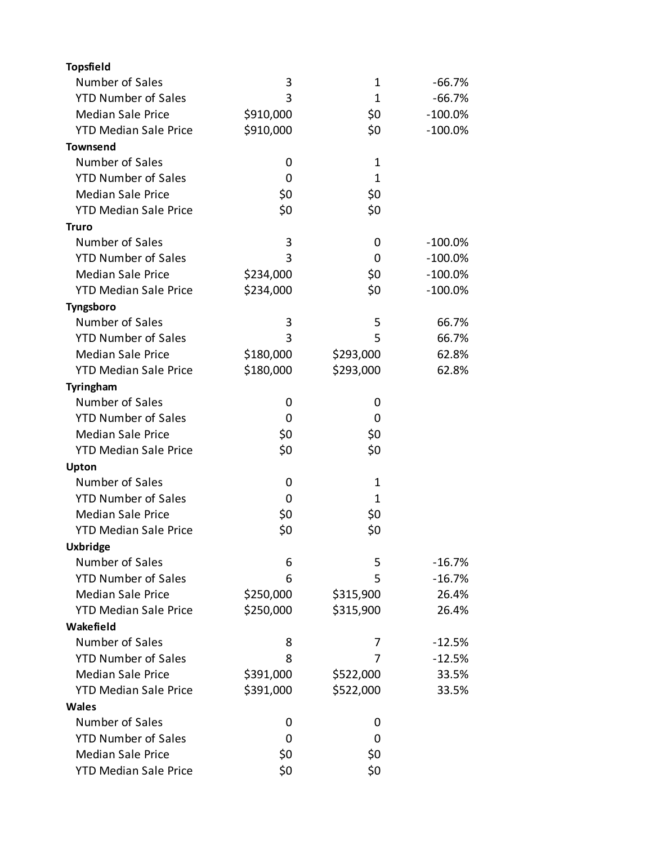| <b>Topsfield</b>             |           |           |            |
|------------------------------|-----------|-----------|------------|
| Number of Sales              | 3         | 1         | -66.7%     |
| <b>YTD Number of Sales</b>   | 3         | 1         | $-66.7%$   |
| <b>Median Sale Price</b>     | \$910,000 | \$0       | $-100.0%$  |
| <b>YTD Median Sale Price</b> | \$910,000 | \$0       | $-100.0\%$ |
| <b>Townsend</b>              |           |           |            |
| Number of Sales              | 0         | 1         |            |
| <b>YTD Number of Sales</b>   | 0         | 1         |            |
| <b>Median Sale Price</b>     | \$0       | \$0       |            |
| <b>YTD Median Sale Price</b> | \$0       | \$0       |            |
| Truro                        |           |           |            |
| Number of Sales              | 3         | 0         | $-100.0\%$ |
| <b>YTD Number of Sales</b>   | 3         | 0         | $-100.0\%$ |
| <b>Median Sale Price</b>     | \$234,000 | \$0       | $-100.0\%$ |
| <b>YTD Median Sale Price</b> | \$234,000 | \$0       | $-100.0\%$ |
| Tyngsboro                    |           |           |            |
| Number of Sales              | 3         | 5         | 66.7%      |
| <b>YTD Number of Sales</b>   | 3         | 5         | 66.7%      |
| <b>Median Sale Price</b>     | \$180,000 | \$293,000 | 62.8%      |
| <b>YTD Median Sale Price</b> | \$180,000 | \$293,000 | 62.8%      |
| Tyringham                    |           |           |            |
| Number of Sales              | 0         | 0         |            |
| <b>YTD Number of Sales</b>   | 0         | 0         |            |
| <b>Median Sale Price</b>     | \$0       | \$0       |            |
| <b>YTD Median Sale Price</b> | \$0       | \$0       |            |
| Upton                        |           |           |            |
| Number of Sales              | 0         | 1         |            |
| <b>YTD Number of Sales</b>   | 0         | 1         |            |
| <b>Median Sale Price</b>     | \$0       | \$0       |            |
| <b>YTD Median Sale Price</b> | \$0       | \$0       |            |
| <b>Uxbridge</b>              |           |           |            |
| Number of Sales              | 6         | 5         | $-16.7%$   |
| <b>YTD Number of Sales</b>   | 6         | 5         | $-16.7%$   |
| <b>Median Sale Price</b>     | \$250,000 | \$315,900 | 26.4%      |
| <b>YTD Median Sale Price</b> | \$250,000 | \$315,900 | 26.4%      |
| Wakefield                    |           |           |            |
| Number of Sales              | 8         | 7         | $-12.5%$   |
| <b>YTD Number of Sales</b>   | 8         | 7         | $-12.5%$   |
| <b>Median Sale Price</b>     | \$391,000 | \$522,000 | 33.5%      |
| <b>YTD Median Sale Price</b> | \$391,000 | \$522,000 | 33.5%      |
| <b>Wales</b>                 |           |           |            |
| Number of Sales              |           |           |            |
| <b>YTD Number of Sales</b>   | 0<br>0    | 0<br>0    |            |
| <b>Median Sale Price</b>     | \$0       | \$0       |            |
| <b>YTD Median Sale Price</b> | \$0       | \$0       |            |
|                              |           |           |            |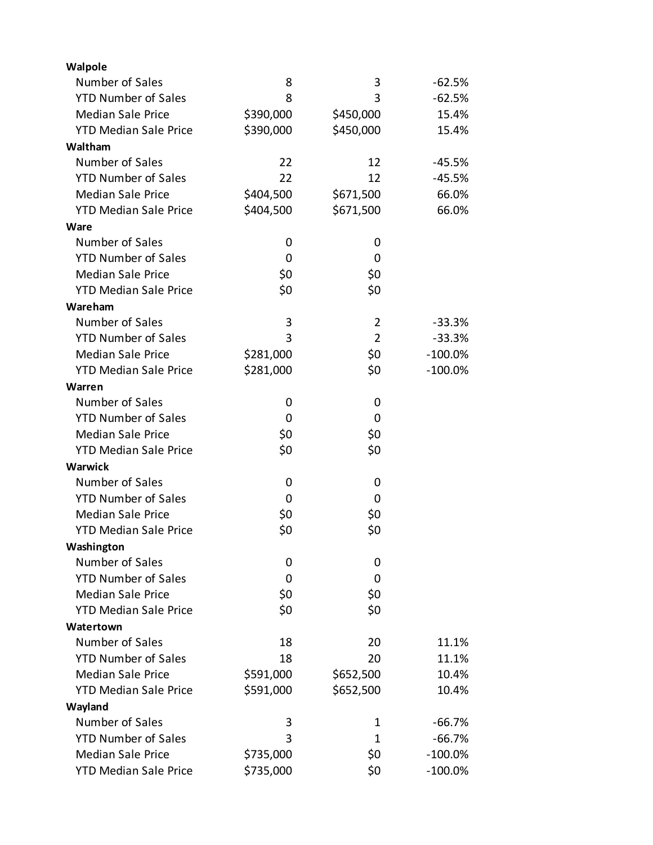| Walpole                      |           |                |            |
|------------------------------|-----------|----------------|------------|
| Number of Sales              | 8         | 3              | $-62.5%$   |
| <b>YTD Number of Sales</b>   | 8         | 3              | $-62.5%$   |
| <b>Median Sale Price</b>     | \$390,000 | \$450,000      | 15.4%      |
| <b>YTD Median Sale Price</b> | \$390,000 | \$450,000      | 15.4%      |
| Waltham                      |           |                |            |
| Number of Sales              | 22        | 12             | $-45.5%$   |
| <b>YTD Number of Sales</b>   | 22        | 12             | $-45.5%$   |
| <b>Median Sale Price</b>     | \$404,500 | \$671,500      | 66.0%      |
| <b>YTD Median Sale Price</b> | \$404,500 | \$671,500      | 66.0%      |
| Ware                         |           |                |            |
| Number of Sales              | 0         | 0              |            |
| <b>YTD Number of Sales</b>   | 0         | 0              |            |
| <b>Median Sale Price</b>     | \$0       | \$0            |            |
| <b>YTD Median Sale Price</b> | \$0       | \$0            |            |
| Wareham                      |           |                |            |
| Number of Sales              | 3         | $\overline{2}$ | $-33.3%$   |
| <b>YTD Number of Sales</b>   | 3         | 2              | $-33.3%$   |
| <b>Median Sale Price</b>     | \$281,000 | \$0            | $-100.0\%$ |
| <b>YTD Median Sale Price</b> | \$281,000 | \$0            | $-100.0%$  |
| Warren                       |           |                |            |
| Number of Sales              | 0         | 0              |            |
| <b>YTD Number of Sales</b>   | 0         | 0              |            |
| <b>Median Sale Price</b>     | \$0       | \$0            |            |
| <b>YTD Median Sale Price</b> | \$0       | \$0            |            |
| Warwick                      |           |                |            |
| Number of Sales              | 0         | 0              |            |
| <b>YTD Number of Sales</b>   | 0         | 0              |            |
| <b>Median Sale Price</b>     | \$0       | \$0            |            |
| <b>YTD Median Sale Price</b> | \$0       | \$0            |            |
| Washington                   |           |                |            |
| Number of Sales              | 0         | 0              |            |
| <b>YTD Number of Sales</b>   | 0         | 0              |            |
| <b>Median Sale Price</b>     | \$0       | \$0            |            |
| <b>YTD Median Sale Price</b> | \$0       | \$0            |            |
| Watertown                    |           |                |            |
| Number of Sales              | 18        | 20             | 11.1%      |
| <b>YTD Number of Sales</b>   | 18        | 20             | 11.1%      |
| <b>Median Sale Price</b>     | \$591,000 | \$652,500      | 10.4%      |
| <b>YTD Median Sale Price</b> | \$591,000 | \$652,500      | 10.4%      |
| Wayland                      |           |                |            |
| Number of Sales              | 3         | 1              | $-66.7%$   |
| <b>YTD Number of Sales</b>   | 3         | 1              | $-66.7%$   |
| <b>Median Sale Price</b>     | \$735,000 | \$0            | $-100.0\%$ |
| <b>YTD Median Sale Price</b> | \$735,000 | \$0            | $-100.0\%$ |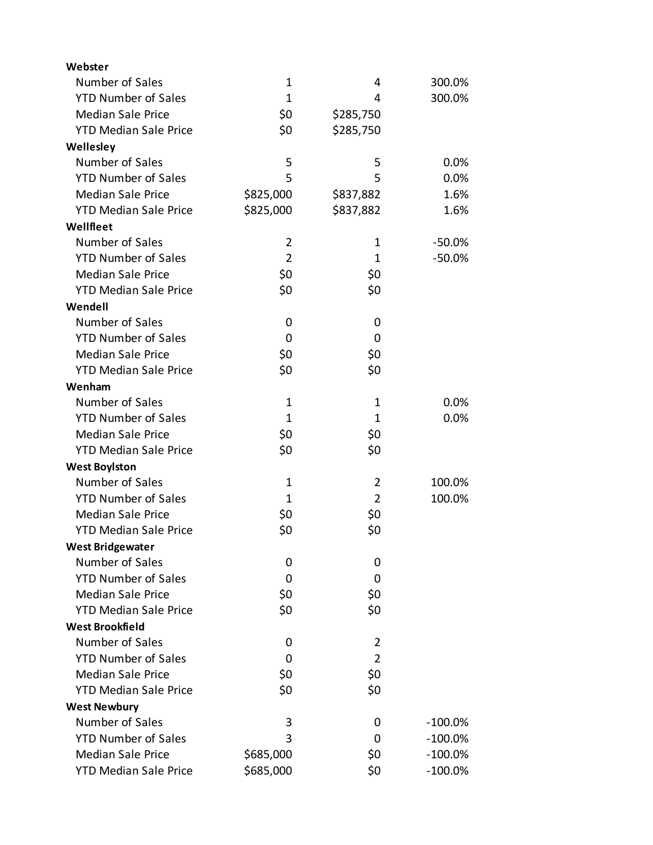| Webster                      |                |                |            |
|------------------------------|----------------|----------------|------------|
| Number of Sales              | $\mathbf 1$    | 4              | 300.0%     |
| <b>YTD Number of Sales</b>   | $\mathbf{1}$   | 4              | 300.0%     |
| <b>Median Sale Price</b>     | \$0            | \$285,750      |            |
| <b>YTD Median Sale Price</b> | \$0            | \$285,750      |            |
| Wellesley                    |                |                |            |
| Number of Sales              | 5              | 5              | 0.0%       |
| <b>YTD Number of Sales</b>   | 5              | 5              | 0.0%       |
| <b>Median Sale Price</b>     | \$825,000      | \$837,882      | 1.6%       |
| <b>YTD Median Sale Price</b> | \$825,000      | \$837,882      | 1.6%       |
| Wellfleet                    |                |                |            |
| Number of Sales              | $\overline{2}$ | 1              | $-50.0%$   |
| <b>YTD Number of Sales</b>   | $\overline{2}$ | 1              | $-50.0%$   |
| <b>Median Sale Price</b>     | \$0            | \$0            |            |
| <b>YTD Median Sale Price</b> | \$0            | \$0            |            |
| Wendell                      |                |                |            |
| Number of Sales              | 0              | 0              |            |
| <b>YTD Number of Sales</b>   | 0              | 0              |            |
| <b>Median Sale Price</b>     | \$0            | \$0            |            |
| <b>YTD Median Sale Price</b> | \$0            | \$0            |            |
| Wenham                       |                |                |            |
| Number of Sales              | 1              | 1              | 0.0%       |
| <b>YTD Number of Sales</b>   | $\mathbf{1}$   | 1              | 0.0%       |
| <b>Median Sale Price</b>     | \$0            | \$0            |            |
| <b>YTD Median Sale Price</b> | \$0            | \$0            |            |
| <b>West Boylston</b>         |                |                |            |
| Number of Sales              | $\mathbf 1$    | $\overline{2}$ | 100.0%     |
| <b>YTD Number of Sales</b>   | 1              | $\overline{2}$ | 100.0%     |
| <b>Median Sale Price</b>     | \$0            | \$0            |            |
| <b>YTD Median Sale Price</b> | \$0            | \$0            |            |
| <b>West Bridgewater</b>      |                |                |            |
| Number of Sales              | 0              | 0              |            |
| <b>YTD Number of Sales</b>   | 0              | 0              |            |
| <b>Median Sale Price</b>     | \$0            | \$0            |            |
| <b>YTD Median Sale Price</b> | \$0            | \$0            |            |
| <b>West Brookfield</b>       |                |                |            |
| Number of Sales              | 0              | $\overline{2}$ |            |
| <b>YTD Number of Sales</b>   | 0              | $\overline{2}$ |            |
| <b>Median Sale Price</b>     | \$0            | \$0            |            |
| <b>YTD Median Sale Price</b> | \$0            | \$0            |            |
| <b>West Newbury</b>          |                |                |            |
| Number of Sales              | 3              | 0              | $-100.0%$  |
| <b>YTD Number of Sales</b>   | 3              | 0              | $-100.0\%$ |
| <b>Median Sale Price</b>     | \$685,000      | \$0            | $-100.0\%$ |
| <b>YTD Median Sale Price</b> | \$685,000      | \$0            | $-100.0\%$ |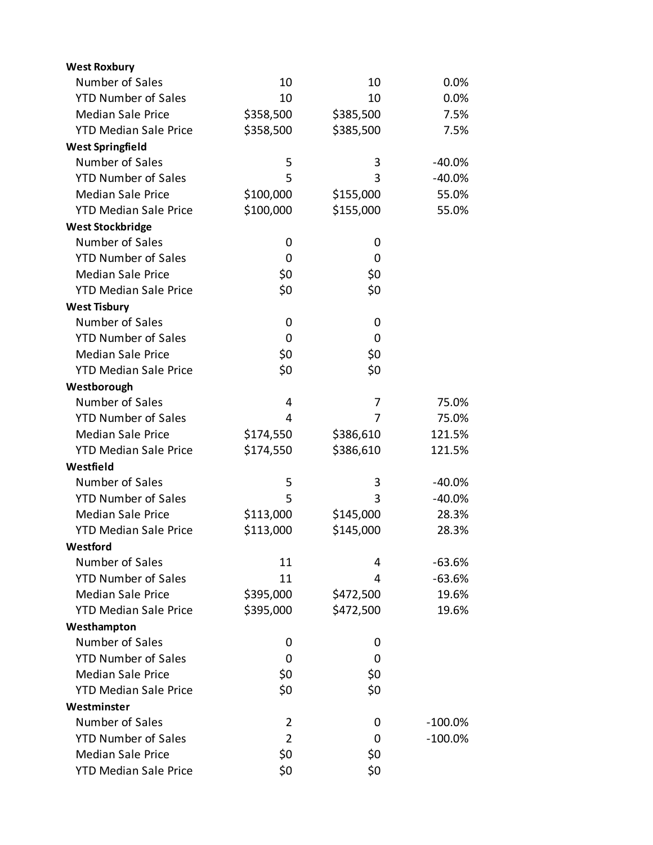| <b>West Roxbury</b>          |                |           |            |
|------------------------------|----------------|-----------|------------|
| Number of Sales              | 10             | 10        | 0.0%       |
| <b>YTD Number of Sales</b>   | 10             | 10        | 0.0%       |
| <b>Median Sale Price</b>     | \$358,500      | \$385,500 | 7.5%       |
| <b>YTD Median Sale Price</b> | \$358,500      | \$385,500 | 7.5%       |
| <b>West Springfield</b>      |                |           |            |
| Number of Sales              | 5              | 3         | $-40.0%$   |
| <b>YTD Number of Sales</b>   | 5              | 3         | $-40.0%$   |
| <b>Median Sale Price</b>     | \$100,000      | \$155,000 | 55.0%      |
| <b>YTD Median Sale Price</b> | \$100,000      | \$155,000 | 55.0%      |
| <b>West Stockbridge</b>      |                |           |            |
| Number of Sales              | 0              | 0         |            |
| <b>YTD Number of Sales</b>   | 0              | 0         |            |
| <b>Median Sale Price</b>     | \$0            | \$0       |            |
| <b>YTD Median Sale Price</b> | \$0            | \$0       |            |
| <b>West Tisbury</b>          |                |           |            |
| Number of Sales              | 0              | 0         |            |
| <b>YTD Number of Sales</b>   | 0              | 0         |            |
| <b>Median Sale Price</b>     | \$0            | \$0       |            |
| <b>YTD Median Sale Price</b> | \$0            | \$0       |            |
| Westborough                  |                |           |            |
| Number of Sales              | 4              | 7         | 75.0%      |
| <b>YTD Number of Sales</b>   | 4              | 7         | 75.0%      |
| <b>Median Sale Price</b>     | \$174,550      | \$386,610 | 121.5%     |
| <b>YTD Median Sale Price</b> | \$174,550      | \$386,610 | 121.5%     |
| Westfield                    |                |           |            |
| Number of Sales              | 5              | 3         | $-40.0%$   |
| <b>YTD Number of Sales</b>   | 5              | 3         | $-40.0%$   |
| <b>Median Sale Price</b>     | \$113,000      | \$145,000 | 28.3%      |
| <b>YTD Median Sale Price</b> | \$113,000      | \$145,000 | 28.3%      |
| Westford                     |                |           |            |
| Number of Sales              | 11             | 4         | $-63.6%$   |
| <b>YTD Number of Sales</b>   | 11             | 4         | $-63.6%$   |
| <b>Median Sale Price</b>     | \$395,000      | \$472,500 | 19.6%      |
| <b>YTD Median Sale Price</b> | \$395,000      | \$472,500 | 19.6%      |
| Westhampton                  |                |           |            |
| Number of Sales              | 0              | 0         |            |
| <b>YTD Number of Sales</b>   | 0              | 0         |            |
| <b>Median Sale Price</b>     | \$0            | \$0       |            |
| <b>YTD Median Sale Price</b> | \$0            | \$0       |            |
| Westminster                  |                |           |            |
| Number of Sales              | 2              | 0         | $-100.0\%$ |
| <b>YTD Number of Sales</b>   | $\overline{2}$ | 0         | $-100.0\%$ |
| <b>Median Sale Price</b>     | \$0            | \$0       |            |
| <b>YTD Median Sale Price</b> | \$0            | \$0       |            |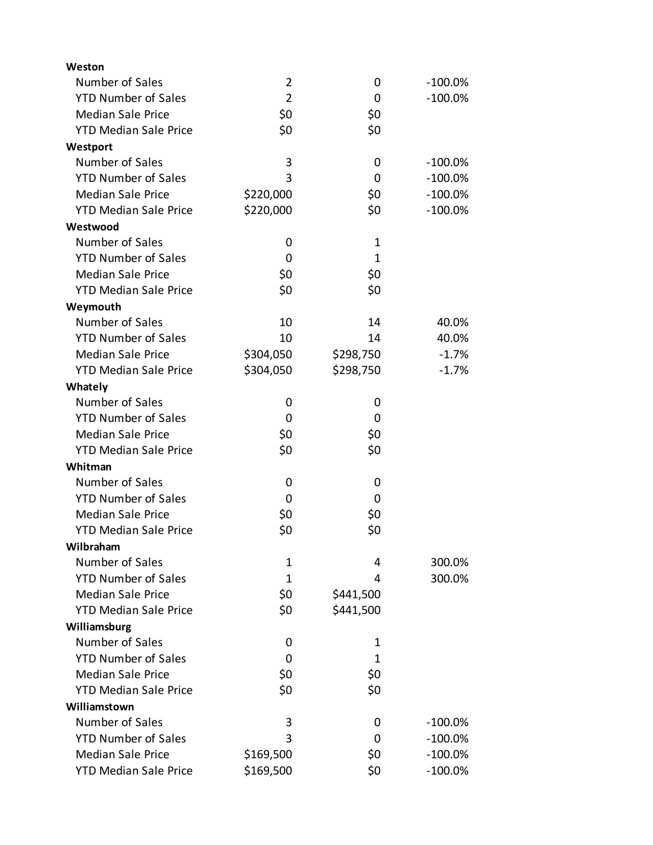| Weston                       |                |              |            |
|------------------------------|----------------|--------------|------------|
| Number of Sales              | $\overline{2}$ | 0            | $-100.0\%$ |
| <b>YTD Number of Sales</b>   | $\overline{2}$ | 0            | $-100.0%$  |
| <b>Median Sale Price</b>     | \$0            | \$0          |            |
| <b>YTD Median Sale Price</b> | \$0            | \$0          |            |
| Westport                     |                |              |            |
| Number of Sales              | 3              | 0            | $-100.0\%$ |
| <b>YTD Number of Sales</b>   | 3              | 0            | $-100.0\%$ |
| <b>Median Sale Price</b>     | \$220,000      | \$0          | $-100.0\%$ |
| <b>YTD Median Sale Price</b> | \$220,000      | \$0          | $-100.0\%$ |
| Westwood                     |                |              |            |
| Number of Sales              | 0              | $\mathbf 1$  |            |
| <b>YTD Number of Sales</b>   | 0              | $\mathbf{1}$ |            |
| <b>Median Sale Price</b>     | \$0            | \$0          |            |
| <b>YTD Median Sale Price</b> | \$0            | \$0          |            |
| Weymouth                     |                |              |            |
| Number of Sales              | 10             | 14           | 40.0%      |
| <b>YTD Number of Sales</b>   | 10             | 14           | 40.0%      |
| <b>Median Sale Price</b>     | \$304,050      | \$298,750    | $-1.7%$    |
| <b>YTD Median Sale Price</b> | \$304,050      | \$298,750    | $-1.7%$    |
| Whately                      |                |              |            |
| Number of Sales              | 0              | 0            |            |
| <b>YTD Number of Sales</b>   | 0              | 0            |            |
| <b>Median Sale Price</b>     | \$0            | \$0          |            |
| <b>YTD Median Sale Price</b> | \$0            | \$0          |            |
| Whitman                      |                |              |            |
| Number of Sales              | 0              | 0            |            |
| <b>YTD Number of Sales</b>   | 0              | 0            |            |
| <b>Median Sale Price</b>     | \$0            | \$0          |            |
| <b>YTD Median Sale Price</b> | \$0            | \$0          |            |
| Wilbraham                    |                |              |            |
| Number of Sales              | 1              | 4            | 300.0%     |
| <b>YTD Number of Sales</b>   | $\mathbf{1}$   | 4            | 300.0%     |
| <b>Median Sale Price</b>     | \$0            | \$441,500    |            |
| <b>YTD Median Sale Price</b> | \$0            | \$441,500    |            |
| Williamsburg                 |                |              |            |
| Number of Sales              | 0              | 1            |            |
| <b>YTD Number of Sales</b>   | 0              | 1            |            |
| <b>Median Sale Price</b>     | \$0            | \$0          |            |
| <b>YTD Median Sale Price</b> | \$0            | \$0          |            |
| Williamstown                 |                |              |            |
| Number of Sales              | 3              | 0            | $-100.0%$  |
| <b>YTD Number of Sales</b>   | 3              | 0            | $-100.0\%$ |
| <b>Median Sale Price</b>     | \$169,500      | \$0          | $-100.0\%$ |
| <b>YTD Median Sale Price</b> | \$169,500      | \$0          | $-100.0\%$ |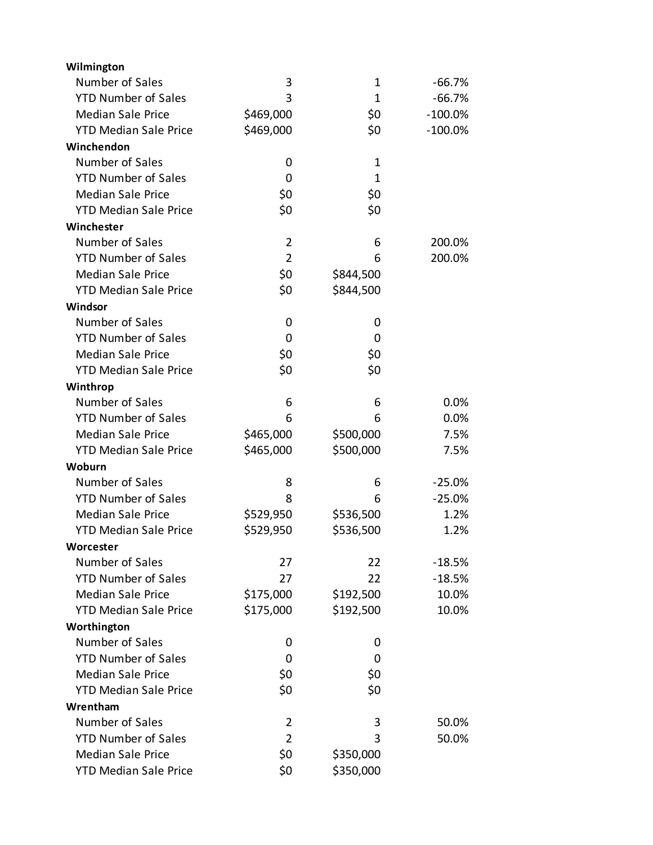| Wilmington                   |                |              |            |
|------------------------------|----------------|--------------|------------|
| Number of Sales              | 3              | 1            | $-66.7%$   |
| <b>YTD Number of Sales</b>   | 3              | $\mathbf{1}$ | $-66.7%$   |
| <b>Median Sale Price</b>     | \$469,000      | \$0          | $-100.0%$  |
| <b>YTD Median Sale Price</b> | \$469,000      | \$0          | $-100.0\%$ |
| Winchendon                   |                |              |            |
| Number of Sales              | 0              | 1            |            |
| <b>YTD Number of Sales</b>   | 0              | 1            |            |
| <b>Median Sale Price</b>     | \$0            | \$0          |            |
| <b>YTD Median Sale Price</b> | \$0            | \$0          |            |
| Winchester                   |                |              |            |
| Number of Sales              | $\overline{2}$ | 6            | 200.0%     |
| <b>YTD Number of Sales</b>   | $\overline{2}$ | 6            | 200.0%     |
| <b>Median Sale Price</b>     | \$0            | \$844,500    |            |
| <b>YTD Median Sale Price</b> | \$0            | \$844,500    |            |
| Windsor                      |                |              |            |
| Number of Sales              | 0              | 0            |            |
| <b>YTD Number of Sales</b>   | 0              | 0            |            |
| <b>Median Sale Price</b>     | \$0            | \$0          |            |
| <b>YTD Median Sale Price</b> | \$0            | \$0          |            |
| Winthrop                     |                |              |            |
| Number of Sales              | 6              | 6            | 0.0%       |
| <b>YTD Number of Sales</b>   | 6              | 6            | 0.0%       |
| <b>Median Sale Price</b>     | \$465,000      | \$500,000    | 7.5%       |
| <b>YTD Median Sale Price</b> | \$465,000      | \$500,000    | 7.5%       |
| Woburn                       |                |              |            |
| Number of Sales              | 8              | 6            | $-25.0%$   |
| <b>YTD Number of Sales</b>   | 8              | 6            | $-25.0%$   |
| <b>Median Sale Price</b>     | \$529,950      | \$536,500    | 1.2%       |
| <b>YTD Median Sale Price</b> | \$529,950      | \$536,500    | 1.2%       |
| Worcester                    |                |              |            |
| Number of Sales              | 27             | 22           | $-18.5%$   |
| <b>YTD Number of Sales</b>   | 27             | 22           | $-18.5%$   |
| <b>Median Sale Price</b>     | \$175,000      | \$192,500    | 10.0%      |
| <b>YTD Median Sale Price</b> | \$175,000      | \$192,500    | 10.0%      |
| Worthington                  |                |              |            |
| Number of Sales              | 0              | 0            |            |
| <b>YTD Number of Sales</b>   | 0              | 0            |            |
| <b>Median Sale Price</b>     | \$0            | \$0          |            |
| <b>YTD Median Sale Price</b> | \$0            | \$0          |            |
| Wrentham                     |                |              |            |
| Number of Sales              | 2              | 3            | 50.0%      |
| <b>YTD Number of Sales</b>   | $\overline{2}$ | 3            | 50.0%      |
| <b>Median Sale Price</b>     | \$0            | \$350,000    |            |
| <b>YTD Median Sale Price</b> | \$0            | \$350,000    |            |